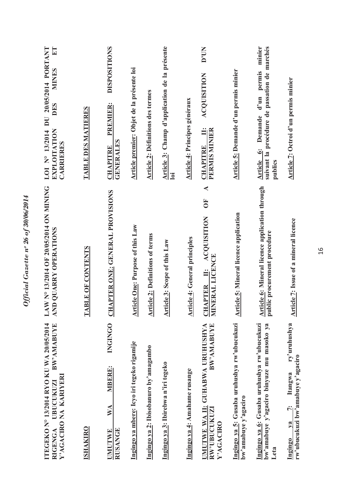| BW'AMABUYE<br>ITEGEKO N° 13/2014 RYO KU WA 20/05/2014<br>Y'AGACIRO NA KARIYERI<br>UBUCUKUZI<br>RIGENGA | LAW N° 13/2014 OF 20/05/2014 ON MINING<br>AND QUARRY OPERATIONS                                          | DU 20/05/2014 PORTANT<br>E<br><b>MINES</b><br>DES<br>EXPLOITATION<br>LOI Nº 13/2014<br><b>CARRIERES</b> |
|--------------------------------------------------------------------------------------------------------|----------------------------------------------------------------------------------------------------------|---------------------------------------------------------------------------------------------------------|
| <b>ISHAKIRO</b>                                                                                        | <b>TABLE OF CONTENTS</b>                                                                                 | <b>TABLE DES MATIERES</b>                                                                               |
| <b>INGINGO</b><br><b>MBERE:</b><br>$\mathbb{X}^{\mathcal{A}}$<br><b>RUSANGE</b><br><b>UMUTWE</b>       | <b>CHAPTER ONE: GENERAL PROVISIONS</b>                                                                   | <b>DISPOSITIONS</b><br>PREMIER:<br><b>GENERALES</b><br><b>CHAPITRE</b>                                  |
| Ingingo ya mbere: Icyo iri tegeko rigamije                                                             | <b>Article One: Purpose of this Law</b>                                                                  | Article premier: Objet de la présente loi                                                               |
| Ingingo ya 2: Ibisobanuro by'amagambo                                                                  | <b>Article 2: Definitions of terms</b>                                                                   | <b>Article 2: Définitions des termes</b>                                                                |
| Ingingo ya 3: Ibirebwa n'iri tegeko                                                                    | <b>Article 3: Scope of this Law</b>                                                                      | Article 3: Champ d'application de la présente<br>$\overline{\mathsf{I}}$                                |
| Ingingo ya 4: Amahame rusange                                                                          | <b>Article 4: General principles</b>                                                                     | <b>Article 4: Principes généraux</b>                                                                    |
| UMUTWE WA II: GUHABWA URUHUSHYA<br>BW'AMABUYE<br>RW'UBUCUKUZI<br>Y'AGACIRO                             | $\blacktriangleleft$<br>$\overline{0}$<br><b>ACQUISITION</b><br><b>CHAPTER II: AC</b><br>MINERAL LICENCE | D'UN<br><b>ACQUISITION</b><br>PERMIS MINIER<br>Ë<br><b>CHAPITRE</b>                                     |
| Ingingo ya 5: Gusaba uruhushya rw'ubucukuzi<br>bw'amabuye y'agaciro                                    | <b>Article 5: Mineral licence application</b>                                                            | Article 5: Demande d'un permis minier                                                                   |
| Ingingo ya 6: Gusaba uruhushya rw'ubucukuzi<br>bw'amabuye y'agaciro binyuze mu masoko ya<br>Leta       | <b>Article 6: Mineral licence application through</b><br>public procurement procedure                    | minier<br>suivant la procédure de passation de marchés<br>Article 6: Demande d'un permis<br>publics     |
| ry'uruhushya<br>rw'ubucukuzi bw'amabuye y'agaciro<br>Itangwa<br>i.<br>$Y$<br>Ingingo                   | <b>Article 7: Issue of a mineral licence</b>                                                             | Article 7: Octroi d'un permis minier                                                                    |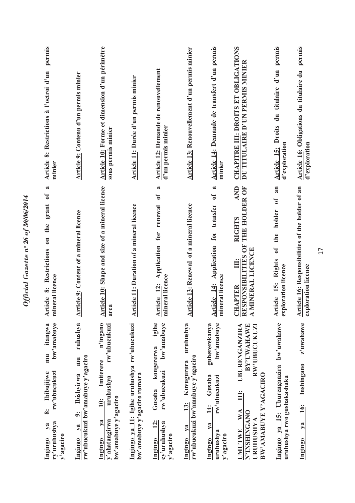| permis<br>Article 8: Restrictions à l'octroi d'un<br>minier                                                    | Article 9: Contenu d'un permis minier                                                                    | Article 10: Forme et dimension d'un périmètre<br>sous permis minier                                                        | Article 11: Durée d'un permis minier                                       | Article 12: Demande de renouvellement<br>d'un permis minier                                                         | Article 13: Renouvellement d'un permis minier                                                    | Article 14: Demande de transfert d'un permis<br>minier                                                         | CHAPITRE III: DROITS ET OBLIGATIONS<br>DU TITULAIRE D'UN PERMIS MINIER                                                                                         | permis<br>$d'$ un<br>du titulaire<br><b>Article 15: Droits</b><br>d'exploration                    | permis<br>Article 16: Obligations du titulaire du<br>d'exploration      |
|----------------------------------------------------------------------------------------------------------------|----------------------------------------------------------------------------------------------------------|----------------------------------------------------------------------------------------------------------------------------|----------------------------------------------------------------------------|---------------------------------------------------------------------------------------------------------------------|--------------------------------------------------------------------------------------------------|----------------------------------------------------------------------------------------------------------------|----------------------------------------------------------------------------------------------------------------------------------------------------------------|----------------------------------------------------------------------------------------------------|-------------------------------------------------------------------------|
| $\approx$<br>grant of<br>Restrictions on the<br>mineral licence<br>Article 8:                                  | <b>Article 9: Content of a mineral licence</b>                                                           | Article 10: Shape and size of a mineral licence<br>area                                                                    | Article 11: Duration of a mineral licence                                  | $\approx$<br>Article 12: Application for renewal of<br>mineral licence                                              | <b>Article 13: Renewal of a mineral licence</b>                                                  | $\approx$<br>$\sigma$<br>transfer<br>Application for<br>mineral licence<br>Article 14:                         | AND<br>THE HOLDER OF<br><b>RIGHTS</b><br>RESPONSIBILITIES OF<br>A MINERAL LICENCE<br>Ë<br><b>CHAPTER</b>                                                       | an<br>$\mathfrak{h}$<br>holder<br>the<br>$\mathbf{f}$<br>Article 15: Rights<br>exploration licence | Article 16: Responsibilities of the holder of an<br>exploration licence |
| bw'amabuye<br>itangwa<br>mu<br>rw'ubucukuzi<br>Ibibujijwe<br>ဆုံ<br>ry'uruhushya<br>ya<br>y'agaciro<br>Ingingo | ruhushya<br>rw'ubucukuzi bw'amabuye y'agaciro<br>mu<br><b>Ibishvirwa</b><br>$\ddot{\circ}$<br>Ingingo va | n'ingano<br>rw'ubucukuzi<br>Imiterere<br>uruhushya<br>bw'amabuye y'agaciro<br>$\ddot{=}$<br>y'ahatangirwa<br>ya<br>Ingingo | Ingingo ya 11: Igihe uruhushya rw'ubucukuzi<br>bw'amabuye y'agaciro rumara | bw'amabuye<br>igihe<br>kongererwa<br>rw'ubucukuzi<br>Gusaba<br>$\mathbf{r}$<br>cy'uruhushya<br>y'agaciro<br>Ingingo | uruhushya<br>rw'ubucukuzi bw'amabuye y'agaciro<br>Kuvugurura<br>$\frac{13}{2}$<br>$1$<br>Ingingo | bw'amabuye<br>guhererekanya<br>Gusaba<br>rw'ubucukuzi<br>$\ddot{4}$<br>ya<br>uruhushya<br>y'agaciro<br>Ingingo | UBURENGANZIRA<br>BY'UWAHAWE<br><b>RW'UBUCUKUZI</b><br>BW'AMABUYE Y'AGACIRO<br>Ë<br>$\mathbf{W} \mathbf{A}$<br><b>ONAUNINGANO</b><br>URUHUSHYA<br><b>UMUTWE</b> | bw'uwahawe<br>Ingingo ya 15: Uburenganzira<br>uruhushya rwo gushakashaka                           | z'uwahawe<br>Inshingano<br>$\ddot{16}$ :<br>$ya$<br>Ingingo             |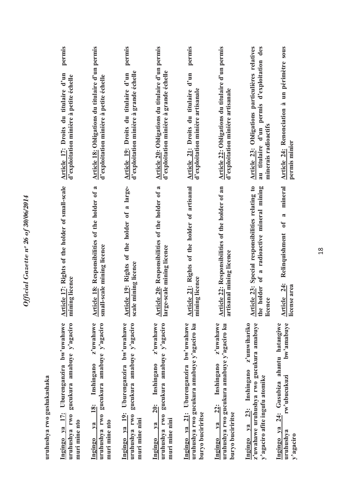| uruhushya rwo gushakashaka                                                                                                      |                                                                                                                         |                                                                                                                        |
|---------------------------------------------------------------------------------------------------------------------------------|-------------------------------------------------------------------------------------------------------------------------|------------------------------------------------------------------------------------------------------------------------|
| Ingingo ya 17: Uburenganzira bw'uwahawe<br>gucukura amabuye y'agaciro<br>uruhushya rwo<br>muri mine nto                         | Article 17: Rights of the holder of small-scale<br>mining licence                                                       | permis<br>Article 17: Droits du titulaire d'un<br>d'exploitation minière à petite échelle                              |
| z'uwahawe<br>gucukura amabuye y'agaciro<br>Inshingano<br>18:<br>uruhushya rwo<br>muri mine nto<br>$1$<br>Ingingo                | Article 18: Responsibilities of the holder of a<br>small-scale mining licence                                           | Article 18: Obligations du titulaire d'un permis<br>d'exploitation minière à petite échelle                            |
| Ingingo ya 19: Uburenganzira bw'uwahawe<br>gucukura amabuye y'agaciro<br>uruhushya rwo<br>muri mine nini                        | Article 19: Rights of the holder of a large-<br>scale mining licence                                                    | permis<br>d'exploitation minière à grande échelle<br>Article 19: Droits du titulaire d'un                              |
| z'uwahawe<br>gucukura amabuye y'agaciro<br>Inshingano<br><b>20:</b><br>uruhushya rwo<br>muri mine nini<br>$1$<br>Ingingo        | Article 20: Responsibilities of the holder of a<br>large-scale mining licence                                           | Article 20: Obligations du titulaire d'un permis<br>d'exploitation minière à grande échelle                            |
| Ingingo ya 21: Uburenganzira bw'uwahawe<br>uruhushya rwo gucukura amabuye y'agaciro ku<br>buryo buciriritse                     | Article 21: Rights of the holder of artisanal<br>mining licence                                                         | permis<br>Article 21: Droits du titulaire d'un<br>d'exploitation minière artisanale                                    |
| z'uwahawe<br>uruhushya rwo gucukura amabuye y'agaciro ku<br>Inshingano<br>22:<br>buryo buciriritse<br>$1$<br>Ingingo            | Article 22: Responsibilities of the holder of an<br>artisanal mining licence                                            | Article 22: Obligations du titulaire d'un permis<br>d'exploitation minière artisanale                                  |
| z'umwihariko<br>z'uwahawe uruhushya rwo gucukura amabuye<br>23: Inshingano<br>y'agaciro afite ingufu atomike<br>$ya$<br>Ingingo | Article 23: Special responsibilities relating to<br>a radioactive mineral mining<br>$\mathbf{f}$<br>the holder<br>cence | Article 23: Obligations particulières relatives<br>au titulaire d'un permis d'exploitation des<br>minerais radioactifs |
| bw'amabuye<br>ahantu hatangiwe<br>rw'ubucukuzi<br>24: Gusubiza<br>Ingingo ya<br>uruhushya<br>y'agaciro                          | mineral<br>$\approx$<br>Relinquishment of<br>Article 24:<br>cense area                                                  | Article 24: Renonciation à un périmètre sous<br>permis minier                                                          |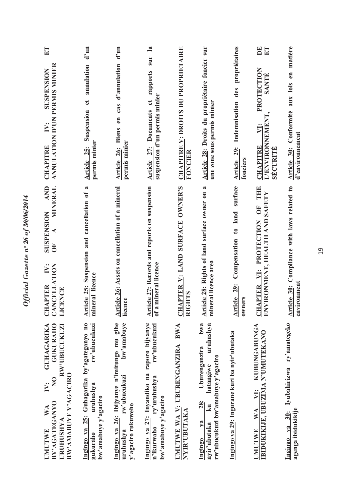| ET<br><b>ANNULATION D'UN PERMIS MINIER</b><br>SUSPENSION<br>N:                                                                                                                         | $d'$ un<br>annulation<br>$\mathbf{e}$<br>Suspension                                                         | $d'$ un<br>Article 26: Biens en cas d'annulation                                                                | $\mathbf{a}$<br>sur<br>et rapports                                                                                | <b>CHAPITRE V: DROITS DU PROPRIETAIRE</b>             | Article 28: Droits du propriétaire foncier sur                                                                                                 | des propriétaires                                        | $\mathbf{D} \mathbf{E}$<br>E<br>PROTECTION<br>SANTÉ<br>VI:                                                                                                                                                                                                                                                                                                                                                                                                                                                                                                       | Article 30: Conformité aux lois en matière                           |
|----------------------------------------------------------------------------------------------------------------------------------------------------------------------------------------|-------------------------------------------------------------------------------------------------------------|-----------------------------------------------------------------------------------------------------------------|-------------------------------------------------------------------------------------------------------------------|-------------------------------------------------------|------------------------------------------------------------------------------------------------------------------------------------------------|----------------------------------------------------------|------------------------------------------------------------------------------------------------------------------------------------------------------------------------------------------------------------------------------------------------------------------------------------------------------------------------------------------------------------------------------------------------------------------------------------------------------------------------------------------------------------------------------------------------------------------|----------------------------------------------------------------------|
| <b>CHAPITRE</b>                                                                                                                                                                        | permis minier<br>Article 25:                                                                                | permis minier                                                                                                   | suspension d'un permis minier<br>Article 27: Documents                                                            | FONCIER                                               | une zone sous permis minier                                                                                                                    | Article 29: Indemnisation<br>fonciers                    | L'ENVIRONNEMENT<br><b>CHAPITRE</b><br>SECURITÉ                                                                                                                                                                                                                                                                                                                                                                                                                                                                                                                   | d'environnement                                                      |
| <b>AND</b><br>MINERAL<br><b>SUSPENSION</b><br>⋖<br>$\overline{0}$<br><b>CANCELLATION</b><br>$\ddot{N}$ :<br><b>CHAPTER</b><br>CENCE<br>$\Box$                                          | $\approx$<br>Article 25: Suspension and cancellation of<br>mineral licence                                  | Article 26: Assets on cancellation of a mineral<br>licence                                                      | Article 27: Records and reports on suspension<br>a mineral licence<br>$\mathfrak{b}$                              | <u>CHAPTER V: LAND SURFACE OWNER'S</u><br>RIGHTS      | Article 28: Rights of land surface owner on a<br>mineral licence area                                                                          | surface<br>Compensation to land<br>Article 29:<br>owners | OF THE<br>$\begin{tabular}{ll} \underline{CHAPTER} & \underline{V1};\\ \underline{ENVIRONMENT},\underline{HEALTH} \end{tabular} \begin{tabular}{ll} \underline{M11} \\ \underline{N11} \\ \underline{N11} \\ \underline{N11} \\ \underline{N11} \\ \underline{N11} \\ \underline{N11} \\ \underline{N11} \\ \underline{N11} \\ \underline{N11} \\ \underline{N11} \\ \underline{N11} \\ \underline{N11} \\ \underline{N11} \\ \underline{N11} \\ \underline{N11} \\ \underline{N11} \\ \underline{N11} \\ \underline{N11} \\ \underline{N11} \\ \underline{N11}$ | Article 30: Compliance with laws related to<br>environment           |
| <b>GUKURAHO</b><br><b>GUHAGARIKA</b><br>RW'UBUCUKUZI<br>BW'AMABUYE Y'AGACIRO<br>$\mathsf{S}$<br>$\ddot{\ge}$<br>BY'AGATEGANYO<br>$\mathbb{W} \mathbb{A}$<br>URUHUSHYA<br><b>UMUTWE</b> | Ingingo ya 25: Guhagarika by'agateganyo no<br>rw'ubucukuzi<br>uruhushya<br>bw'amabuye y'agaciro<br>gukuraho | 26: Ibijyanye n'imitungo mu gihe<br>bw'amabuye<br>rw'ubucukuzi<br>y'agaciro rukuweho<br>Ingingo ya<br>uruhushya | Ingingo ya 27: Inyandiko na raporo bijyanye<br>rw'ubucukuzi<br>ry'uruhushya<br>bw'amabuye y'agaciro<br>n'ikurwaho | UMUTWE WA V: UBURENGANZIRA BWA<br><b>NYIR'UBUTAKA</b> | bwa<br>uruhushya<br>Uburenganzira<br>rw'ubucukuzi bw'amabuye y'agaciro<br>hatangiwe<br>28:<br>k <sub>u</sub><br>$1$<br>nyir'ubutaka<br>Ingingo | Ingingo ya 29: Ingurane kuri ba nyir'ubutaka             | <b>KUBUNGABUNGA</b><br>IBIDUKIKIJE, UBUZIMA N'UMUTEKANO<br>$\overline{\Sigma}$<br>WA<br><b>UMUTWE</b>                                                                                                                                                                                                                                                                                                                                                                                                                                                            | ry'amategeko<br>Iyubahirizwa<br>agenga ibidukikije<br>Ingingo ya 30: |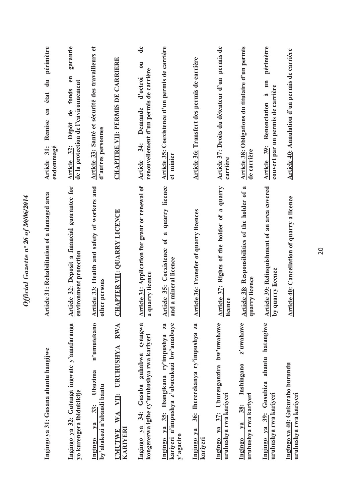| Ingingo ya 31: Gusana ahantu hangijwe                                                               | Article 31: Rehabilitation of a damaged area                            | périmètre<br>$\vec{a}$<br>état<br>$e$ n<br>Remise<br>endommagé<br>Article 31:                                           |
|-----------------------------------------------------------------------------------------------------|-------------------------------------------------------------------------|-------------------------------------------------------------------------------------------------------------------------|
| Ingingo ya 32: Gutanga ingwate y'amafaranga<br>yo kurengera ibidukikije                             | Article 32: Deposit a financial guarantee for<br>environment protection | garantie<br>$\epsilon$ n<br>de la protection de l'environnement<br>de fonds<br>Article 32: Dépôt                        |
| n'umutekano<br>Ubuzima<br>by'abakozi n'abandi bantu<br>$33$ :<br>$1$<br>Ingingo                     | Article 33: Health and safety of workers and<br>other persons           | Article 33: Santé et sécurité des travailleurs et<br>d'autres personnes                                                 |
| <b>RWA</b><br><b>URUHUSHYA</b><br>VII:<br>WA<br><b>KARIYERI</b><br><b>UMUTWE</b>                    | <b>CHAPTER VII: QUARRY LICENCE</b>                                      | <b>CHAPITRE VII: PERMIS DE CARRIERE</b>                                                                                 |
| cyangwa<br>kongererwa igihe cy'uruhushya rwa kariyeri<br>Gusaba guhabwa<br>$ya$ 34:<br>Ingingo      | Article 34: Application for grant or renewal of<br>quarry licence<br>R  | de<br>$\overline{\mathbf{u}}$<br>renouvellement d'un permis de carrière<br>d'octroi<br>Demande<br>34:<br><b>Article</b> |
| kariyeri n'impushya z'ubucukuzi bw'amabuye<br>Ingingo ya 35: Ibangikana ry'impushya za<br>y'agaciro | Article 35: Coexistence of a quarry licence<br>and a mineral licence    | Article 35: Coexistence d'un permis de carrière<br>et minier                                                            |
| 36: Ihererekanya ry'impushya za<br>Ingingo ya<br>kariyeri                                           | <b>Article 36: Transfer of quarry licences</b>                          | Article 36: Transfert des permis de carrière                                                                            |
| 37: Uburenganzira bw'uwahawe<br>uruhushya rwa kariyeri<br>Ingingo ya                                | Article 37: Rights of the holder of a quarry<br>licence                 | Article 37: Droits du détenteur d'un permis de<br>carrière                                                              |
| z'uwahawe<br>Inshingano<br>uruhushya rwa kariyeri<br>38:<br>ya<br>Ingingo                           | Article 38: Responsibilities of the holder of a<br>uarry licence<br>σ   | Article 38: Obligations du titulaire d'un permis<br>de carrière                                                         |
| ahantu hatangiwe<br>Ingingo ya 39: Gusubiza<br>uruhushya rwa kariyeri                               | Article 39: Relinquishment of an area covered<br>y quarry licence<br>ء  | périmètre<br>à un<br>couvert par un permis de carrière<br>Renonciation<br>Article 39:                                   |
| Ingingo ya 40: Gukuraho burundu<br>uruhushya rwa kariyeri                                           | Article 40: Cancellation of quarry a licence                            | Article 40: Annulation d'un permis de carrière                                                                          |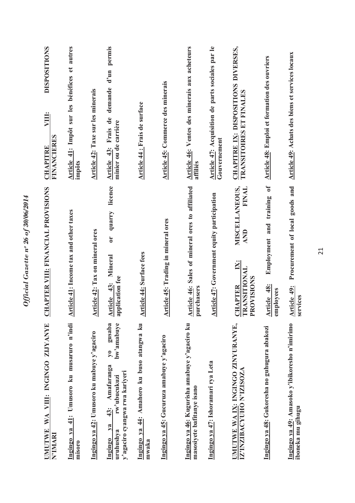| WA VIII: INGINGO ZIJYANYE<br><b>IMITTWE</b><br>N'IMARI                                                                                            | CHAPTER VIII: FINANCIAL PROVISIONS                                                              | <b>DISPOSITIONS</b><br>VIII:<br><b>FINANCIERES</b><br><b>CHAPITRE</b>   |
|---------------------------------------------------------------------------------------------------------------------------------------------------|-------------------------------------------------------------------------------------------------|-------------------------------------------------------------------------|
| Umusoro ku musaruro n'indi<br>Ingingo ya 41:<br>misoro                                                                                            | Article 41: Income tax and other taxes                                                          | Article 41: Impôt sur les bénéfices et autres<br>impôts                 |
| Ingingo ya 42: Umusoro ku mabuye y'agaciro                                                                                                        | Article 42: Tax on mineral ores                                                                 | Article 42: Taxe sur les minerais                                       |
| gusaba<br>bw'amabuye<br>$\mathbf{y_0}$<br>Amafaranga<br>y'agaciro cyangwa rwa kariyeri<br>rw'ubucukuzi<br>$43$ :<br>$Y$ a<br>uruhushya<br>Ingingo | licence<br>quarry<br>$\overline{C}$<br>Article 43: Mineral<br>application fee                   | d'un permis<br>demande<br>Article 43: Frais de<br>minier ou de carrière |
| Ingingo ya 44: Amahoro ku buso atangwa ku<br>mwaka                                                                                                | <b>Article 44: Surface fees</b>                                                                 | Article 44 : Frais de surface                                           |
| Ingingo ya 45: Gucuruza amabuye y'agaciro                                                                                                         | Article 45: Trading in mineral ores                                                             | Article 45: Commerce des minerais                                       |
| Ingingo ya 46: Kugurisha amabuye y'agaciro ku<br>masosiyete bafitanye isano                                                                       | Article 46: Sales of mineral ores to affiliated<br>purchasers                                   | Article 46: Ventes des minerais aux acheteurs<br>affiliés               |
| Ingingo ya 47: Ishoramari rya Leta                                                                                                                | <b>Article 47: Government equity participation</b>                                              | Article 47: Acquisition de parts sociales par le<br>Gouvernement        |
| UMUTWE WA IX: INGINGO ZINYURANYE,<br>IZ'INZIBACYUHO N'IZISOZA                                                                                     | MISCELLANEOUS,<br>FINAL<br>AND<br>$\mathbb{X}$<br><b>CHAPTER<br/>TRANSITIONAL</b><br>PROVISIONS | CHAPITRE IX: DISPOSITIONS DIVERSES,<br>TRANSITOIRES ET FINALES          |
| Ingingo ya 48: Gukoresha no guhugura abakozi                                                                                                      | Employment and training of<br>Article 48:<br>employees                                          | <b>Article 48:</b> Emploi et formation des ouvriers                     |
| Ingingo ya 49: Amasoko y'ibikoresho n'imirimo<br>iboneka mu gihugu                                                                                | Procurement of local goods and<br>Article 49:<br>services                                       | Article 49: Achats des biens et services locaux                         |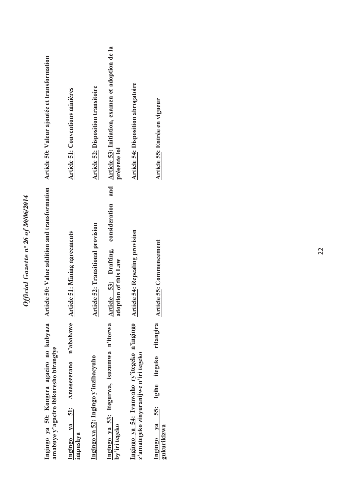| Article 50: Valeur ajoutée et transformation                                        | Article 51: Conventions minières                       | <b>Article 52: Disposition transitoire</b> | Article 53: Initiation, examen et adoption de la<br>présente loi<br>and<br>consideration | Article 54: Disposition abrogatoire                                                   | Article 55: Entrée en vigueur                               |
|-------------------------------------------------------------------------------------|--------------------------------------------------------|--------------------------------------------|------------------------------------------------------------------------------------------|---------------------------------------------------------------------------------------|-------------------------------------------------------------|
| <b>Article 50: Value addition and transformation</b>                                | <b>Article 51: Mining agreements</b>                   | <b>Article 52: Transitional provision</b>  | Article 53: Drafting,<br>doption of this Law                                             | <b>Article 54: Repealing provision</b>                                                | <b>Article 55: Commencement</b>                             |
| Ingingo ya 50: Kongera agaciro no kubyaza<br>amabuye y'agaciro ibikoresho birangiye | n'abahawe<br>Amasezerano<br>Ingingo ya 51:<br>impushya | Ingingo ya 52: Ingingo y'inzibacyuho       | Ingingo ya 53: Itegurwa, isuzumwa n'itorwa<br>by'iri tegeko                              | Ingingo ya 54: Ivanwaho ry'itegeko n'ingingo<br>z'amategeko zinyuranijwe n'iri tegeko | ritangira<br>55: Igihe itegeko<br>Ingingo ya<br>gukurikizwa |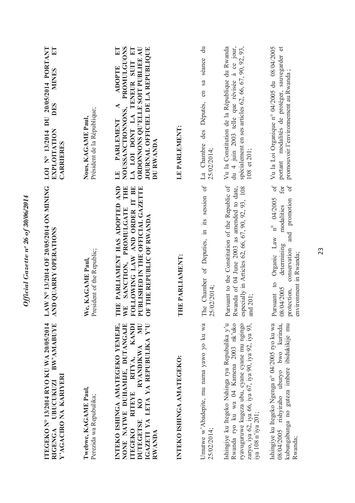| ITEGEKO Nº 13/2014 RYO KU WA 20/05/2014<br>BW'AMABUYE<br>Y'AGACIRO NA KARIYERI<br>UBUCUKUZI<br>RIGENGA                                                                                                                     | LAW N° 13/2014 OF 20/05/2014 ON MINING<br>AND QUARRY OPERATIONS                                                                                                                                      | $\frac{1}{2}$<br>LOI Nº 13/2014 DU 20/05/2014 PORTANT<br><b>MINES</b><br>DES<br><b>EXPLOITATION</b><br><b>CARRIERES</b>                                                                                                                  |
|----------------------------------------------------------------------------------------------------------------------------------------------------------------------------------------------------------------------------|------------------------------------------------------------------------------------------------------------------------------------------------------------------------------------------------------|------------------------------------------------------------------------------------------------------------------------------------------------------------------------------------------------------------------------------------------|
| Twebwe, KAGAME Paul,<br>Perezida wa Repubulika;                                                                                                                                                                            | President of the Republic;<br>We, KAGAME Paul                                                                                                                                                        | Président de la République;<br>Nous, KAGAME Paul,                                                                                                                                                                                        |
| INTEKO ISHINGA AMATEGEKO YEMEJE,<br>IGAZETI YA LETA YA REPUBULIKA Y'U<br>NONE NATWE DUHAMIJE, DUTANGAJE<br>KANDI<br>KO RYANDIKWA MU<br>RITEYE RITYA,<br>DUTEGETSE<br><b>ITEGEKO</b><br>RWANDA                              | THE PARLIAMENT HAS ADOPTED AND<br>FOLLOWING LAW AND ORDER IT BE<br>THE<br>PUBLISHED IN THE OFFICIAL GAZETTE<br>SANCTION, PROMULGATE<br>OF THE REPUBLIC OF RWANDA<br><b>WE</b>                        | NOUSSANCTIONNONS, PROMULGUONS<br>LA LOI DONT LA TENEUR SUIT ET<br>$E\mathbf{T}$<br>ORDONNONS QU'ELLE SOIT PUBLIEE AU<br>JOURNAL OFFICIEL DE LA REPUBLIQUE<br><b>ADOPTE</b><br>$\blacktriangleleft$<br><b>PARLEMENT</b><br>DU RWANDA<br>H |
| INTEKO ISHINGA AMATEGEKO:                                                                                                                                                                                                  | HE PARLIAMENT:<br>E                                                                                                                                                                                  | LE PARLEMENT:                                                                                                                                                                                                                            |
| Umutwe w'Abadepite, mu nama yawo yo ku wa<br>25/02/2014;                                                                                                                                                                   | The Chamber of Deputies, in its session of<br>25/02/2014;                                                                                                                                            | $\ddot{a}$<br>séance<br>sa<br>en<br>des Députés,<br>La Chambre<br>25/02/2014;                                                                                                                                                            |
| Ishingiye ku Itegeko Nshinga rya Repubulika y'u<br>Rwanda ryo ku wa 04 Kamena 2003 nk'uko<br>ryavuguruwe kugeza ubu, cyane cyane mu ngingo<br>zaryo, iya 62, iya 66, iya 67, iya 90, iya 92, iya 93,<br>iya 108 n'iya 201; | Pursuant to the Constitution of the Republic of<br>especially in Articles 62, 66, 67, 90, 92, 93, 108<br>Rwanda of 04 June 2003 as amended to date,<br>and 201;                                      | Vu la Constitution de la République du Rwanda<br>du 4 juin 2003 telle que révisée à ce jour,<br>spécialement en ses articles 62, 66, 67, 90, 92, 93,<br>108 et 201;                                                                      |
| Ishingiye ku Itegeko Ngenga n° 04/2005 ryo ku wa<br>08/04/2005 rishyiraho uburyo bwo kurinda,<br>kubungabunga no guteza imbere ibidukikije mu<br>Rwanda;                                                                   | $\sigma$<br>$\sigma$ f<br>for<br>$n^0$ 04/2005<br>promotion<br>modalities<br>and<br>Organic Law<br>determining<br>conservation<br>environment in Rwanda;<br>Pursuant to<br>08/04/2005<br>protection, | portant modalités de protéger, sauvegarder et<br>Vu la Loi Organique nº 04/2005 du 08/04/2005<br>promouvoir l'environnement au Rwanda;                                                                                                   |

Official Gazette nº 26 of 30/06/2014 *Official Gazette nᵒ 26 of 30/06/2014*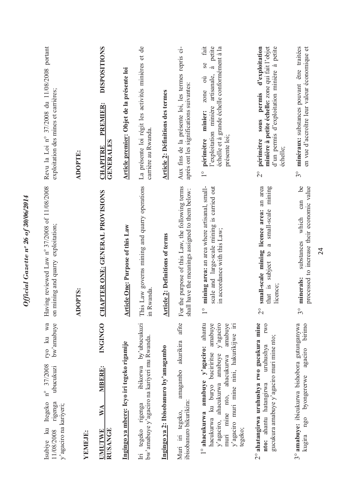| Revu la Loi nº 37/2008 du 11/08/2008 portant<br>exploitation des mines et carrières;                                                    | ADOPTE:           | <b>DISPOSITIONS</b><br>PREMIER:<br><b>GENERALES</b><br><b>CHAPITRE</b>                       | Article premier: Objet de la présente loi  | La présente loi régit les activités minières et de<br>carrière au Rwanda.                 | <b>Article 2: Définitions des termes</b> | Aux fins de la présente loi, les termes repris ci-<br>après ont les significations suivantes:       | fait<br>à petite<br>échelle et à grande échelle conformément à la<br>Se<br>l'exploitation minière artisanale,<br>zone où<br>minier:<br>présente loi;<br>périmètre<br>$\overset{\circ}{\phantom{0}}$                               | d'exploitation<br>d'un permis d'exploitation minière à petite<br>minière à petite échelle: zone qui fait l'objet<br>permis<br><b>Sous</b><br>périmètre<br>échelle;<br>$\overset{\circ}{\sim}$ | minéraux: substances pouvant être traitées<br>en vue d'accroître leur valeur économique et<br>$\mathcal{S}^{\circ}$ |
|-----------------------------------------------------------------------------------------------------------------------------------------|-------------------|----------------------------------------------------------------------------------------------|--------------------------------------------|-------------------------------------------------------------------------------------------|------------------------------------------|-----------------------------------------------------------------------------------------------------|-----------------------------------------------------------------------------------------------------------------------------------------------------------------------------------------------------------------------------------|-----------------------------------------------------------------------------------------------------------------------------------------------------------------------------------------------|---------------------------------------------------------------------------------------------------------------------|
| Having reviewed Law nº 37/2008 of 11/08/2008<br>on mining and quarry exploitation;                                                      | <b>OPTS:</b><br>₹ | <b>CHAPTER ONE: GENERAL PROVISIONS</b>                                                       | <b>Article One: Purpose of this Law</b>    | This Law governs mining and quarry operations<br>in Rwanda                                | <b>Article 2: Definitions of terms</b>   | For the purpose of this Law, the following terms<br>shall have the meanings assigned to them below: | mining area: an area where artisanal, small-<br>scale and large-scale mining is carried out<br>in accordance with this Law;                                                                                                       | small-scale mining licence area: an area<br>mining<br>small-scale<br>a<br>subject to<br>that is<br>licence;<br>$\overset{\circ}{\sim}$                                                        | be<br>processed to increase their economic value<br>can<br>which<br>substances<br>minerals:<br>$\frac{1}{3}$        |
| ryo ku wa<br>bw'amabuye<br>$n^{\circ}$ 37/2008<br>ubucukuzi<br>Itegeko<br>rigenga<br>y'agaciro na kariyeri;<br>Isubive ku<br>11/08/2008 | YEMEJE:           | <b>INGINGO</b><br><b>MBERE:</b><br>$\mathbb{V}\mathbb{A}$<br><b>RUSANGE</b><br><b>UMUTWE</b> | Ingingo ya mbere: Icyo iri tegeko rigamije | ibikorwa by'ubucukuzi<br>bw'amabuye y'agaciro na kariyeri mu Rwanda<br>Iri tegeko rigenga | Ingingo ya 2: Ibisobanuro by'amagambo    | amagambo akurikira afite<br>ibisobanuro bikurikira:<br>Muri iri tegeko,                             | l° ahacukurwa amabuye y'agaciro: ahantu<br>y'agaciro<br>amabuye<br>amabuye<br>y'agaciro muri mine nini, hakurikijwe iri<br>hacukurwa ku buryo bucirritse<br>y'agaciro, ahacukurwa amabuye<br>muri mine nto, ahacukurwa<br>tegeko; | 2° ahatangirwa uruhushya rwo gucukura mine<br><b>IWO</b><br>gucukura amabuye y'agaciro muri mine nto;<br>uruhushya<br>nto: ahantu hatangirwa                                                  | 3° amabuye: ibicukurwa bishobora gutunganywa<br>birimo<br>agaciro<br>byongererwe<br>$n_{g0}$<br>kugira              |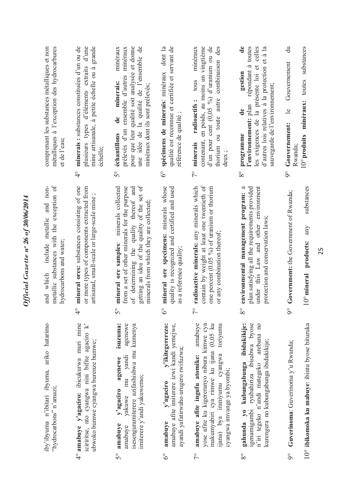| métalliques à l'exception des hydrocarbures<br>comprenant les substances métalliques et non<br>et de l'eau;       | minerais : substances constituées d'un ou de<br>plusieurs types d'éléments extraits d'une<br>mine artisanale, à petite échelle ou à grande<br>échelle;<br>$\frac{1}{4}$ | pour que leur qualité soit analysée et donne<br>une idée de la qualité de l'ensemble de<br>minéraux<br>minéraux<br>ensemble d'autres<br>minerais:<br>minéraux dont ils sont prélevés;<br>de<br>prélevés d'un<br>échantillons<br>$\mathcal{S}^{\circ}$ | spécimens de minerais: minéraux dont la<br>qualité est reconnue et certifiée et servant de<br>référence de qualité;<br>$\delta^{\circ}$             | d'un pour cent (0,05 %) d'uranium ou de<br>contenant, en poids, au moins un vingtième<br>des<br>minéraux<br>thorium ou toute autre combinaison<br>tous<br>radioactifs:<br>minerais<br>deux<br>$\sqrt{2}$                              | $\mathbf{d}\mathbf{e}$<br>répondant à toutes<br>les exigences de la présente loi et celles<br>d'autres lois relatives à la protection et à la<br>gestion<br>sauvegarde de l'environnement;<br>l'environnement: plan<br>$\mathbf{e}$<br>programme<br>$8^{\circ}$ | $\ddot{a}$<br>substances<br>Gouvernement<br>minéraux: toutes<br>$\mathbf{e}$<br>Gouvernement:<br>$10^{\circ}$ produits<br>Rwanda <sup>®</sup><br>$\delta$ |
|-------------------------------------------------------------------------------------------------------------------|-------------------------------------------------------------------------------------------------------------------------------------------------------------------------|-------------------------------------------------------------------------------------------------------------------------------------------------------------------------------------------------------------------------------------------------------|-----------------------------------------------------------------------------------------------------------------------------------------------------|---------------------------------------------------------------------------------------------------------------------------------------------------------------------------------------------------------------------------------------|-----------------------------------------------------------------------------------------------------------------------------------------------------------------------------------------------------------------------------------------------------------------|-----------------------------------------------------------------------------------------------------------------------------------------------------------|
| metallic substances with the exception of<br>and non-<br>include metallic<br>hydrocarbons and water;<br>and which | mineral ores: substances consisting of one<br>or more types of components extracted from<br>artisanal, small-scale or large-scale mine<br>O<br>↴                        | getting an idea of the quality of the set of<br>mineral ore samples: minerals collected<br>from a set of other minerals for the purpose<br>of determining the quality thereof and<br>minerals from which they are collected;<br>$\mathcal{S}^{\circ}$ | mineral ore specimens: minerals whose<br>quality is recognized and certified and used<br>as a reference quality;<br>$\frac{6}{3}$                   | radioactive minerals: any minerals which<br>contain by weight at least one twentieth of<br>one percent (0.05 %) of uranium or thorium<br>or any combination thereof;<br>$\overline{c}$                                                | plan satisfying all the requirements provided<br>under this Law and other environment<br>environmental management program:<br>protection and conservation laws;<br>$8^{\circ}$                                                                                  | substances<br>Government: the Government of Rwanda;<br>any<br>products:<br>$10^{\circ}$ mineral<br>$\delta$                                               |
| iby'ibyuma n'ibitari ibyuma, ariko hatarimo<br>"hydrocarbons" n'amazi;                                            | 4° amabuye y'agaciro: ibicukurwa muri mine<br>iciriitise, nto cyangwa nini bifite agaciro $k$ ?<br>ubwoko bumwe cyangwa burenze bumwe;                                  | isuzuma:<br>agenewe<br>isesenguramiterere azifashishwa mu kumenya<br>mu yandi<br>agenewe<br>imiterere y'andi yakuwemo;<br>y'agaciro<br>yakuwe<br>amabuye<br>amabuye<br>S°                                                                             | amabuye afite imiterere izwi kandi yemejwe,<br>y'ikitegererezo:<br>ayandi yafatirwaho urugero rwifuzwa;<br>y'agaciro<br>amabuve<br>$\delta^{\circ}$ | amabuye<br>yose afite ku kigereranyo nibura kimwe cya<br>makumyabiri cya rimwe ku ijana (0,05 ku<br>toriyumu<br>ijana) bya iraniyumu cyangwa<br>amabuye afite ingufu atomike:<br>cyangwa imvange ya byombi;<br>$\overline{7}^{\circ}$ | gahunda yo kubungabunga ibidukikije:<br>igenamigambi ryubahiriza ibisabwa byose<br>n'iri tegeko n'andi mategeko arebana no<br>kurengera no kubungabunga ibidukikije;<br>$8^{\circ}$                                                                             | 10° ibikomoka ku mabuye: ibintu byose bituruka<br>Guverinoma: Guverinoma y'u Rwanda;<br>$\delta$                                                          |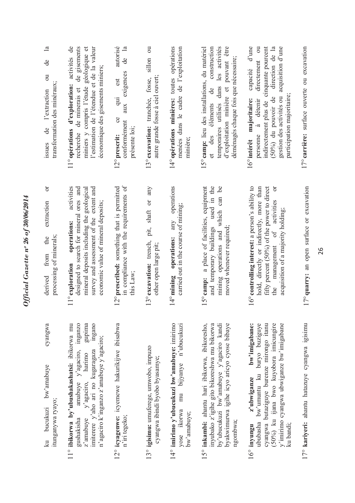| $\mathbb{E}$<br>de<br>$\overline{5}$<br>transformation des minéraux;<br>de l'extraction<br>issues | activités de<br>de gisements<br>miniers y compris l'étude géologique et<br>l'estimation de l'étendue et de la valeur<br>économique des gisements miniers;<br>11° opérations d'exploration:<br>recherche de minerais et               | autorisé<br>$\mathbb{R}$<br>g<br>exigences<br>est<br>$\overline{a}$<br>aux<br><b>es</b><br>conformément<br>présente loi;<br>12° prescrit: | sillon ou<br>autre grande fosse à ciel ouvert;<br>13° excavation: tranchée, fosse, | 14° opérations minières: toutes opérations<br>menées dans le cadre de l'exploitation<br>minière;     | 15° camp: lieu des installations, du matériel<br>d'exploitation minière et pouvant être<br>construction<br>temporaires utilisés dans les activités<br>déménagés chaque fois que nécessaire;<br>et des éléments de | indirectement plus de cinquante pourcent<br>d'une<br>direction de la<br>acquisition d'une<br>directement ou<br>capacité<br>participation majoritaire;<br>gestion des activités ou<br>$(50\%)$ du pouvoir de<br>16° intérêt majoritaire:<br>personne à détenir |
|---------------------------------------------------------------------------------------------------|--------------------------------------------------------------------------------------------------------------------------------------------------------------------------------------------------------------------------------------|-------------------------------------------------------------------------------------------------------------------------------------------|------------------------------------------------------------------------------------|------------------------------------------------------------------------------------------------------|-------------------------------------------------------------------------------------------------------------------------------------------------------------------------------------------------------------------|---------------------------------------------------------------------------------------------------------------------------------------------------------------------------------------------------------------------------------------------------------------|
| ð<br>extraction<br>processing of minerals;<br>the<br>from<br>derived                              | activities<br>survey and assessment of the extent and<br>designed to search for mineral ores and<br>mineral deposits including the geological<br>economic value of mineral deposits;<br>operations:<br>11° exploration               | in compliance with the requirements of<br>12° prescribed: something that is permitted<br>this Law;                                        | pit, shaft or any<br>13° excavation: trench,<br>other open large pit;              | operations<br>carried out in the course of mining;<br>any<br>14° mining operations:                  | and temporary buildings used in the<br>mining operations and which can be<br>15° camp: a place of facilities, equipment<br>moved whenever required;                                                               | 16° controlling interest: a person's ability to<br>hold, directly or indirectly, more than<br>fifty percent (50%) of the power to direct<br>ð<br>the management of activities<br>acquisition of a majority holding;                                           |
| cyangwa<br>bucukuzi bw'amabuye<br>itunganywa ryayo;<br>$\overline{\mathbf{a}}$                    | 11° ibikorwa by'ubushakashatsi: ibikorwa mu<br>inganzo<br>gupima<br>ingano<br>n'agaciro k'inganzo z'amabuye y'agaciro;<br>amabuye y'agaciro,<br>imiterere y'aho ari no kugaragaza<br>harimo<br>y'agaciro,<br>gushakisha<br>z'amabuye | 12° icyagenwe: icyemewe hakurikijwe ibisabwa<br>n'iri tegeko;                                                                             | 13° igisimu: umuferege, umwobo, impuzo<br>cyangwa ibindi byobo byasamye;           | 14° imirimo y'ubucukuzi bw'amabuye: imirimo<br>mu bijyanye n'ubucukuzi<br>yose ikorwa<br>bw'amabuye; | 15° inkambi: ahantu hari ibikorwa, ibikoresho,<br>byakwimurwa igihe icyo aricyo cyose bibaye<br>inyubako z'igihe gito bikoreshwa mu bikorwa<br>by'ubucukuzi bw'amabuye y'agaciro kandi<br>ngombwa;                | bw'imigabane:<br>ububasha bw'umuntu ku buryo buziguye<br>cyangwa butaziguye burenze mirongo itanu<br>(50%) ku ijana bwo kuyobora imicungire<br>y'imirimo cyangwa ubwiganze bw'imigabane<br>z'ubwiganze<br>ku bandı;<br>$16^\circ$ inyungu                     |

Official Gazette nº 26 of 30/06/2014

17° kariyeri: ahantu hatazuye cyangwa igisimu 17° **kariyeri:** ahantu hatazuye cyangwa igisimu 26

17°**quarry:** an open surface or excavation

17° quarry: an open surface or excavation

17° carrière: surface ouverte ou excavation 17° **carrière:** surface ouverte ou excavation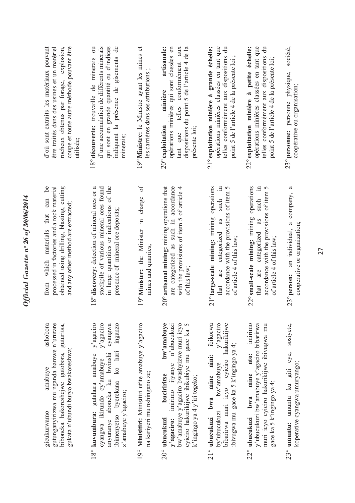| d'où sont extraits les matériaux pouvant<br>rocheux obtenus par forage, explosion,<br>coupe et toute autre méthode pouvant être<br>être traités dans des usines et un matériel<br>utilisée; | indiquant la présence de gisements de<br>18° découverte: trouvaille de minerais ou<br>d'une accumulation de différents minerais<br>qui sont en grande quantité ou d'indices<br>minerais;                | 19° Ministre: le Ministre ayant les mines et<br>les carrières dans ses attributions | artisanale:<br>dispositions du point 5 de l'article 4 de la<br>opérations minières qui sont classées en<br>telles conformément aux<br>minière<br>$20^{\circ}$ exploitation<br>présente loi;<br>tant que         | opérations minières classées en tant que<br>$\overline{a}$<br>21° exploitation minière à grande échelle:<br>point 5 de l'article 4 de la présente loi ;<br>telles conformément aux dispositions | opérations minières classées en tant que<br>22° exploitation minière à petite échelle:<br>$\vec{a}$<br>telles conformément aux dispositions<br>point 5 de l'article 4 de la présente loi; | société,<br>23° personne: personne physique,<br>coopérative ou organisation;                 |
|---------------------------------------------------------------------------------------------------------------------------------------------------------------------------------------------|---------------------------------------------------------------------------------------------------------------------------------------------------------------------------------------------------------|-------------------------------------------------------------------------------------|-----------------------------------------------------------------------------------------------------------------------------------------------------------------------------------------------------------------|-------------------------------------------------------------------------------------------------------------------------------------------------------------------------------------------------|-------------------------------------------------------------------------------------------------------------------------------------------------------------------------------------------|----------------------------------------------------------------------------------------------|
| $\infty$<br>obtained using drilling, blasting, cutting<br>processed in factories and a rock material<br>can<br>and any other method are extracted;<br>that<br>from which materials          | 18° discovery: detection of mineral ores or a<br>stockpile of various mineral ores found<br>in large quantities or indications of the<br>presence of mineral ore deposits;                              | $\sigma$<br>charge<br>19° Minister: the Minister in<br>mines and quarries;          | 20° artisanal mining: mining operations that<br>are categorized as such in accordance<br>with the provisions of item 5 of article 4<br>of this law;                                                             | operations<br>such in<br>accordance with the provisions of item 5<br>21° large-scale mining: mining<br>as<br>are categorized<br>of article 4 of this law;<br>$\tan$                             | operations<br>such in<br>accordance with the provisions of item 5<br>22° small-scale mining: mining<br>as<br>that are categorized<br>of article 4 of this law;                            | $\mathfrak{a}$<br>company,<br>an individual, a<br>cooperative or organization<br>23° person: |
| gutunganyirizwa mu nganda hamwe n'urutare<br>guturitsa,<br>ashobora<br>gukata n'ubundi buryo bwakoreshwa;<br>biboneka hakoreshejwe gutobora,<br>amabuve<br>gicukurwamo                      | y'agaciro<br>y'agaciro<br>inganzo<br>cyangwa<br>ibimenyetso byerekana ko hari<br>18° kuvumbura: gutahura amabuye<br>anyuranye aboneka ku bwinshi<br>cyangwa ikirundo cy'amabuye<br>z'amabuye y'agaciro; | 19° Minisitiri: Minisitiri ufite amabuye y'agaciro<br>na kariyeri mu nshingano ze;  | bw'amabuye<br>bw'amabuye y'agaciro bwashyizwe muri icyo<br>y'agaciro: imirimo ijyanye n'ubucukuzi<br>cyiciro hakurikijwe ibikubiye mu gace ka 5<br>buciriritse<br>k'ingingo ya 4 y'iri tegeko;<br>20° ubucukuzi | 21° ubucukuzi bwa mine nini: ibikorwa<br>$y'$ agaciro<br>bibarirwa muri icyo cyiciro hakurikijwe<br>ibivugwa mu gace ka 5 k'ingingo ya 4;<br>bw'amabuye<br>by'ubucukuzi                         | imirimo<br>y'ubucukuzi bw'amabuye y'agaciro bibarirwa<br>muri icyo cyiciro hakurikijwe ibivugwa mu<br>22° ubucukuzi bwa mine nto:<br>gace ka 5 k'ingingo ya 4;                            | sosiyete,<br>23° <b>umuntu:</b> umuntu ku giti cye,<br>koperative cyangwa umuryango;         |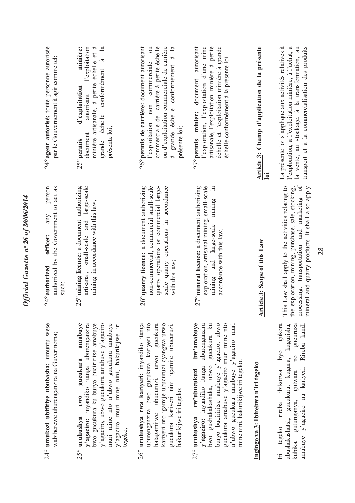| 24° umukozi ubifitiye ububasha: umuntu wese<br>wabiherewe uburenganzira na Guverinoma;                                                                                                                                                                                                                                                | person<br>authorized by the Government to act as<br>any<br>officer:<br>$24^{\circ}$ authorized<br>such;                                                                                                     | 24° agent autorisé: toute personne autorisée<br>par le Gouvernement à agir comme tel;                                                                                                                                            |
|---------------------------------------------------------------------------------------------------------------------------------------------------------------------------------------------------------------------------------------------------------------------------------------------------------------------------------------|-------------------------------------------------------------------------------------------------------------------------------------------------------------------------------------------------------------|----------------------------------------------------------------------------------------------------------------------------------------------------------------------------------------------------------------------------------|
| amabuve<br>y'agaciro, ubwo gucukura amabuye y'agaciro<br>y'agaciro: inyandiko itanga uburenganzira<br>bwo gucukura ku buryo buciriritse amabuye<br>muri mine nto n'ubwo gucukura amabuye<br>y'agaciro muri mine nini, hakurikijwe iri<br>gucukura<br>rw <sub>0</sub><br>$25^\circ$ uruhushya<br>tegeko;                               | large-scale<br>5° mining licence: a document authorizing<br>mining in accordance with this law;<br>artisanal, small-scale and<br>$\mathbf{\sim}$                                                            | minière artisanale, à petite échelle et à<br>$\frac{a}{a}$<br>minière:<br>l'exploitation<br>échelle conformément à<br>d'exploitation<br>autorisant<br>présente loi;<br>document<br>grande<br>25° permis                          |
| 26° uruhushya rwa kariyeri: inyandiko itanga<br>uburenganzira bwo gucukura kariyeri nto<br>kariyeri nto igamije ubucuruzi cyangwa urwo<br>hatagamijwe ubucuruzi, urwo gucukura<br>gucukura kariyeri nini igamije ubucuruzi,<br>hakurikijwe iri tegeko;                                                                                | 6° quarry licence: a document authorizing<br>non-commercial, commercial small-scale<br>quarry operations or commercial large-<br>scale quarry operations in accordance<br>with this law;<br>$\mathbf 2$     | 26° permis de carrière: document autorisant<br>l'exploitation non commerciale ou<br>commerciale de carrière à petite échelle<br>ou d'exploitation commerciale de carrière<br>à grande échelle conformément à la<br>présente loi; |
| buryo buciriitise amabuye y'agaciro, ubwo<br>gucukura amabuye y'agaciro muri mine nto<br>bw'amabuye<br>uburenganzira<br>$\mathbb{E}$<br>n'ubwo gucukura amabuye y'agaciro muri<br>gucukura<br>mine nini, hakurikijwe iri tegeko.<br>owo gushakakashaka, ubwo<br>y'agaciro: inyandiko itanga<br>rw'ubucukuzi<br>$27^{\circ}$ uruhushya | 27° mineral licence: a document authorizing<br>exploration, artisanal mining, small-scale<br>$\Xi$<br>mining<br>mining and large-scale<br>accordance with this law.                                         | échelle et l'exploitation minière à grande<br>27° permis minier: document autorisant<br>l'exploration, l'exploitation d'une mine<br>artisanale, l'exploitation minière à petite<br>échelle conformément à la présente loi.       |
| Ingingo ya 3: Ibirebwa n'iri tegeko                                                                                                                                                                                                                                                                                                   | Article 3: Scope of this Law                                                                                                                                                                                | Article 3: Champ d'application de la présente<br>loi                                                                                                                                                                             |
| Iri tegeko rireba ibikorwa byo gukora<br>amabuye y'agaciro na kariyeri. Rireba kandi<br>ubushakashatsi, gucukura, kugura, kugurisha,<br>kubika, gutunganya, gutwara no gucuruza                                                                                                                                                       | processing, transportation and marketing of<br>This Law shall apply to the activities relating to<br>the exploration, mining, purchase, sale, stocking,<br>mineral and quarry products. It shall also apply | La présente loi s'applique aux activités relatives à<br>l'exploration, à l'exploitation minière, à l'achat, à<br>la vente, au stockage, à la transformation, au<br>transport et à la commercialisation des produits              |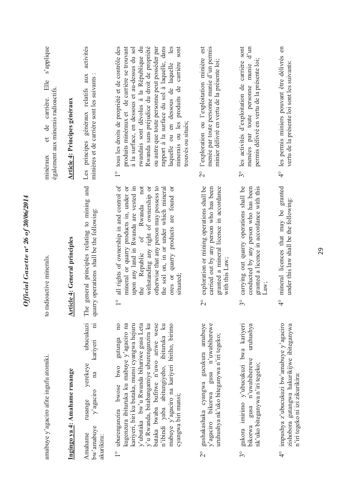| amabuye y'agaciro afite ingufu atomiki.                                                                                                                                                                                                                                                                                                                                                                                            | to radioactive minerals.                                                                                                                                                                                                                                                                                                                                                   | s'applique<br>Elle<br>également aux minerais radioactifs.<br>de carrière.<br>$\sigma$<br>minéraux                                                                                                                                                                                                                                                                                                                                                                                      |
|------------------------------------------------------------------------------------------------------------------------------------------------------------------------------------------------------------------------------------------------------------------------------------------------------------------------------------------------------------------------------------------------------------------------------------|----------------------------------------------------------------------------------------------------------------------------------------------------------------------------------------------------------------------------------------------------------------------------------------------------------------------------------------------------------------------------|----------------------------------------------------------------------------------------------------------------------------------------------------------------------------------------------------------------------------------------------------------------------------------------------------------------------------------------------------------------------------------------------------------------------------------------------------------------------------------------|
| Ingingo ya 4: Amahame rusange                                                                                                                                                                                                                                                                                                                                                                                                      | <b>Article 4: General principles</b>                                                                                                                                                                                                                                                                                                                                       | <b>Article 4: Principes généraux</b>                                                                                                                                                                                                                                                                                                                                                                                                                                                   |
| ubucukuzi<br>$\Box$<br>kariyeri<br>yerekeye<br>na<br>$y'$ agaciro<br>rusange<br>bw'amabuye<br>Amahame<br>akurikira:                                                                                                                                                                                                                                                                                                                | and<br>general principles relating to mining<br>quarry operations shall be the following:<br>The                                                                                                                                                                                                                                                                           | activités<br>aux<br>minières et de carrière sont les suivants :<br>Les principes généraux relatifs                                                                                                                                                                                                                                                                                                                                                                                     |
| kariyeri, biri ku butaka, munsi cyangwa hejuru<br>y'u Rwanda, bitabangamiye uburenganzira ku<br>n'ibindi yaba abitungiyeho, ibituruka ku<br>10 <sub>0</sub><br>y'ubutaka bw'u Rwanda bihariwe gusa Leta<br>butaka bwaba bufitwe n'uwo ariwe wese<br>mabuye y'agaciro na kariyeri biriho, birimo<br>kugenzura ibituruka ku mabuye y'agaciro na<br>gutunga<br>uburenganzira bwose bwo<br>cyangwa biri munsi;<br>$\frac{1}{\sqrt{2}}$ | all rights of ownership in and control of<br>not<br>otherwise that any person may possess to<br>upon any land in Rwanda are vested in<br>ores or quarry products are found or<br>mineral or quarry products in, under or<br>withstanding any right of ownership or<br>the soil on, in or under which mineral<br>the Republic of Rwanda<br>situated<br>$\frac{1}{\sqrt{2}}$ | Rwanda sans préjudice du droit de propriété<br>sont<br>tous les droits de propriété et de contrôle des<br>produits minéraux et de carrière se trouvant<br>rwandais sont dévolus à la République du<br>ou autre que toute personne peut posséder par<br>rapport à la surface du sol à laquelle, dans<br>à la surface, en dessous et au-dessus du sol<br>les<br>minerais ou les produits de carrière<br>laquelle ou en dessous de laquelle<br>trouvés ou situés:<br>$\frac{1}{\sqrt{2}}$ |
| gushakashaka cyangwa gucukura amabuye<br>y'agaciro bikorwa gusa n'uwabiherewe<br>uruhushya nk'uko biteganywa n'iri tegeko;<br>$\frac{1}{2}$                                                                                                                                                                                                                                                                                        | exploration or mining operations shall be<br>granted a mineral licence in accordance<br>carried out by any person who has been<br>with this Law;<br>$\overset{\circ}{\sim}$                                                                                                                                                                                                | l'exploration ou l'exploitation minière est<br>menée par toute personne munie d'un permis<br>minier délivré en vertu de la présente loi;<br>$\frac{1}{2}$                                                                                                                                                                                                                                                                                                                              |
| gukora imirimo y'ubucukuzi bwa kariyeri<br>uruhushya<br>bikorwa gusa n'uwabiherewe<br>nk'uko biteganywa n'iri tegeko;<br>$3^{\circ}$                                                                                                                                                                                                                                                                                               | carrying out quarry operations shall be<br>granted a licence in accordance with this<br>conducted by any person who has been<br>Law;<br>$\mathcal{S}^{\circ}$                                                                                                                                                                                                              | 3° les activités d'exploitation de carrière sont<br>$d'$ un<br>permis délivré en vertu de la présente loi;<br>menées par toute personne munie                                                                                                                                                                                                                                                                                                                                          |
| impushya z'ubucukuzi bw'amabuye y'agaciro<br>zishobora gutangwa hakurikijwe ibiteganywa<br>n'iri tegeko ni izi zikurikira:<br>$\frac{1}{4}$                                                                                                                                                                                                                                                                                        | mineral licences that may be granted<br>under this law shall be the following:<br>$\frac{1}{4}$                                                                                                                                                                                                                                                                            | les permis miniers pouvant être délivrés en<br>vertu de la présente loi sont les suivants:<br>$\frac{1}{4}$                                                                                                                                                                                                                                                                                                                                                                            |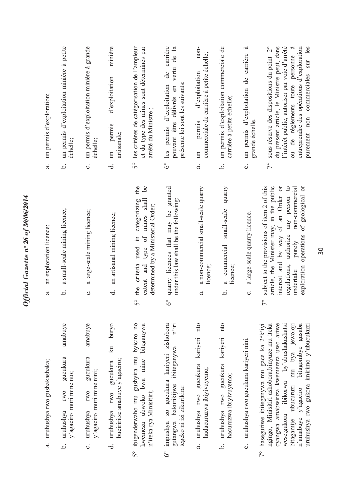| un permis d'exploration;             | un permis d'exploitation minière à petite<br>échelle;                                | un permis d'exploitation minière à grande<br>échelle;                                         | minière<br>d'exploitation<br>un permis<br>artisanale;                                  | les critères de catégorisation de l'ampleur<br>et du type des mines sont déterminés par<br>arrêté du Ministre;<br>50                 | de carrière<br>$\mathbb{E}$<br>de<br>vertu<br>6° les permis d'exploitation<br>présente loi sont les suivants:<br>délivrés en<br>pouvant être | non-<br>commerciale de carrière à petite échelle;<br>d'exploitation<br>permis<br>$\Xi$ | un permis d'exploitation commerciale de<br>carrière à petite échelle;   | .ದ<br>un permis d'exploitation de carrière<br>grande échelle. | du présent article, le Ministre peut, dans<br>sous réserve des dispositions du point 2°<br>l'intérêt public, autoriser par voie d'arrêté<br>ou de règlements toute personne à<br>entreprendre des opérations d'exploration<br>sur les<br>purement non commerciales<br>$\frac{1}{2}$                                               |
|--------------------------------------|--------------------------------------------------------------------------------------|-----------------------------------------------------------------------------------------------|----------------------------------------------------------------------------------------|--------------------------------------------------------------------------------------------------------------------------------------|----------------------------------------------------------------------------------------------------------------------------------------------|----------------------------------------------------------------------------------------|-------------------------------------------------------------------------|---------------------------------------------------------------|-----------------------------------------------------------------------------------------------------------------------------------------------------------------------------------------------------------------------------------------------------------------------------------------------------------------------------------|
| $\ddot{a}$                           | .<br>ف                                                                               | ပ                                                                                             | ಕ                                                                                      |                                                                                                                                      |                                                                                                                                              | a.                                                                                     | .<br>ف                                                                  | ပ                                                             |                                                                                                                                                                                                                                                                                                                                   |
| an exploration licence;<br>$\vec{a}$ | a small-scale mining licence;<br>.<br>ف                                              | a large-scale mining licence;<br>$\ddot{\circ}$                                               | an artisanal mining licence;<br>ಕ                                                      | the<br><u>ل</u> م<br>5° the criteria used in categorizing<br>type of mines shall<br>determined by a Ministerial Order;<br>extent and | granted<br>under this law shall be the following:<br>quarry licences that may be<br>ಲಿ                                                       | a non-commercial small-scale quarry<br>licence;<br>$\vec{a}$                           | quarry<br>small-scale<br>a commercial<br>licence;<br>.<br>ف             | a large-scale quarry licence.<br>$\ddot{\circ}$               | exploration operations of geological or<br>subject to the provisions of item 2 of this<br>article, the Minister may, in the public<br>interest and by way of an Order or<br>any person to<br>non-commercial<br>authorize<br>purely<br>regulations,<br>undertake<br>$\sqrt{\ }$                                                    |
| uruhushya rwo gushakashaka;<br>a.    | amabuye<br>gucukura<br>y'agaciro muri mine nto;<br><b>IWO</b><br>uruhushya<br>.<br>ف | amabuye<br>gucukura<br>y'agaciro muri mine nini;<br><b>IWO</b><br>uruhushya<br>$\ddot{\circ}$ | puryo<br>$\vec{z}$<br>buciriritse amabuye y'agaciro;<br>gucukura<br>uruhushya rwo<br>ಕ | gushyira mu byiciro no<br>biteganywa<br>bwa mine<br>n'iteka rya Minisitiri;<br>ibigenderwaho mu<br>kwemeza ubwoko<br>50              | zo gucukura kariyeri zishobora<br>$n'$ iri<br>ibiteganywa<br>hakurikijwe<br>tegeko ni izi zikurikira:<br>gutangwa<br>impushya<br>$6^\circ$   | nto<br>kariyeri<br>uruhushya rwo gucukura<br>hadacuruzwa ibiyivuyemo;<br>a.            | uruhushya rwo gucukura kariyeri nto<br>hacuruzwa ibiyivuyemo;<br>.<br>م | uruhushya rwo gucukura kariyeri nini.<br>ပ                    | bitagombye gusaba<br>cyangwa amabwiriza kwemerera uwo ariwe<br>wese, gukora ibikorwa by'ubushakashatsi<br>mu bya jewoloji<br>haseguriwe ibiteganywa mu gace ka 2°k'iyi<br>ngingo, Minisitiri ashobora, binyuze mu iteka<br>uruhushya rwo gukora imirimo y'ubucukuzi<br>bitagamije ubucuruzi<br>n'amabuye y'agaciro<br>$7^{\circ}$ |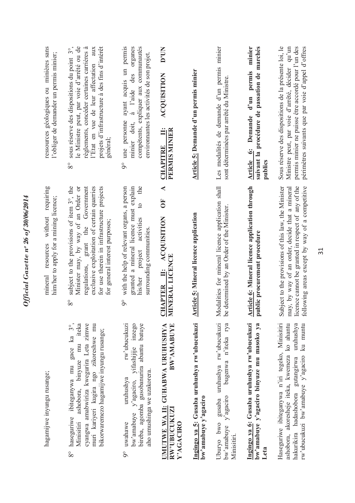| muri kariyeri kugira ngo zikoreshwe mu<br>rw'ubucukuzi<br>ashobora, binyuze mu iteka<br>cyangwa amabwiriza kwegurira Leta zimwe<br>yifashijije inzego<br>bireba, agomba gusobanurira abantu batuye<br>BW'AMABUYE<br>UMUTWE WA II: GUHABWA URUHUSHYA<br>$\overset{\circ}{\mathcal{E}}$<br>bikorwaremezo hagamijwe inyungu rusange;<br>haseguriwe ibiteganywa mu gace ka<br>aho umushinga we uzakorera.<br>hagamijwe inyungu rusange;<br>uruhushya<br>y'agaciro,<br>RW'UBUCUKUZI<br>bw'amabuye<br>Minisitiri<br>uwahawe<br>Y'AGACIRO | without requiring<br>subject to the provisions of item 3°, the<br>for use therein in infrastructure projects<br>exclusive exploitation of certain quarries<br>the<br>Minister may, by way of an Order or<br>regulations, grant the Government<br>granted a mineral licence must explain<br>with the help of relevant organs, a person<br>◀<br>him/her to apply for a mining licence;<br><b>FO</b><br>$\overline{c}$<br>II: ACQUISITION<br>activities<br>for general interest purposes;<br>surrounding communities<br>resources<br>project<br>NERAL LICENCE<br>mineral<br>his/her<br><b>APTER</b><br>$8^{\circ}$<br>$\delta$<br>리<br>Ξ | ayant acquis un permis<br>compétents, expliquer aux communautés<br>sous réserve des dispositions du point 3°,<br>le Ministre peut, par voie d'arrêté ou de<br>projets d'infrastructure à des fins d'intérêt<br>ressources géologiques ou minières sans<br>règlements, concéder certaines carrières à<br>à l'aide des organes<br><b>D'UN</b><br>l'Etat en vue de leur affectation aux<br>environnantes les activités de son projet.<br>l'obliger de demander un permis minier;<br>ACQUISITION<br>une personne<br>minier doit,<br>PERMIS MINIER<br>Ë<br>général:<br><b>CHAPITRE</b><br>$8^{\circ}$<br>$\delta$ |
|------------------------------------------------------------------------------------------------------------------------------------------------------------------------------------------------------------------------------------------------------------------------------------------------------------------------------------------------------------------------------------------------------------------------------------------------------------------------------------------------------------------------------------|---------------------------------------------------------------------------------------------------------------------------------------------------------------------------------------------------------------------------------------------------------------------------------------------------------------------------------------------------------------------------------------------------------------------------------------------------------------------------------------------------------------------------------------------------------------------------------------------------------------------------------------|--------------------------------------------------------------------------------------------------------------------------------------------------------------------------------------------------------------------------------------------------------------------------------------------------------------------------------------------------------------------------------------------------------------------------------------------------------------------------------------------------------------------------------------------------------------------------------------------------------------|
| Ingingo ya 5: Gusaba uruhushya rw'ubucukuzi<br>bw'amabuye y'agaciro                                                                                                                                                                                                                                                                                                                                                                                                                                                                | <b>Article 5: Mineral licence application</b>                                                                                                                                                                                                                                                                                                                                                                                                                                                                                                                                                                                         | Article 5: Demande d'un permis minier                                                                                                                                                                                                                                                                                                                                                                                                                                                                                                                                                                        |
| gusaba uruhushya rw'ubucukuzi<br>bugenwa n'iteka rya<br>$y'$ agaciro<br>Uburyo bwo<br>bw'amabuye<br>Minisitiri                                                                                                                                                                                                                                                                                                                                                                                                                     | Modalities for mineral licence application shall<br>determined by an Order of the Minister.<br>be                                                                                                                                                                                                                                                                                                                                                                                                                                                                                                                                     | Les modalités de demande d'un permis minier<br>sont déterminées par arrêté du Ministre.                                                                                                                                                                                                                                                                                                                                                                                                                                                                                                                      |
| Ingingo ya 6: Gusaba uruhushya rw'ubucukuzi<br>bw'amabuye y'agaciro binyuze mu masoko ya                                                                                                                                                                                                                                                                                                                                                                                                                                           | Article 6: Mineral licence application through<br>public procurement procedure                                                                                                                                                                                                                                                                                                                                                                                                                                                                                                                                                        | minier<br>suivant la procédure de passation de marchés<br>d'un permis<br><b>Article 6: Demande</b><br>publics                                                                                                                                                                                                                                                                                                                                                                                                                                                                                                |
| Haseguriwe ibiteganywa n'iri tegeko, Minisitiri<br>ashobora, akoresheje iteka, kwemeza ko ahantu<br>uruhushya<br>ku muntu<br>hakurikira hadashobora gutangirwa<br>rw'ubucukuzi bw'amabuye y'agaciro                                                                                                                                                                                                                                                                                                                                | Subject to the provisions of this law, the Minister<br>may, by way of an order, decide that a mineral<br>licence cannot be granted in respect of any of the<br>following areas except by way of a competitive                                                                                                                                                                                                                                                                                                                                                                                                                         | permis minier ne puisse être accordé pour l'un des<br>Sous réserve des dispositions de la présente loi, le<br>Ministre peut, par voie d'arrêté, décider qu'un<br>périmètres suivants que par voie d'appel d'offres                                                                                                                                                                                                                                                                                                                                                                                           |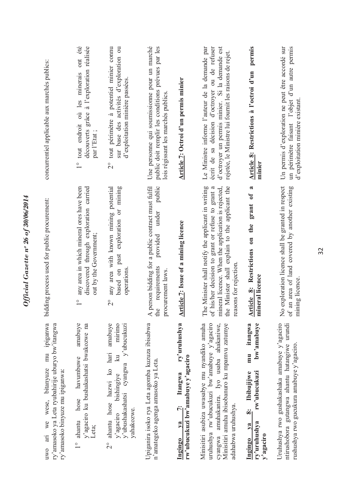| concurrentiel applicable aux marchés publics:<br>bidding process used for public procurement:                                    | découverts grâce à l'exploration réalisée<br>ont<br>tout endroit où les minerais<br>par l'Etat;<br>$\frac{1}{1}$<br>discovered through exploration carried<br>any area in which mineral ores have been<br>out by the Government; | tout périmètre à potentiel minier connu<br>sur base des activités d'exploration ou<br>d'exploitation minière passées.<br>$\overline{C}$<br>any area with known mining potential<br>based on past exploration or mining<br>operations | Une personne qui soumissionne pour un marché<br>public doit remplir les conditions prévues par les<br>lois régissant les marchés publics<br>A person bidding for a public contract must fulfil<br>public<br>under<br>provided<br>requirements<br>procurement laws | Article 7: Octroi d'un permis minier<br><b>Article 7: Issue of a mining licence</b>          | Le Ministre informe l'auteur de la demande par<br>écrit de sa décision d'octroyer ou de refuser<br>d'octroyer un permis minier. Si la demande est<br>rejetée, le Ministre lui fournit les raisons de rejet.<br>The Minister shall notify the applicant in writing<br>mineral licence. When the application is rejected,<br>the Minister shall explain to the applicant the<br>his/her decision to grant or refuse to grant a<br>reasons for rejection | permis<br>Article 8: Restrictions à l'octroi d'un<br>minier<br>2<br>grant of<br>Article 8: Restrictions on the<br>mineral licence | Un permis d'exploration ne peut être accordé sur<br>un périmètre faisant l'objet d'un autre permis<br>exploration licence shall be granted in respect<br>an area of land covered by another existing |
|----------------------------------------------------------------------------------------------------------------------------------|----------------------------------------------------------------------------------------------------------------------------------------------------------------------------------------------------------------------------------|--------------------------------------------------------------------------------------------------------------------------------------------------------------------------------------------------------------------------------------|-------------------------------------------------------------------------------------------------------------------------------------------------------------------------------------------------------------------------------------------------------------------|----------------------------------------------------------------------------------------------|-------------------------------------------------------------------------------------------------------------------------------------------------------------------------------------------------------------------------------------------------------------------------------------------------------------------------------------------------------------------------------------------------------------------------------------------------------|-----------------------------------------------------------------------------------------------------------------------------------|------------------------------------------------------------------------------------------------------------------------------------------------------------------------------------------------------|
| mu ipiganwa<br>ry'amasoko ya Leta ryubahirije uburyo bw'itangwa<br>uwo ari we wese, bitanyuze<br>ry'amasoko binyuze mu ipiganwa: | $\frac{1}{\sqrt{2}}$<br>amabuve<br>y'agaciro ku bushakashatsi bwakozwe na<br>hose havumbuwe<br>ahantu<br>Leta;<br>$\frac{1}{1}$                                                                                                  | $\overline{\mathcal{C}}$<br>ahantu hose hazwi ko hari amabuye<br>mirimo<br>y'ubushakashatsi cyangwa y'ubucukuzi<br>$\overline{\mathbf{z}}$<br>bishingiye<br>y'agaciro<br>yahakozwe.<br>$\overline{C}$                                | the<br>Upiganira isoko rya Leta agomba kuzuza ibisabwa<br>n'amategeko agenga amasoko ya Leta.                                                                                                                                                                     | ry'uruhushya<br>rw'ubucukuzi bw'amabuye y'agaciro<br>Itangwa<br>$\ddot{r}$<br>$1$<br>Ingingo | $\sigma$ f<br>Minisitiri asubiza uwasabye mu nyandiko amuha<br>uruhushya rw'ubucukuzi bw'amabuye y'agaciro<br>Minisitiri amuha ibisobanuro ku mpamvu zatumye<br>amuhakanira. Iyo usaba ahakaniwe,<br>adahabwa uruhushya.<br>cyangwa                                                                                                                                                                                                                   | mu itangwa<br>bw'amabuye<br>rw'ubucukuzi<br>Ibibujijwe<br><br>∞i<br>ry'uruhushya<br>$1$<br>y'agaciro<br>Ingingo                   | $\frac{1}{2}$<br>$\circ$ f<br>Uruhushya rwo gushakashaka amabuye y'agaciro<br>ntirushobora gutangwa ahantu hatangiwe urundi                                                                          |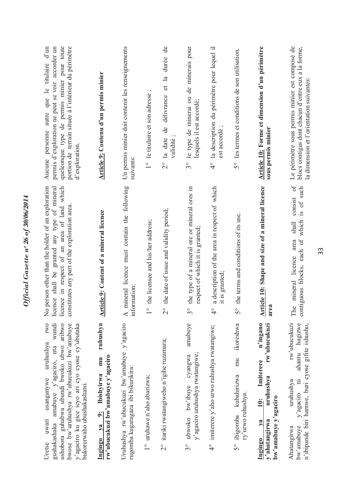| portion de terrain située à l'intérieur du périmètre<br>quelconque type de permis minier pour toute<br>permis d'exploration ne peut se voir accorder un<br>d'exploration<br>licence shall be granted any type of mineral<br>licence in respect of an area of land which<br>constitutes any part of the exploration area | Article 9: Contenu d'un permis minier<br><b>Article 9: Content of a mineral licence</b>                           | Un permis minier doit contenir les renseignements<br>suivants:<br>mineral licence must contain the following | $\cdot$ $\sim$<br>1° le titulaire et son adresse<br>the licensee and his/her address; | durée de<br>$\mathbb{R}$<br>2° la date de délivrance et<br>validité;<br>the date of issue and validity period; | 3° le type de minerai ou de minerais pour<br>lesquels il est accordé;<br>the type of a mineral ore or mineral ores in<br>respect of which it is granted; | 4° la description du périmètre pour lequel il<br>est accordé;<br>a description of the area in respect of which | 5° les termes et conditions de son utilisation.<br>the terms and conditions of its use. | Article 10: Forme et dimension d'un périmètre<br>sous permis minier<br>Article 10: Shape and size of a mineral licence             | Le périmètre sous permis minier est composé de<br>blocs contigus dont chacun d'entre eux a la forme,<br>la dimension et l'orientation suivantes<br>consist of<br>is of such<br>contiguous blocks, each of which<br>shall<br>The mineral licence area |
|-------------------------------------------------------------------------------------------------------------------------------------------------------------------------------------------------------------------------------------------------------------------------------------------------------------------------|-------------------------------------------------------------------------------------------------------------------|--------------------------------------------------------------------------------------------------------------|---------------------------------------------------------------------------------------|----------------------------------------------------------------------------------------------------------------|----------------------------------------------------------------------------------------------------------------------------------------------------------|----------------------------------------------------------------------------------------------------------------|-----------------------------------------------------------------------------------------|------------------------------------------------------------------------------------------------------------------------------------|------------------------------------------------------------------------------------------------------------------------------------------------------------------------------------------------------------------------------------------------------|
|                                                                                                                                                                                                                                                                                                                         |                                                                                                                   | information:                                                                                                 | $\circ$                                                                               | $\overline{C}$                                                                                                 | O<br>3                                                                                                                                                   | it is granted;<br>O<br>4                                                                                       | 50                                                                                      | area                                                                                                                               |                                                                                                                                                                                                                                                      |
| ushobora guhabwa ubundi bwoko ubwo aribwo<br>bwose bw'uruhushya rw'ubucukuzi bw'amabuye<br>wundi<br>y'agaciro ku gice icyo ari cyo cyose cy'ubutaka<br>amabuye y'agaciro, nta<br>bukorerwaho ubushakashatsi.<br>gushakashaka                                                                                            | ruhushya<br>rw'ubucukuzi bw'amabuye y'agaciro<br>mu<br><b>Ibishyirwa</b><br>$\ddot{\mathbf{s}}$<br>$1$<br>Ingingo | $\blacktriangleleft$<br>Uruhushya rw'ubucukuzi bw'amabuye y'agaciro<br>rugomba kugaragaza ibi bikurikira:    | 1° uruhawe n'aho abarizwa;                                                            | 2° itariki rwatangiweho n'igihe ruzamara;                                                                      | amabuye<br>y'agaciro uruhushya rwatangiwe;<br>cyangwa<br>bw'ibuye<br>ubwoko<br>$\mathfrak{S}^{\circ}$                                                    | imiterere y'aho urwo ruhushya rwatangiwe;<br>$\frac{6}{4}$                                                     | ikoreshwa<br>mu<br>kubahirizwa<br>ry'urwo ruhushya.<br>ibigomba<br>$5^{\circ}$          | n'ingano<br>rw'ubucukuzi<br>Imiterere<br>uruhushya<br>bw'amabuye y'agaciro<br>$\ddot{=}$<br>y'ahatangirwa<br>$\sqrt{a}$<br>Ingingo | rw'ubucukuzi<br>hagizwe<br>n'ibipande biri hamwe, buri cyose gifite ishusho,<br>ahantu<br>y'agaciro ni<br>uruhushya<br>bw'amabuye<br>Ahatangirwa                                                                                                     |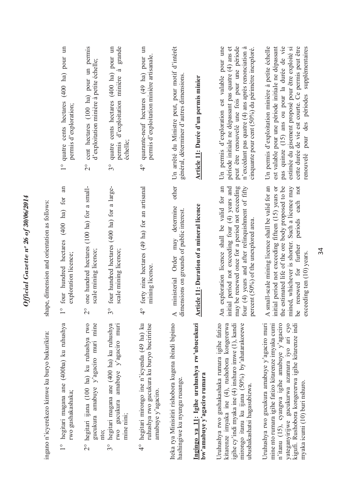|                                                | 1° quatre cents hectares (400 ha) pour un<br>permis d'exploration;             | cent hectares (100 ha) pour un permis<br>d'exploitation minière à petite échelle;<br>$\frac{1}{2}$ | quatre cents hectares (400 ha) pour un<br>grande<br>$\tilde{\sigma}$<br>minière<br>permis d'exploitation<br>échelle;<br>$\mathcal{S}^{\circ}$ | quarante-neuf hectares (49 ha) pour un<br>permis d'exploitation minière artisanale<br>$\frac{1}{4}$                            | Un arrêté du Ministre peut, pour motif d'intérêt<br>général, déterminer d'autres dimensions<br>other          | Article 11: Durée d'un permis minier                                       | peut être renouvelé une fois pour une période<br>Un permis d'exploration est valable pour une<br>période initiale ne dépassant pas quatre (4) ans et<br>n'excédant pas quatre (4) ans après renonciation à<br>cinquante pour cent (50%) du périmètre inexploré. | Un permis d'exploitation minière à petite échelle<br>est valable pour une période initiale ne dépassant<br>pas quinze (15) ans ou pour la durée de vie<br>cette durée de vie est courte. Ce permis peut être<br>estimée du gisement proposé pour être exploité si<br>renouvelé pour des périodes supplémentaires<br>periods each not |
|------------------------------------------------|--------------------------------------------------------------------------------|----------------------------------------------------------------------------------------------------|-----------------------------------------------------------------------------------------------------------------------------------------------|--------------------------------------------------------------------------------------------------------------------------------|---------------------------------------------------------------------------------------------------------------|----------------------------------------------------------------------------|-----------------------------------------------------------------------------------------------------------------------------------------------------------------------------------------------------------------------------------------------------------------|--------------------------------------------------------------------------------------------------------------------------------------------------------------------------------------------------------------------------------------------------------------------------------------------------------------------------------------|
| shape, dimension and orientation as follows:   | four hundred hectares (400 ha) for an<br>exploration licence;<br>$\frac{0}{1}$ | one hundred hectares (100 ha) for a small-<br>scale mining licence;<br>$\overline{C}$              | four hundred hectares (400 ha) for a large-<br>scale mining licence;<br>$\mathcal{S}^{\circ}$                                                 | forty nine hectares (49 ha) for an artisanal<br>mining licence.<br>$\frac{1}{4}$                                               | determine<br>dimensions on grounds of public interest.<br>may<br>Order<br>ministerial<br>$\blacktriangleleft$ | Article 11: Duration of a mineral licence                                  | four (4) years and after relinquishment of fifty<br>may be renewed once for a period not exceeding<br>exploration licence shall be valid for an<br>initial period not exceeding four (4) years and<br>percent (50%) of the unexplored area.<br>An               | A small-scale mining licence shall be valid for an<br>the estimated life of the ore body proposed to be<br>mined, whichever is shorter. Such a licence may<br>initial period not exceeding fifteen (15) years or<br>for further<br>exceeding ten (10) years<br>renewed<br><u>be</u>                                                  |
| ingano n'icyerekezo kimwe ku buryo bukurikira: | hegitari magana ane (400ha) ku ruhushya<br>rwo gushakashaka;<br>$\overline{1}$ | 2° hegitari ijana (100 ha) ku ruhushya rwo<br>gucukura amabuye y'agaciro muri mine<br>nto;         | hegitari magana ane (400 ha) ku ruhushya<br>gucukura amabuye y'agaciro muri<br>mine nini;<br>IW <sub>0</sub><br>$\mathcal{S}^{\circ}$         | hegitari mirongo ine n'icyenda (49 ha) ku<br>ruhushya rwo gucukura ku buryo buciriritse<br>amabuye y'agaciro.<br>$\frac{6}{4}$ | Iteka rya Minisitiri rishobora kugena ibindi bipimo<br>hashingiwe ku nyungu rusange.                          | Ingingo ya 11: Igihe uruhushya rw'ubucukuzi<br>bw'amabuye y'agaciro rumara | Uruhushya rwo gushakashaka rumara igihe fatizo<br>kitarenze imyaka ine (4), rushobora kongererwa<br>mirongo itanu ku ijana (50%) by'ahatarakorewe<br>igihe cy'indi myaka ine $(4)$ inshuro imwe $(1)$ , kandi<br>ubushakashatsi hagasubizwa.                    | Uruhushya rwo gucukura amabuye y'agaciro muri<br>n'itanu (15), cyangwa igihe amabuye y'agaciro<br>yateganyirijwe gucukurwa azamara iyo ari cyo<br>mine nto rumara igihe fatizo kitarenze imyaka cumi<br>kigufi. Rushobora kongererwa igihe kitarenze indi<br>myaka icumi (10) buri nshuro.                                           |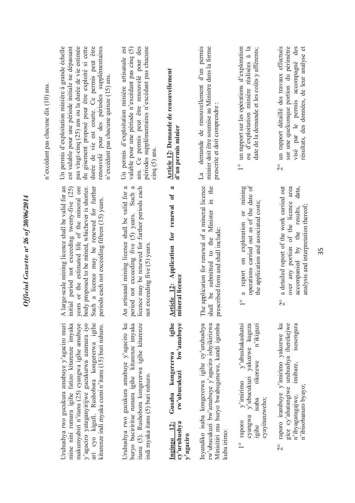| n'excédant pas chacune dix (10) ans. | est valable pour une période initiale ne dépassant<br>Un permis d'exploitation minière à grande échelle<br>pas vingt-cinq (25) ans ou la durée de vie estimée<br>du gisement proposé pour être exploité si cette<br>durée de vie est courte. Ce permis peut être<br>renouvelé pour des périodes supplémentaires<br>n'excédant pas chacune quinze (15) ans. | périodes supplémentaires n'excédant pas chacune<br>Un permis d'exploitation minière artisanale est<br>ans. Ce permis peut être renouvelé pour des<br>valable pour une période n'excédant pas cinq (5)<br>$c$ inq $(5)$ ans | <b>Article 12: Demande de renouvellement</b><br>d'un permis minier                                                    | demande de renouvellement d'un permis<br>minier doit être soumise au Ministre dans la forme<br>prescrite et doit comprendre:<br>$\mathbb{L}^a$                  | un rapport sur les opérations d'exploration<br>ou d'exploitation minière réalisées à la<br>date de la demande et les coûts y afférents;                              | un rapport détaillé des travaux effectués<br>sur une quelconque portion du périmètre<br>visé par le permis accompagné des<br>résultats, des données, de leur analyse et<br>$\overset{\circ}{\sim}$ |
|--------------------------------------|------------------------------------------------------------------------------------------------------------------------------------------------------------------------------------------------------------------------------------------------------------------------------------------------------------------------------------------------------------|----------------------------------------------------------------------------------------------------------------------------------------------------------------------------------------------------------------------------|-----------------------------------------------------------------------------------------------------------------------|-----------------------------------------------------------------------------------------------------------------------------------------------------------------|----------------------------------------------------------------------------------------------------------------------------------------------------------------------|----------------------------------------------------------------------------------------------------------------------------------------------------------------------------------------------------|
|                                      | arge-scale mining licence shall be valid for an<br>years or the estimated life of the mineral ore<br>initial period not exceeding twenty-five (25)<br>Such a licence may be renewed for further<br>body proposed to be mined, whichever is shorter.<br>periods each not exceeding fifteen (15) years.<br>$\overline{A}$                                    | licence may be renewed for further periods each<br>artisanal mining licence shall be valid for a<br>period not exceeding five (5) years. Such a<br>not exceeding five (5) years<br>$\overline{A}$ n                        | $\approx$<br>renewal of<br>Article 12: Application for<br>mineral licence                                             | The application for renewal of a mineral licence<br>the<br>$\mathbb{H}$<br>shall be submitted to the Minister<br>prescribed form and shall include:             | operations carried out as of the date of<br>a report on exploration or mining<br>the application and associated costs;<br>$\frac{1}{\sqrt{2}}$                       | a detailed report of the work carried out<br>area<br>data,<br>over any portion of the licence<br>analysis and interpretation thereof:<br>accompanied by the results,<br>$\overline{\mathcal{C}}$   |
|                                      | Uruhushya rwo gucukura amabuye y'agaciro muri<br>y'agaciro yateganyirijwe gucukurwa azamara iyo<br>ari cyo kigufi. Rushobora kongererwa igihe<br>mine nini rumara igihe fatizo kitarenze imyaka<br>makumyabiri n'itanu (25) cyangwa igihe amabuye<br>kitarenze indi myaka cumi n'itanu (15) buri nshuro.                                                   | Uruhushya rwo gucukura amabuye y'agaciro ku<br>buryo buciriritse rumara igihe kitarenze imyaka<br>itanu (5). Rushobora kongererwa igihe kitarenze<br>indi myaka itanu (5) buri nshuro.                                     | igihe<br>bw'amabuye<br>kongererwa<br>rw'ubucukuzi<br>Gusaba<br>cy'uruhushya<br>$\frac{12}{3}$<br>y'agaciro<br>Ingingo | Inyandiko isaba kongererwa igihe cy'uruhushya<br>rw'ubucukuzi bw'amabuye y'agaciro ishyikirizwa<br>Minisitiri mu buryo bwabugenewe, kandi igomba<br>kuba irimo: | y'ubushakashatsi<br>vakozwe kugeza<br>n'ikiguzi<br>rikorewe<br>y'ubucukuzi<br>$y'$ imirimo<br>cyayitanzweho;<br>isaba<br>cyangwa<br>raporo<br>ugihe<br>$\frac{1}{1}$ | gice cy'ahatangiwe uruhushya iherekejwe<br>raporo irambuye y'imirimo yakozwe ku<br>isesengura<br>imibare,<br>n'ibisobanuro byayo;<br>n'ibyagaragajwe,<br>$\overline{\mathcal{C}}$                  |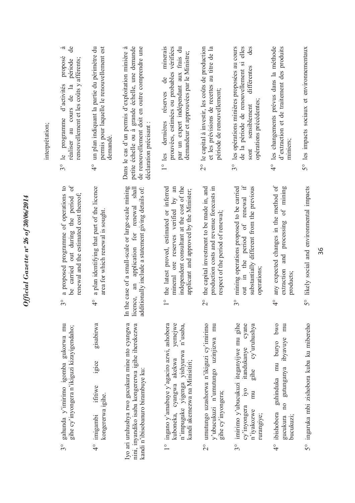| the capital investment to be made in, and<br>production costs and revenue forecasts in | any expected changes in the method of<br>substantially different from the previous<br>mining operations proposed to be carried<br>5° likely social and environmental impacts<br>respect of the period of renewal;<br>out in the period<br>extraction<br>operations:<br>products;<br>$3^{\circ}$<br>$\frac{1}{4}$<br>imirimo y'ubucukuzi iteganyijwe mu gihe<br>cyane<br>cy'uruhushya<br>5° ingaruka mbi zishobora kuba ku mibereho<br>mu<br>pwo<br>mu |                                                                                                                                                                         | the case of a small-scale or large-scale mining<br>licence, an application for renewal shall<br>additionally include a statement giving details of: | a plan identifying that part of the licence | 3° le programme<br>be carried out during the period of<br>a proposed programme of operations to<br>renewal and the estimated cost thereof; |
|----------------------------------------------------------------------------------------|-------------------------------------------------------------------------------------------------------------------------------------------------------------------------------------------------------------------------------------------------------------------------------------------------------------------------------------------------------------------------------------------------------------------------------------------------------|-------------------------------------------------------------------------------------------------------------------------------------------------------------------------|-----------------------------------------------------------------------------------------------------------------------------------------------------|---------------------------------------------|--------------------------------------------------------------------------------------------------------------------------------------------|
|                                                                                        |                                                                                                                                                                                                                                                                                                                                                                                                                                                       | the latest proved, estimated or inferred<br>independent consultant at the cost of the<br>mineral ore reserves verified by an<br>applicant and approved by the Minister; |                                                                                                                                                     |                                             | area for which renewal is sought.                                                                                                          |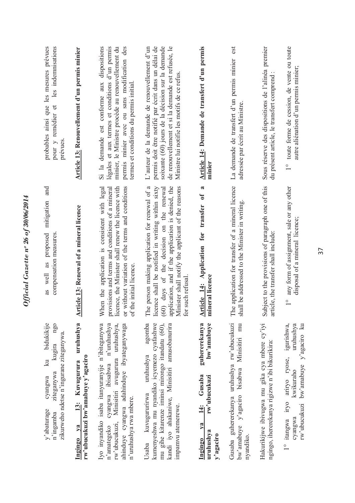| probables ainsi que les mesures prévues<br>les indemnisations<br>$\sigma$<br>pour y remédier<br>prévues<br>and                                        | <b>Article 13:</b> Renouvellement d'un permis minier                              | minier, le Ministre procède au renouvellement du<br>Si la demande est conforme aux dispositions<br>légales et aux termes et conditions d'un permis<br>permis minier avec ou sans modification des<br>termes et conditions du permis initial | permis doit être notifié par écrit dans un délai de<br>soixante (60) jours de la décision sur la demande<br>de renouvellement et si la demande est refusée, le<br>L'auteur de la demande de renouvellement d'un<br>Ministre lui notifie les motifs de ce refus                          | Article 14: Demande de transfert d'un permis<br>minier<br>$\approx$                                               | est<br>La demande de transfert d'un permis minier<br>adressée par écrit au Ministre.                            | Sous réserve des dispositions de l'alinéa premier<br>du présent article, le transfert comprend  | toute forme de cession, de vente ou toute<br>autre aliénation d'un permis minier;<br>$\frac{1}{\sqrt{2}}$                |
|-------------------------------------------------------------------------------------------------------------------------------------------------------|-----------------------------------------------------------------------------------|---------------------------------------------------------------------------------------------------------------------------------------------------------------------------------------------------------------------------------------------|-----------------------------------------------------------------------------------------------------------------------------------------------------------------------------------------------------------------------------------------------------------------------------------------|-------------------------------------------------------------------------------------------------------------------|-----------------------------------------------------------------------------------------------------------------|-------------------------------------------------------------------------------------------------|--------------------------------------------------------------------------------------------------------------------------|
| as proposed mitigation<br>compensation measures.<br>as well                                                                                           | <b>Article 13: Renewal of a mineral licence</b>                                   | When the application is consistent with legal<br>or without variation of the terms and conditions<br>licence, the Minister shall renew the licence with<br>provisions and terms and conditions of a mineral<br>of the initial licence       | The person making application for renewal of a<br>application, and if the application is denied, the<br>inister shall notify the applicant of the reasons<br>licence shall be notified in writing within sixty<br>(60) days of the decision on the renewal<br>such refusal.<br>Ä<br>for | Application for transfer of<br>neral licence<br>Article 14:<br>Ïmi                                                | The application for transfer of a mineral licence<br>shall be addressed to the Minister in writing.             | Subject to the provisions of paragraph one of this<br>article, the transfer shall include:      | any form of assignment, sale or any other<br>disposal of a mineral licence;<br>$\overset{\circ}{\phantom{0}}$            |
| bidukikije<br>ngq<br>zikurweho ndetse n'ingurane ziteganywa<br>kugira<br>$\overline{\mathbf{a}}$<br>ziteganywa<br>cyangwa<br>y'abaturage<br>n'ingamba | uruhushya<br>rw'ubucukuzi bw'amabuye y'agaciro<br>13: Kuvugurura<br>V2<br>Ingingo | Iyo inyandiko isaba itanyuranyije n'ibiteganywa<br>n'uruhushya<br>rw'ubucukuzi, Minisitiri avugurura uruhushya,<br>ahinduye cyangwa adahinduye ibyateganywaga<br>ibisabwa<br>cyangwa<br>n'uruhushya rwa mbere.<br>n'amategeko               | agomba<br>kumenyeshwa mu nyandiko icyemezo cyafashwe<br>mu gihe kitarenze iminsi mirongo itandatu (60),<br>kandi iyo ahakaniwe, Minisitiri amusobanurira<br>uruhushya<br>kuvugururirwa<br>impamvu atemerewe.<br>Usaba                                                                   | guhererekanya<br>bw'amabuye<br>Gusaba<br>rw'ubucukuzi<br>$\ddot{4}$ :<br>$1$<br>uruhushya<br>y'agaciro<br>Ingingo | Gusaba guhererekanya uruhushya rw'ubucukuzi<br>Minisitiri mu<br>bisabwa<br>$bw'$ amabuye y'agaciro<br>nyandiko. | Hakurikijwe ibivugwa mu gika cya mbere cy'iyi<br>ngingo, ihererekanya rigizwe n'ibi bikurikira: | iryo ariryo ryose, igurishwa,<br>uruhushya<br>rw'ubucukuzi bw'amabuye y'agaciro ku<br>kwikuraho<br>1° itangwa<br>cyangwa |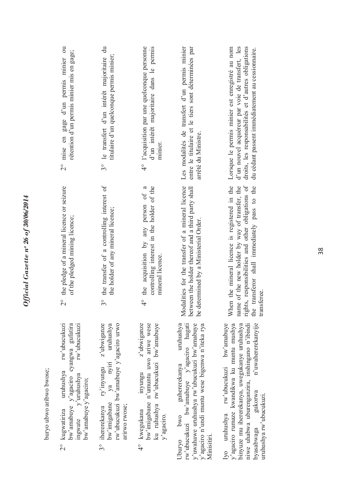|                          | 2° mise en gage d'un permis minier ou<br>rétention d'un permis minier mis en gage;                                                                                       | $\vec{a}$<br>titulaire d'un quelconque permis minier;<br>3° le transfert d'un intérêt majoritaire                                                            | l'acquisition par une quelconque personne<br>d'un intérêt majoritaire dans le permis<br>minier.<br>$\overset{\circ}{4}$                              | Les modalités de transfert d'un permis minier<br>entre le titulaire et le tiers sont déterminées par<br>arrêté du Ministre.                                                                       | Lorsque le permis minier est enregistré au nom<br>d'un nouvel acquéreur par voie de transfert, les<br>droits, les responsabilités et d'autres obligations<br>du cédant passent immédiatement au cessionnaire.                                                       |
|--------------------------|--------------------------------------------------------------------------------------------------------------------------------------------------------------------------|--------------------------------------------------------------------------------------------------------------------------------------------------------------|------------------------------------------------------------------------------------------------------------------------------------------------------|---------------------------------------------------------------------------------------------------------------------------------------------------------------------------------------------------|---------------------------------------------------------------------------------------------------------------------------------------------------------------------------------------------------------------------------------------------------------------------|
|                          | the pledge of a mineral licence or seizure<br>of the pledged mining licence;<br>$\frac{1}{2}$                                                                            | the transfer of a controlling interest of<br>the holder of any mineral licence;<br>$3^{\circ}$                                                               | controlling interest in the holder of the<br>4° the acquisition by any person of a<br>mineral licence.                                               | Modalities for the transfer of a mineral licence<br>between the holder thereof and a third party shall<br>determined by a Ministerial Order.<br>be d                                              | rights, responsibilities and other obligations of<br>When the mineral licence is registered in the<br>name of the new holder by way of transfer, the<br>transferor shall immediately pass to the<br>transferee.<br>the                                              |
| buryo ubwo aribwo bwose; | rw'ubucukuzi<br>bw'amabuye y'agaciro cyangwa gufatira<br>rw'ubucukuzi<br>uruhushya<br>$v$ 'uruhushya<br>bw'amabuye y'agaciro;<br>kugwatiriza<br>ingwate<br>$\frac{1}{2}$ | z'ubwiganze<br>rw'ubucukuzi bw'amabuye y'agaciro urwo<br>uruhushya<br>ya nyiri<br>ry'inyungu<br>bw'imigabane<br>arirwo rwose;<br>ihererekanya<br>$3^{\circ}$ | z'ubwiganze<br>bw'imigabane n'umuntu uwo ariwe wese<br>rw'ubucukuzi bw'amabuye<br>inyungu<br>ku ruhushya<br>kwegukana<br>y'agaciro.<br>$\frac{1}{4}$ | rw'ubucukuzi bw'amabuye y'agaciro hagati<br>y'uwahawe uruhushya rw'ubucukuzi bw'amabuye<br>guhererekanya uruhushya<br>y'agaciro n'undi muntu wese bigenwa n'iteka rya<br>Uburyo bwo<br>Minisitin. | niwe uhabwa uburenganzira, inshingano n'ibindi<br>n'uwahererekanyije<br>rw'ubucukuzi bw'amabuye<br>y'agaciro rumaze kwandikwa ku muntu mushya<br>binyuze mu ihererekanya, uwegukanye uruhushya<br>gukorwa<br>uruhushya rw'ubucukuzi.<br>Iyo uruhushya<br>byasabwaga |

*Official Gazette nᵒ 26 of 30/06/2014*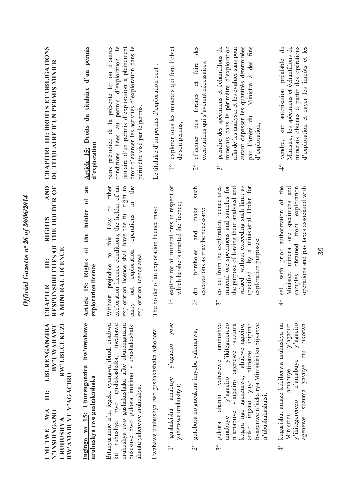| Ingingo ya 15: Uburenganzira bw'uwahawe<br><b>BY'UWAHAWE</b><br>UBURENGANZIRA<br><b>RW'UBUCUKUZI</b><br>BW'AMABUYE Y'AGACIRO<br>uruhushya rwo gushakashaka<br>Ë<br>$\mathbf{W} \mathbf{A}$<br>N'INSHINGANO<br>URUHUSHYA                       | an<br><b>AND</b><br>THE HOLDER OF<br>$\mathfrak{h}$<br>holder<br><b>RIGHTS</b><br>the<br>RESPONSIBILITIES OF<br>$\mathfrak{h}$<br>MINERAL LICENCE<br><b>Rights</b><br>Ë<br>exploration licence<br>Article 15:<br><b>HAPTER</b><br>ञ<br>$\blacktriangleleft$ | CHAPITRE III: DROITS ET OBLIGATIONS<br>Article 15: Droits du titulaire d'un permis<br>DU TITULAIRE D'UN PERMIS MINIER<br>d'exploration                                                                                                                        |
|-----------------------------------------------------------------------------------------------------------------------------------------------------------------------------------------------------------------------------------------------|-------------------------------------------------------------------------------------------------------------------------------------------------------------------------------------------------------------------------------------------------------------|---------------------------------------------------------------------------------------------------------------------------------------------------------------------------------------------------------------------------------------------------------------|
| Bitanyuranije n'iri tegeko cyangwa ibindi bisabwa<br>ku ruhushya rwo gushakashaka, uwahawe<br>busesuye bwo gukora imirimo y'ubushakashatsi<br>uruhushya rwo gushakashaka afite uburenganzira<br>ahantu yaherewe uruhushya.                    | exploration licence shall have the full right to<br>the<br>Law or other<br>exploration licence conditions, the holder of an<br>$\Xi$<br>operations<br>to this<br>carry out exploration<br>exploration licence area.<br>Without prejudice                    | titulaire d'un permis d'exploration a pleinement<br>conditions liées au permis d'exploration, le<br>droit d'exercer les activités d'exploration dans le<br>Sans préjudice de la présente loi ou d'autres<br>périmètre visé par le permis                      |
| Uwahawe uruhushya rwo gushakashaka ashobora:                                                                                                                                                                                                  | The holder of an exploration licence may:                                                                                                                                                                                                                   | Le titulaire d'un permis d'exploration peut                                                                                                                                                                                                                   |
| yose<br>y'agaciro<br>amabuye<br>yaherewe uruhushya;                                                                                                                                                                                           | explore for all mineral ores in respect of<br>which he/she is granted the licence;<br>$\frac{1}{\sqrt{2}}$                                                                                                                                                  | explorer tous les minerais qui font l'objet<br>de son permis;<br>$\frac{1}{1}$                                                                                                                                                                                |
| gutobora no gucukura imyobo yakenerwa;                                                                                                                                                                                                        | such<br>make<br>excavations as may be necessary;<br>and<br>boreholes<br>drill<br>$\overline{C}$                                                                                                                                                             | des<br>excavations qui s'avèrent nécessaires;<br>faire<br>$\sigma$<br>forages<br>effectuer des<br>$\overline{\mathcal{C}}$                                                                                                                                    |
| y'ikitegererezo<br>аgaciro,<br>byagenwe n'iteka rya Minisitiri ku bijyanye<br>uruhushya<br>isuzuma<br>ibipimo<br>kugira ngo agenzurwe, ahabwe<br>agenewe<br>ariko ingano yayo ntirenze<br>ahantu yaherewe<br>y'agaciro<br>n'amabuye y'agaciro | collect from the exploration licence area<br>mineral ore specimens and samples for<br>the purpose of having them analysed and<br>valued without exceeding such limit as<br>specified by a ministerial Order for<br>exploration purposes;<br>$3^{\circ}$     | prendre des spécimens et échantillons de<br>minerais dans le périmètre d'exploration<br>afin de les analyser et les évaluer sans pour<br>autant dépasser les quantités déterminées<br>Ministre à des fins<br>par l'arrêté du<br>d'exploration;<br>$3^{\circ}$ |
| ${\bf v}$ agaciro<br>y'agaciro<br>kugurisha, amaze kubiherwa uruhushya na<br>bikorwa<br>mu<br>n'amabuye<br>agenewe isuzuma yavuye<br>amabuye                                                                                                  | authorization of the<br>from exploration<br>and<br>operations and pay taxes associated with<br>ore specimens<br>obtained<br>mineral<br>sell, with prior<br>Minister,<br>samples<br>$\frac{1}{4}$                                                            | $\ddot{a}$<br>Ministre, les spécimens et échantillons de<br>minerais obtenus à partir des opérations<br>d'exploration et payer les impôts et les<br>préalable<br>autorisation<br>SUI<br>vendre,<br>$\frac{1}{4}$                                              |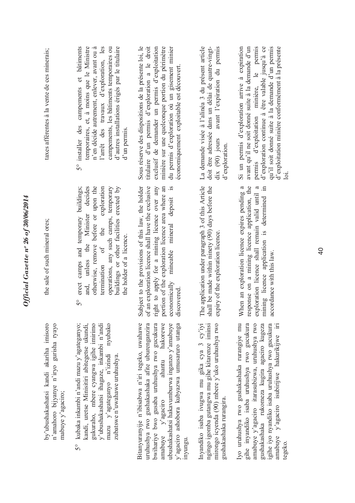| taxes afférentes à la vente de ces minerais;                                                            | 5° installer des campements et bâtiments<br>temporaires, et, à moins que le Ministre<br>d'autres installations érigés par le titulaire<br>n'en décide autrement, enlever, avant ou à<br>l'arrêt des travaux d'exploration, les<br>campements, les bâtiments temporaires ou<br>d'un permis. | titulaire d'un permis d'exploration a le droit<br>minière sur une quelconque portion du périmètre<br>Sous réserve des dispositions de la présente loi, le<br>exclusif de demander un permis d'exploitation<br>du permis d'exploration où un gisement minier<br>économiquement exploitable est découvert. | La demande visée à l'alinéa 3 du présent article<br>doit être adressée dans un délai de quatre-vingt-<br>avant l'expiration du permis<br>dix $(90)$ jours<br>d'exploration. | avant qu'il ne soit donné suite à la demande d'un<br>d'exploitation minière conformément à la présente<br>Si un permis d'exploration arrive à expiration<br>permis d'exploitation minière, le permis<br>d'exploration continue à être valable jusqu'à ce<br>qu'il soit donné suite à la demande d'un permis |
|---------------------------------------------------------------------------------------------------------|--------------------------------------------------------------------------------------------------------------------------------------------------------------------------------------------------------------------------------------------------------------------------------------------|----------------------------------------------------------------------------------------------------------------------------------------------------------------------------------------------------------------------------------------------------------------------------------------------------------|-----------------------------------------------------------------------------------------------------------------------------------------------------------------------------|-------------------------------------------------------------------------------------------------------------------------------------------------------------------------------------------------------------------------------------------------------------------------------------------------------------|
| the sale of such mineral ores;                                                                          | buildings or other facilities erected by<br>and, unless the Minister decides<br>exploration<br>erect camps and temporary buildings;<br>otherwise, remove before or upon the<br>operations, any such camps, temporary<br>termination of the<br>the holder of a licence.<br>50               | Subject to the provisions of this law, the holder<br>of an exploration licence shall have the exclusive<br>right to apply for a mining licence over any<br>economically mineable mineral deposit is<br>portion of the exploration licence area where an<br>discovered                                    | application under paragraph 3 of this Article<br>Il be made within ninety (90) days before the<br>expiry of the exploration licence.<br>The<br>shal                         | response on a mining licence application, the<br>When an exploration licence expires pending a<br>mining licence application is determined in<br>exploration licence shall remain valid until a<br>accordance with this law.                                                                                |
| by'ubushakashatsi kandi akariha imisoro<br>n'amahoro bijyanye n'iryo gurisha ryayo<br>mabuye y'agaciro; | kandi, uretse Minisitiri abitegetse ukundi,<br>y'ubushakashatsi ihagaze, inkambi n'andi<br>kubaka inkambi n'andi mazu y'agateganyo;<br>gukuraho, mbere cyangwa igihe imirimo<br>nyubako<br>mazu y'agateganyo n'izindi<br>zubatswe n'uwahawe uruhushya<br>50                                | Bitanyuranyije n'ibisabwa n'iri tegeko, uwahawe<br>uruhushya rwo gushakashaka afite uburenganzira<br>bwihariye bwo gusaba uruhushya rwo gucukura<br>hakorewe<br>ubushakashatsi hakavumburwa inganzo y'amabuye<br>y'agaciro ashobora kubyazwa umusaruro utanga<br>ahantu<br>amabuye y'agaciro<br>inyungu. | Inyandiko isaba ivugwa mu gika cya 3 cy'iyi<br>ngingo igomba gutangwa mu gihe kitarenze iminsi<br>mirongo icyenda (90) mbere y'uko uruhushya rwo<br>gushakashaka rurangira. | Iyo uruhushya rwo gushakashaka rurangiye mu<br>amabuye y'agaciro itarasubizwa, uruhushya rwo<br>igihe iyo nyandiko isaba uruhushya rwo gucukura<br>gihe inyandiko isaba uruhushya rwo gucukura<br>y'agaciro isubirijwe hakurikijwe iri<br>gushakashaka rukomeza kugira agaciro kugeza<br>amabuye<br>tegeko. |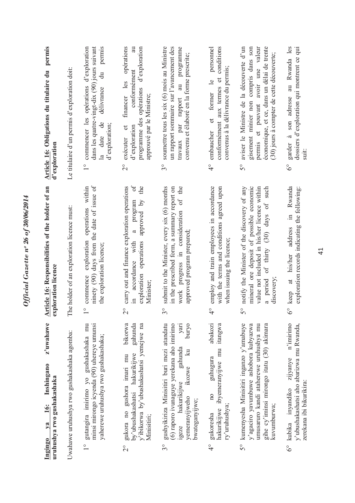| Ingingo          | z'uwahawe<br>Inshingano<br>uruhushya rwo gushakashaka<br>16:<br>$1$                                                                                                                                       | Article 16: Responsibilities of the holder of an<br>exploration licence                                                                                                                                                    | Article 16: Obligations du titulaire du permis<br>d'exploration                                                                                                                                                                            |
|------------------|-----------------------------------------------------------------------------------------------------------------------------------------------------------------------------------------------------------|----------------------------------------------------------------------------------------------------------------------------------------------------------------------------------------------------------------------------|--------------------------------------------------------------------------------------------------------------------------------------------------------------------------------------------------------------------------------------------|
|                  | Uwahawe uruhushya rwo gushakashaka agomba:                                                                                                                                                                | The holder of an exploration licence must:                                                                                                                                                                                 | Le titulaire d'un permis d'exploration doit:                                                                                                                                                                                               |
| $\frac{0}{1}$    | minsi mirongo icyenda (90) uhereye umunsi<br>gutangira imirimo yo gushakashaka mu<br>yaherewe uruhushya rwo gushakashaka;                                                                                 | ninety (90) days from the date of issue of<br>operations within<br>exploration<br>the exploration licence;<br>commence<br>$\frac{1}{\sqrt{2}}$                                                                             | permis<br>commencer les opérations d'exploration<br>dans les quatre-vingt-dix (90) jours suivant<br>ਰੋ<br>ਚ<br>délivrance<br>la date de<br>d'exploration;<br>$\frac{1}{\sqrt{2}}$                                                          |
| $\frac{1}{2}$    | bikorwa<br>gahunda<br>y'ibikorwa by'ubushakashatsi yemejwe na<br>by'ubushakashatsi hakurikijwe<br>gukora no gushora imari mu<br>Minisitiri;                                                               | ð<br>carry out and finance exploration operations<br>the<br>approved by<br>program<br>$\mathfrak{a}$<br>exploration operations<br>accordance with<br>Minister;<br>$\overline{\mathcal{C}}$                                 | financer les opérations<br>d'exploration<br>conformément<br>programme des opérations<br>approuvé par le Ministre;<br>d'exploration<br>exécuter et<br>$\overline{\mathcal{C}}$                                                              |
| 30               | gushyikiriza Minisitiri buri mezi atandatu<br>(6) raporo ivunaguye yerekana aho imirimo<br>puryo<br>yari<br>gahunda<br>$\mathbb{E}$<br>ikozwe<br>hakurikijwe<br>yemeranyijweho<br>bwateganyijwe;<br>igeze | submit to the Minister, every six (6) months<br>of the<br>in the prescribed form, a summary report on<br>work progress in consideration<br>approved program prepared;<br>$\mathcal{S}^{\circ}$                             | soumettre tous les six (6) mois au Ministre<br>un rapport sommaire sur l'avancement des<br>au programme<br>convenu et élaboré en la forme prescrite;<br>travaux par rapport<br>$\mathcal{S}^{\circ}$                                       |
| $\frac{1}{4}$    | abakozi<br>itangwa<br>hakurikijwe ibyemeranyijwe mu<br>guhugura<br>$\overline{a}$<br>ry'uruhushya;<br>gukoresha                                                                                           | employ and train employees in accordance<br>with the terms and conditions agreed upon<br>when issuing the licence;<br>$\overset{\circ}{4}$                                                                                 | personnel<br>conditions<br>convenus à la délivrance du permis;<br>conformément aux termes et<br>$\frac{1}{2}$<br>et former<br>embaucher<br>$\frac{1}{4}$                                                                                   |
| 50               | kumenyesha Minisitiri inganzo y'amabuye<br>y'agaciro yavumbuwe ashobora kubyazwa<br>umusaruro kandi ataherewe uruhushya mu<br>gihe cy'iminsi mirongo itatu (30) akimara<br>kuvumburwa;                    | mineral ore deposit of possible economic<br>such<br>value not included in his/her licence within<br>notify the Minister of the discovery of any<br>a period of thirty (30) days of<br>discovery;<br>$\overline{5}^{\circ}$ | aviser le Ministre de la découverte d'un<br>gisement minier non compris dans son<br>économique, et ce, dans un délai de trente<br>permis et pouvant avoir une valeur<br>(30) jours à compter de cette découverte;<br>$\mathcal{S}^{\circ}$ |
| $\delta^{\circ}$ | n'imirimo<br>y'ubushakashatsi aho abarizwa mu Rwanda,<br>zijyanye<br>zerekana ibi bikurikira:<br>kubika inyandiko                                                                                         | Rwanda<br>exploration records indicating the following:<br>$\equiv$<br>address<br>his/her<br>$6^{\circ}$ keep at                                                                                                           | garder à son adresse au Rwanda les<br>dossiers d'exploration qui montrent ce qui<br>suit:<br>$\delta^{\circ}$                                                                                                                              |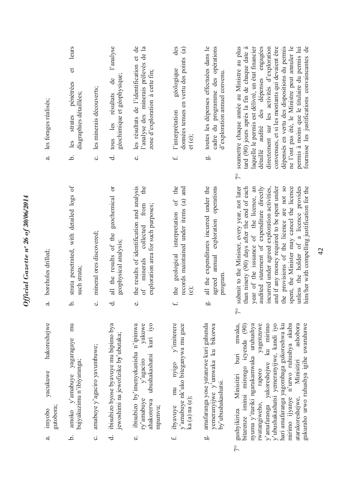| les forages réalisés;<br>$\ddot{a}$                   | leurs<br>$\sigma$<br>pénétrées<br>diagraphies détaillées;<br>strates<br>les<br>.<br>ف | les minerais découverts;<br>ပ                  | l'analyse<br>géochimique et géophysique;<br>$\ddot{d}$<br>d. tous les résultats           | les résultats de l'identification et de<br>l'analyse des minerais prélevés de la<br>zone d'exploration à cette fin;<br>$\vec{v}$                      | des<br>données tenues en vertu des points (a)<br>géologique<br>l'interprétation<br>et (e);<br>$\ddot{ }$                       | toutes les dépenses effectuées dans le<br>cadre du programme des opérations<br>d'exploration annuel convenu.<br>ád | détaillé audité des dépenses engagées<br>soumettre chaque année au Ministre au plus<br>tard (90) jours après la fin de chaque date à<br>laquelle le permis est délivré, un état financier<br>convenues, et si les montants qui devaient être<br>dépensés en vertu des dispositions du permis<br>ne l'ont pas été, le Ministre peut annuler le<br>permis à moins que le titulaire du permis lui<br>fournisse les justifications convaincantes de<br>directement sur les activités d'exploration<br>$\tilde{7}^{\circ}$ |
|-------------------------------------------------------|---------------------------------------------------------------------------------------|------------------------------------------------|-------------------------------------------------------------------------------------------|-------------------------------------------------------------------------------------------------------------------------------------------------------|--------------------------------------------------------------------------------------------------------------------------------|--------------------------------------------------------------------------------------------------------------------|-----------------------------------------------------------------------------------------------------------------------------------------------------------------------------------------------------------------------------------------------------------------------------------------------------------------------------------------------------------------------------------------------------------------------------------------------------------------------------------------------------------------------|
| boreholes drilled;<br>$\mathbf{a}$                    | strata penetrated, with detailed logs of<br>such strata;<br>.<br>م                    | mineral ores discovered;<br>$\ddot{\circ}$     | ð<br>geochemical<br>all the results of the<br>geophysical analysis;<br>$\vec{d}$          | the results of identification and analysis<br>the<br>exploration area for such purposes;<br>from<br>collected<br>minerals<br>$\sigma$ f<br>$\vec{v}$  | the<br>and<br>records maintained under items (a)<br>geological interpretation of<br>the<br>$\dot{e}$<br>$\ddot{ }$             | all the expenditures incurred under the<br>operations<br>agreed annual exploration<br>program<br>do                | and if any money required to be spent under<br>submit to the Minister, every year, not later<br>incurred under agreed exploration activities,<br>spent, the Minister may cancel the licence<br>unless the holder of a licence provides<br>him/her with compelling justification for the<br>than ninety (90) days after the end of each<br>year of the issuance of the licence, an<br>audited statement of expenditure directly<br>the provisions of the licence are not so<br>$\zeta$                                 |
| hakoreshejwe<br>yacukuwe<br>gutobora;<br>imyobo<br>ದ. | mu<br>yagaragaye<br>bujyakuzimu n'ibiyaranga;<br>$amoko$ $v'amabuve$<br>.<br>م        | amabuye y'agaciro yavumbuwe;<br>$\ddot{\circ}$ | ibisubizo byose byavuye mu bipimo bya<br>jewoshimi na jewofizike by'ubutaka;<br>$\vec{d}$ | ibisubizo by'imenyekanisha n'ipimwa<br>yakuwe<br>kuri iyo<br>ubushakashatsi<br>y'agaciro<br>ry'amabuye<br>ahakorerwa<br>mpamvu;<br>$\dot{\mathbf{c}}$ | $n$ yigo $y'$ imiterere<br>y'amabuye nk'uko biteganywa mu gace<br>mu<br>ka (a) na (e);<br>ibyavuye<br>$\overline{\phantom{0}}$ | amafaranga yose yatanzwe kuri gahunda<br>yemeranyijwe y'umwaka ku bikorwa<br>by'ubushakashatsi.<br>do              | mwaka,<br>yagenzuwe<br>y'amafaranga yakoreshejwe ku mirimo<br>y'ubushakashatsi yemeranyijwe, kandi iyo<br>hari amafaranga yagombaga gukoreshwa ku<br>mirimo ijyanye n'urwo ruhushya akaba<br>ashobora<br>nyuma y'itariki ngarukamwaka uruhushya<br>gukuraho urwo ruhushya igihe uwaruhawe<br>bitarenze iminsi mirongo icyenda (90)<br>$b$ uri<br>Minisitiri<br>raporo<br>gushyikiriza Minisitiri<br>atarakoreshejwe,<br>rwatangiweho,<br>$7^{\circ}$                                                                  |

 $7^{\circ}$ 

*Official Gazette nᵒ 26 of 30/06/2014*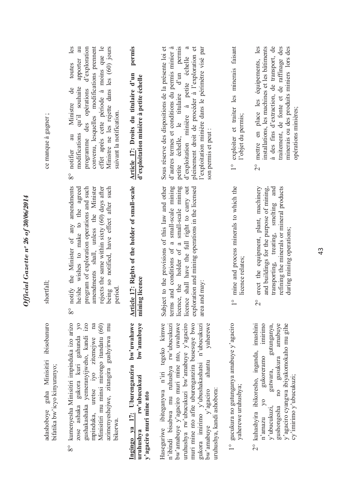| ce manque à gagner;                                                    | convenu, lesquelles modifications prement<br>Ministre ne les rejette dans les (60) jours<br>effet après cette période à moins que le<br>les<br>$\overline{a}$<br>d'exploration<br>apporter<br>toutes<br>modifications qu'il souhaite<br>$\rm de$<br>programme des opérations<br>Ministre<br>suivant la notification.<br>au<br>notifier<br>$8^{\circ}$ | permis<br>Article 17: Droits du titulaire d'un<br>d'exploitation minière à petite échelle                     | petite échelle, le titulaire d'un permis<br>l'exploitation minière dans le périmètre visé par<br>d'autres termes et conditions du permis minier à<br>$\mathfrak{a}$<br>pleinement droit de procéder à l'exploration et<br>Sous réserve des dispositions de la présente loi et<br>d'exploitation minière à petite échelle<br>son permis et peut :                        | exploiter et traiter les minerais faisant<br>l'objet du permis;<br>$\frac{1}{\sqrt{2}}$ | mettre en place les équipements, les<br>à des fins d'extraction, de transport, de<br>installations, les machines et les bâtiments<br>traitement, de fonte et de raffinage des<br>minerais ou des produits miniers lors des<br>opérations minières;<br>$\overset{\circ}{\Omega}$       |
|------------------------------------------------------------------------|-------------------------------------------------------------------------------------------------------------------------------------------------------------------------------------------------------------------------------------------------------------------------------------------------------------------------------------------------------|---------------------------------------------------------------------------------------------------------------|-------------------------------------------------------------------------------------------------------------------------------------------------------------------------------------------------------------------------------------------------------------------------------------------------------------------------------------------------------------------------|-----------------------------------------------------------------------------------------|---------------------------------------------------------------------------------------------------------------------------------------------------------------------------------------------------------------------------------------------------------------------------------------|
| shortfall;                                                             | notify the Minister of any amendments<br>he/she wishes to make to the agreed<br>program of exploration operations and such<br>amendments shall, unless the Minister<br>rejects the same within sixty (60) days after<br>being so notified, have effect after such<br>period<br>$\rm{8^o}$                                                             | Article 17: Rights of the holder of small-scale<br>mining licence                                             | Subject to the provisions of this law and other<br>terms and conditions of a small-scale mining<br>licence, the holder of a small-scale mining<br>licence shall have the full right to carry out<br>exploration and mining operations in the licensed<br>area and may:                                                                                                  | mine and process minerals to which the<br>licence relates;<br>$\frac{1}{1}$             | erect the equipment, plant, machinery<br>and buildings for the purpose of mining,<br>transporting, treating, smelting and<br>refining the minerals or mineral products<br>during mining operations;<br>$\overline{\mathcal{C}}$                                                       |
| adashoboye guha Minisitiri ibisobanuro<br>bifatika bw'icyo kinyuranyo; | kumenyesha Minisitiri impinduka izo arizo<br>$\sqrt{2}$<br>1ZO<br>$\mathbb{R}$<br>azimenyeshejwe, zitangira gushyirwa mu<br>Minisitiri mu minsi mirongo itandatu (60)<br>gushakashaka yemeranyijweho, kandi<br>zose ashaka gukora kuri gahunda<br>mpinduka, uretse iyo zitemejwe<br>bikorwa.<br>$8^{\circ}$                                           | Ingingo ya 17: Uburenganzira bw'uwahawe<br>bw'amabuye<br>rw'ubucukuzi<br>y'agaciro muri mine nto<br>uruhushya | Haseguriwe ibiteganywa n'iri tegeko kimwe<br>uruhushya rw'ubucukuzi bw'amabuye y'agaciro<br>muri mine nto afite uburenganzira busesuye bwo<br>bw'amabuye y'agaciro muri mine nto, uwahawe<br>yaherewe<br>n'ibindi bisabwa mu ruhushya rw'ubucukuzi<br>gukora imirimo y'ubushakashatsi n'ubucukuzi<br>ahantu<br>uruhushya, kandi ashobora:<br>$bw'$ amabuye $y'$ agaciro | 1° gucukura no gutunganya amabuye y'agaciro<br>yaherewe uruhushya;                      | y'agaciro cyangwa ibiyakomokaho mu gihe<br>imashini<br>imirimo<br>amabuve<br>gutunganya,<br>kuhashyira ibikoresho, inganda,<br>gusukura<br>gukoreramo<br>gutwara,<br>cy'imirimo y'ubucukuzi;<br>100<br>$\overline{\gamma}$<br>y'ubucukuzi,<br>gushongesha<br>n'amazu<br>$\frac{1}{2}$ |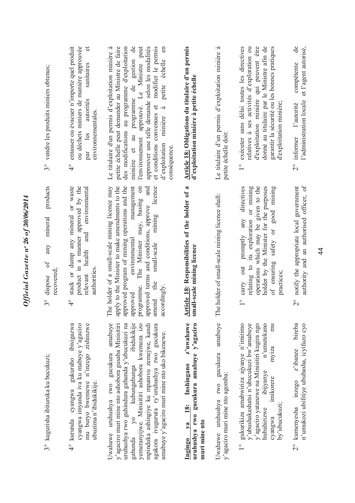| 3° vendre les produits miniers obtenus;                                            | entasser ou évacuer n'importe quel produit<br>ou déchets miniers de manière approuvée<br>$\sigma$<br>sanıtaires<br>autorités<br>environnementales<br>les<br>par<br>$\frac{1}{4}$ | Le titulaire d'un permis d'exploitation minière à<br>petite échelle peut demander au Ministre de faire<br>des modifications au programme d'exploitation<br>gestion de<br>approuvé. Le Ministre peut<br>approuver une telle demande selon les modalités<br>modifier le permis<br>$\mathbb{S}$<br>échelle<br>minière et au programme de<br>petite<br>et conditions convenues et<br>à<br>minière<br>l'environnement<br>d'exploitation<br>conséquence | Article 18: Obligations du titulaire d'un permis<br>d'exploitation minière à petite échelle                   | à<br>Le titulaire d'un permis d'exploitation minière<br>petite échelle doit     | exécuter sans délai toutes les directives<br>relatives à ses activités d'exploration ou<br>d'exploitation minière qui peuvent être<br>donné au titulaire par le Ministre afin de<br>garantir la sécurité ou les bonnes pratiques<br>d'exploitation minière;<br>$\frac{1}{\sqrt{2}}$ | $\mathbf{d}\mathbf{e}$<br>et l'agent autorisé,<br>compétente<br>l'administration locale<br>l'autorité<br>informer<br>$\frac{1}{2}$ |
|------------------------------------------------------------------------------------|----------------------------------------------------------------------------------------------------------------------------------------------------------------------------------|---------------------------------------------------------------------------------------------------------------------------------------------------------------------------------------------------------------------------------------------------------------------------------------------------------------------------------------------------------------------------------------------------------------------------------------------------|---------------------------------------------------------------------------------------------------------------|---------------------------------------------------------------------------------|-------------------------------------------------------------------------------------------------------------------------------------------------------------------------------------------------------------------------------------------------------------------------------------|------------------------------------------------------------------------------------------------------------------------------------|
| products<br>mineral<br>any<br>ð<br>recovered:<br>dispose<br>$\mathfrak{S}^{\circ}$ | stack or dump any mineral or waste<br>product in a manner approved by the<br>environmental<br>and<br>health<br>authorities<br>relevant<br>$\frac{1}{4}$                          | management<br>e holder of a small-scale mining licence may<br>apply to the Minister to make amendments to the<br>approved program of mining operations and the<br>The Minister may, basing on<br>and<br>licence<br>approved terms and conditions, approve<br>mining<br>environmental<br>small-scale<br>the<br>programme.<br>accordingly.<br>approved<br>amend<br>Fh                                                                               | Article 18: Responsibilities of the holder of a<br>small-scale mining licence                                 | e holder of small-scale mining licence shall:<br>$\mathbb{T}^n$                 | operations which may be given to the<br>holder by the Minister for the purposes<br>good mining<br>directives<br>relating to its exploration or mining<br>promptly any<br>$\overline{a}$<br>safety<br>of ensuring<br>carry out<br>practices;                                         | authority and an authorised officer, of<br>notify the appropriate local government<br>$\overset{\circ}{\sim}$                      |
| 3° kugurisha ibituruka ku bucukuzi;                                                | cyangwa imyanda iva ku mabuye y'agaciro<br>mu buryo bwemewe n'inzego zishinzwe<br>gukuraho ibisigazwa<br>ubuzima n'ibidukikije.<br>cyangwa<br>4° kurunda                         | Uwahawe uruhushya rwo gucukura amabuye<br>ibidukikije<br>y'agaciro muri mine nto ashobora gusaba Minisitiri<br>uruhushya rwo guhindura gahunda y'ubucukuzi na<br>yemeranyijwe. Minisitiri ashobora kwemeza izo<br>agakora ivugurura ry'uruhushya rwo gucukura<br>mpinduka ashingiye ku mpamvu zemejwe, kandi<br>amabuye y'agaciro muri mine nto uko bikenewe.<br>kubungabunga<br>$\mathcal{S}^{\circ}$<br>gahunda                                 | z'uwahawe<br>uruhushya rwo gucukura amabuye y'agaciro<br>Inshingano<br>18:<br>muri mine nto<br>$1$<br>Ingingo | amabuye<br>gucukura<br>y'agaciro muri mine nto agomba:<br>Uwahawe uruhushya rwo | y'ubushakashatsi n'ubucukuzi bw'amabuye<br>gukurikiza amabwiriza ajyanye n'imirimo<br>y'agaciro yatanzwe na Minisitiri kugira ngo<br>n'umutekano<br>$\mathbb{R}$<br>myiza<br>ibijyanye<br>imikorere<br>by'ubucukuzi;<br>hubahirizwe<br>cyangwa<br>$\frac{0}{1}$                     | bireba<br>n'umukozi ubifitiye ububasha, icyifuzo cyo<br>z'ibanze<br>inzego<br>2° kumenyesha                                        |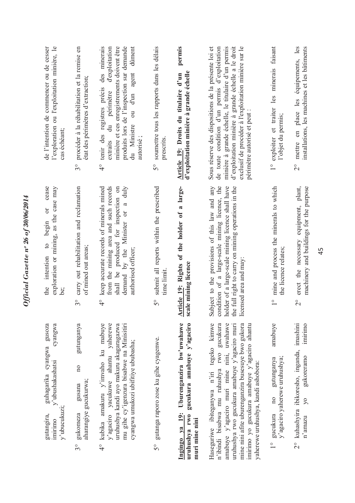| l'exploration ou l'exploitation minière, le<br>de l'intention de commencer ou de cesser<br>cas échéant;        | procéder à la réhabilitation et la remise en<br>état des périmètres d'extraction;<br>$\mathcal{S}^{\circ}$     | des minerais<br>minière et ces enregistrements doivent être<br>produits lors de l'inspection sur demande<br>dûment<br>du périmètre d'exploitation<br>agent<br>tenir des registres précis<br>d'un<br>$\overline{\mathrm{d}}$<br>du Ministre<br>extraits<br>autorisé<br>$\frac{1}{4}$ | soumettre tous les rapports dans les délais<br>prescrits<br>S° | permis<br>d'exploitation minière à grande échelle<br>Article 19: Droits du titulaire d'un                   | Sous réserve des dispositions de la présente loi et<br>minière à grande échelle, le titulaire d'un permis<br>d'exploitation minière à grande échelle a le droit<br>exclusif de procéder à l'exploitation minière sur le<br>de toute condition d'un permis d'exploitation<br>périmètre autorisé et peut                                 | exploiter et traiter les minerais faisant<br>l'objet du permis;<br>$\frac{0}{1}$           | en place les équipements, les<br>installations, les machines et les bâtiments<br>mettre<br>$\overset{\circ}{\sim}$            |
|----------------------------------------------------------------------------------------------------------------|----------------------------------------------------------------------------------------------------------------|-------------------------------------------------------------------------------------------------------------------------------------------------------------------------------------------------------------------------------------------------------------------------------------|----------------------------------------------------------------|-------------------------------------------------------------------------------------------------------------|----------------------------------------------------------------------------------------------------------------------------------------------------------------------------------------------------------------------------------------------------------------------------------------------------------------------------------------|--------------------------------------------------------------------------------------------|-------------------------------------------------------------------------------------------------------------------------------|
| cease<br>exploration or mining, as the case may<br>$\sigma$<br>begin<br>$\circ$<br>intention<br>the<br>.<br>كا | carry out rehabilitation and reclamation<br>of mined out areas;<br>$\tilde{\mathcal{S}}^{\circ}$               | from the mining area and such records<br>$d$ uly<br>keep accurate records of minerals mined<br>shall be produced for inspection on<br>$\mathfrak{a}$<br>demand by the Minister or<br>authorised officer;<br>$\frac{1}{4}$                                                           | submit all reports within the prescribed<br>time limit<br>S°   | Article 19: Rights of the holder of a large-<br>scale mining licence                                        | condition of a large-scale mining licence, the<br>holder of a large-scale mining licence shall have<br>the full right to carry on mining operations in the<br>Subject to the provisions of this law and any<br>licensed area and may:                                                                                                  | mine and process the minerals to which<br>the licence relates;<br>$\overline{1}$           | erect the necessary equipment, plant,<br>machinery and buildings for the purpose<br>$\overline{\mathcal{C}}$                  |
| gusoza<br>cyangwa<br>guhagarika cyangwa<br>y'ubushakashatsi<br>y'ubucukuzi:<br>gutangira,<br><b>Imirimo</b>    | gutunganya<br>$\overline{\mathbf{n}}$<br>aharangiye gucukurwa;<br>gusana<br>gukomeza<br>$\mathfrak{S}^{\circ}$ | kubika amakuru y'imvaho ku mabuye<br>y'agaciro yacukuwe ahantu yaherewe<br>uruhushya kandi ayo makuru akagaragazwa<br>mu gihe cy'igenzura bisabwe na Minisitiri<br>cyangwa umukozi ubifitiye ububasha;<br>$\frac{1}{4}$                                                             | gutanga raporo zose ku gihe cyagenwe.<br>50                    | Uburenganzira bw'uwahawe<br>gucukura amabuye y'agaciro<br>Ingingo ya 19:<br>uruhushya rwo<br>muri mine nini | tegeko kimwe<br>gucukura<br>amabuye y'agaciro muri mine nini, uwahawe<br>mine nini afite uburenganzira busesuye bwo gukora<br>imirimo yo gucukura amabuye y'agaciro ahantu<br>uruhushya rwo gucukura amabuye y'agaciro muri<br>n'ibindi bisabwa mu ruhushya rwo<br>yaherewe uruhushya, kandi ashobora:<br>Haseguriwe ibiteganywa n'iri | amabuye<br>y'agaciro yaherewe uruhushya;<br>gutunganya<br>100<br>gucukura<br>$\frac{1}{1}$ | imashini<br>imirimo<br>kuhashyira ibikoresho, inganda,<br>gukoreramo<br>$\overline{y}$<br>n'amazu<br>$\stackrel{\circ}{\sim}$ |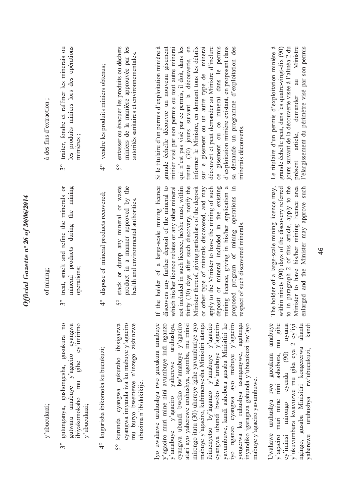| à des fins d'extraction; | les produits miniers lors des opérations<br>traiter, fondre et raffiner les minerais ou<br>minières;<br>30                                   | vendre les produits miniers obtenus;<br>$\frac{1}{4}$   | entasser ou évacuer les produits ou déchets<br>miniers de la manière approuvée par les<br>autorités sanitaires et environnementales.<br>$\mathcal{S}^{\circ}$  | découvert et peut demander au Ministre d'inclure<br>ce gisement ou ce minerai dans le permis<br>qui n'est pas visé par ce permis, il doit, dans les<br>trente (30) jours suivant la découverte, en<br>informer le Ministre, en donnant tous les détails<br>sur le gisement ou un autre type de minerai<br>d'exploitation minière existant, en proposant dans<br>Si le titulaire d'un permis d'exploitation minière à<br>grande échelle découvre un nouveau gisement<br>minier visé par son permis ou tout autre minerai<br>sa demande un programme d'exploitation des<br>minerais découverts.                                                                       | jours suivant de la découverte visée à l'alinéa 2 du<br>au Ministre<br>Le titulaire d'un permis d'exploitation minière à<br>grande échelle peut, dans les quatre-vingt-dix (90)<br>l'élargissement du périmètre visé par son permis<br>demander<br>présent article,               |
|--------------------------|----------------------------------------------------------------------------------------------------------------------------------------------|---------------------------------------------------------|----------------------------------------------------------------------------------------------------------------------------------------------------------------|---------------------------------------------------------------------------------------------------------------------------------------------------------------------------------------------------------------------------------------------------------------------------------------------------------------------------------------------------------------------------------------------------------------------------------------------------------------------------------------------------------------------------------------------------------------------------------------------------------------------------------------------------------------------|-----------------------------------------------------------------------------------------------------------------------------------------------------------------------------------------------------------------------------------------------------------------------------------|
| of mining;               | mining<br>treat, smelt and refine the minerals or<br>the<br>mineral products during<br>operations;<br>$3^{\circ}$                            | dispose of mineral products recovered;<br>$\frac{1}{4}$ | product in a manner approved by the<br>stack or dump any mineral or waste<br>health and environmental authorities.<br>$\mathcal{S}^{\circ}$                    | the holder of a large-scale mining licence<br>Minister thereof, giving particulars of the deposit<br>deposit or mineral included in the existing<br>thirty (30) days after such discovery, notify the<br>apply to the Minister to have the mining of such<br>mining licence, giving in his/her application a<br>discovers any further deposit of the mineral to<br>not included in such licence, he/she must, within<br>proposed program of mining operations in<br>which his/her licence relates or any other mineral<br>or other type of minerals discovered, and may<br>respect of such discovered minerals.<br>$\mathbb H$                                      | The holder of a large-scale mining licence may,<br>to in paragraph 2 of this article, apply to the<br>within ninety (90) days of the discovery referred<br>Minister to have his/her mining licence area<br>enlarged and the Minister may approve such                             |
| y'ubucukuzi;             | gutunganya, gushongesha, gusukura no<br>amabuye y'agaciro cyangwa<br>cy'imirimo<br>gihe<br>ibiyakomokaho mu<br>y'ubucukuzi;<br>gutwara<br>30 | 4° kugurisha ibikomoka ku bucukuzi;                     | cyangwa imyanda iva ku mabuye y'agaciro<br>mu buryo bwemewe n'inzego zishinzwe<br>kurunda cyangwa gukuraho ibisigazwa<br>ubuzima n'ibidukikije.<br>$5^{\circ}$ | Iyo uwahawe uruhushya rwo gucukura amabuye<br>mirongo itatu (30) uhereye igihe yavumburiye ayo<br>y'agaciro muri mine nini avumbuye indi nganzo<br>cyangwa ubundi bwoko bw'amabuye y'agaciro<br>ibimenyetso by'inganzo y'amabuye y'agaciro<br>cyangwa ubundi bwoko bw'amabuye y'agaciro<br>iyo nganzo cyangwa ayo mabuye y'agaciro<br>y'amabuye y'agaciro yaherewe uruhushya,<br>atari ayo yaherewe uruhushya, agomba, mu minsi<br>yavumbuwe, kandi ashobora gusaba Minisitiri ko<br>mabuye y'agaciro, kubimenyesha Minisitiri atanga<br>yongerwa ku ruhushya asanganywe, agatanga<br>inyandiko igaragaza gahunda y'ubucukuzi bw'ayo<br>mabuye y'agaciro yavumbuwe. | amabuve<br>ahantu<br>y'agaciro muri mine nini ashobora, mu gihe<br>y'ukuvumbura kwavuzwe mu gika cya 2 cy'iyi<br>nyuma<br>kandi<br>ngingo, gusaba Minisitiri kongererwa<br>uruhushya rw'ubucukuzi,<br>Uwahawe uruhushya rwo gucukura<br>cy'iminsi mirongo cyenda (90)<br>vaherewe |

Official Gazette nº 26 of 30/06/2014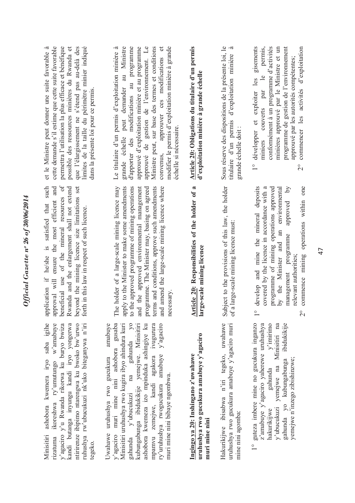## *Official Gazette nᵒ 26 of 30/06/2014*  Official Gazette nº 26 of 30/06/2014

Minisitiri ashobora kwemera iryo saba igihe ntirirenze ibipimo ntarengwa ku bwoko bw'urwo Minisitiri ashobora kwemera iryo saba igihe ikoreshwa ry'umutungo w'amabuye rizatuma ikoreshwa ry'umutungo w'amabuye y'agaciro y'u Rwanda rikorwa ku buryo bwiza kandi butanga inyungu kandi iryo yongerwa kandi butanga inyungu kandi iryo yongerwa ntirirenze ibipimo ntarengwa ku bwoko bw'urwo ruhushya rw'ubucukuzi nk'uko biteganywa n'iri ruhushya rw'ubucukuzi nk'uko biteganywa n'iri y'agaciro y'u Rwanda rikorwa ku buryo bwiza rizatuma tegeko.

y'agaciro muri mine nini ashobora gusaba gahunda y'ubucukuzi na gahunda yo kubungabunga ibidukikije yemejwe. Minisitiri Uwahawe uruhushya rwo gucukura amabuye y'agaciro muri mine nini ashobora gusaba Minisitiri uruhushya rwo kugira ibyo ahindura kuri Minisitiri uruhushya rwo kugira ibyo ahindura kuri gahunda y'ubucukuzi na gahunda yo kubungabunga ibidukikije yemejwe. Minisitiri ashobora kwemeza izo mpinduka ashingiye ku mpamvu zemejwe, kandi agakora ivugurura mpamvu zemejwe, kandi agakora ivugurura ry'uruhushya rwogucukura amabuye y'agaciro ry'uruhushya rwogucukura amabuye y'agaciro Uwahawe uruhushya rwo gucukura amabuye ashobora kwemeza izo mpinduka ashingiye ku gahunda y'ubucukuzi na gahunda muri mine nini bibaye ngombwa. muri mine nini bibaye ngombwa.

uruhushya rwo gucukura amabuye y'agaciro **uruhushya rwo gucukura amabuye y'agaciro**  Ingingo ya 20: Inshingano z'uwahawe **Ingingo ya 20: Inshingano z'uwahawe** muri mine nini **muri mine nini** Hakurikijwe ibisabwa n'iri tegeko, uwahawe uruhushya rwo gucukura amabuye y'agaciro muri Hakurikijwe ibisabwa n'iri tegeko, uwahawe uruhushya rwo gucukura amabuye y'agaciro muri mine nini agomba: mine nini agomba: 1° guteza imbere mine no gucukura inganzo z'amabuye y'agaciro yaherewe uruhushya  $V'$ imirimo gahunda yo kubungabunga ibidukikije 1° guteza imbere mine no gucukura inganzo z'amabuye y'agaciro yaherewe uruhushya hakurikijwe gahunda y'imirimo v'ubucukuzi yemejwe na Minisitiri na y'ubucukuzi yemejwe na Minisitiri na gahunda yo kubungabunga ibidukikije vemejwe n'inzego zibishinzwe; yemejwe n'inzego zibishinzwe; gahunda hakurikijwe

application if he/she is satisfied that such beneficial use of the mineral resources of beyond the mining licence size limitations set application if he/she is satisfied that such approval will ensure the most efficient and approval will ensure the most efficient and beneficial use of the mineral resources of Rwanda and the enlargement shall not extend Rwanda and the enlargement shall not extend beyond the mining licence size limitations set forth in this law in respect of such licence. forth in this law in respect of such licence.

apply to the Minister to make some amendments The holder of a large-scale mining licence may The holder of a large-scale mining licence may apply to the Minister to make some amendments to the approved programme of mining operations to the approved programme of mining operations and the approved environmental management programme. The Minister may, basing on agreed programme. The Minister may, basing on agreed terms and conditions, approve such amendments terms and conditions, approve such amendments and amend the large-scale mining licence where and amend the large-scale mining licence where and the approved environmental management necessary. necessary. Article 20: Responsibilities of the holder of a<br>large-scale mining licence **Article 20: Responsibilities of the holder of a large-scale mining licence** Subject to the provisions of this law, the holder Subject to the provisions of this law, the holder of a large-scale mining licence must: of a large-scale mining licence must:

- 1° develop and mine the mineral deposits covered by the licence in accordance with a programme of mining operations approved by the Minister and an environmental management programme approved by 1° develop and mine the mineral deposits covered by the licence in accordance with a programme of mining operations approved  $\delta$ by the Minister and an environmental approved management programme relevant authorities; relevant authorities;
- 2° commence mining operations within one commence mining operations within one  $\overline{C}$

et le Ministre peut donner une suite favorable à cette demande s'il estime que cette suite favorable permettra l'utilisation la plus efficace et bénéfique possible des ressources minières du Rwanda et que l'élargissement ne s'étend pas au-delà des limites de la taille du périmètre minier indiqué et le Ministre peut donner une suite favorable à cette demande s'il estime que cette suite favorable permettra l'utilisation la plus efficace et bénéfique possible des ressources minières du Rwanda et que l'élargissement ne s'étend pas au-delà des limites de la taille du périmètre minier indiqué dans la présente loi pour ce permis. dans la présente loi pour ce permis.

Le titulaire d'un permis d'exploitation minière à grande échelle peut demander au Ministre d'apporter des modifications au programme approuvé d'exploitation minière et au programme approuvé de gestion de l'environnement. Le approuvé de gestion de l'environnement. Le Ministre peut, sur base des termes et conditions convenus, approuver ces modifications et modifier le permis d'exploitation minière à grande Le titulaire d'un permis d'exploitation minière à grande échelle peut demander au Ministre d'apporter des modifications au programme approuvé d'exploitation minière et au programme Ministre peut, sur base des termes et conditions convenus, approuver ces modifications et modifier le permis d'exploitation minière à grande échelle si nécessaire. échelle si nécessaire.

## **Article 20: Obligations du titulaire d'un permis**  Article 20: Obligations du titulaire d'un permis d'exploitation minière à grande échelle **d'exploitation minière à grande échelle**

Sous réserve des dispositions de la présente loi, le titulaire d'un permis d'exploitation minière à Sous réserve des dispositions de la présente loi, le titulaire d'un permis d'exploitation minière à grande échelle doit : grande échelle doit :

- 1° développer et exploiter les gisements miniers couverts par le permis, conformément à un programme d'activités minières approuvé par le Ministre et un programme de gestion de l'environnement 1° développer et exploiter les gisements permis, conformément à un programme d'activités minières approuvé par le Ministre et un programme de gestion de l'environnement approuvé par les autorités compétentes; approuvé par les autorités compétentes; miniers couverts par le
	- 2° commencer les activités d'exploitation commencer les activités d'exploitation  $\overline{C}$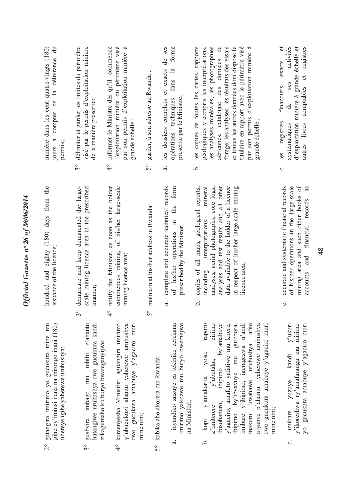| $\ddot{a}$<br>minière dans les cent quatre-vingts (180)<br>la délivrance<br>compter de<br>$jours \ \ \lambda$<br>permis;                   | délimiter et garder les limites du périmètre<br>visé par le permis d'exploitation minière<br>de la manière prescrite;           | l'exploitation minière du périmètre visé<br>informer le Ministre dès qu'il commence<br>par son permis d'exploitation minière à<br>grande échelle;       | garder, à son adresse au Rwanda:                       | les dossiers complets et exacts de ses<br>forme<br>dans la<br>prescrite par le Ministre;<br>opérations techniques              | titulaire en rapport avec le périmètre visé<br>géologiques y compris les interprétations,<br>aériennes, catalogue des données de<br>et toutes les autres données dont dispose le<br>les copies de toutes les cartes, rapports<br>les analyses minérales, les photographies<br>forage, les analyses, les résultats des essais<br>par son permis d'exploitation minière à<br>grande échelle;             | activités<br>$\sigma$<br>d'exploitation minière à grande échelle et<br>registres<br>exacts<br>comptables et<br>ses<br>financiers<br>$\mathrm{d}\mathrm{e}$<br>registres<br>autres livres<br>systématiques<br>les |
|--------------------------------------------------------------------------------------------------------------------------------------------|---------------------------------------------------------------------------------------------------------------------------------|---------------------------------------------------------------------------------------------------------------------------------------------------------|--------------------------------------------------------|--------------------------------------------------------------------------------------------------------------------------------|--------------------------------------------------------------------------------------------------------------------------------------------------------------------------------------------------------------------------------------------------------------------------------------------------------------------------------------------------------------------------------------------------------|------------------------------------------------------------------------------------------------------------------------------------------------------------------------------------------------------------------|
|                                                                                                                                            | $3^{\circ}$                                                                                                                     | $\frac{1}{4}$                                                                                                                                           | $\mathcal{S}^{\circ}$                                  | $\vec{a}$                                                                                                                      | .<br>ف                                                                                                                                                                                                                                                                                                                                                                                                 | ပ                                                                                                                                                                                                                |
| hundred and eighty (180) days from the<br>issuance of the licence;                                                                         | demarcate and keep demarcated the large-<br>scale mining licence area in the prescribed<br>manner;<br>$\circ$<br>$\mathfrak{c}$ | as soon as the holder<br>of his/her large-scale<br>commences mining,<br>notify the Minister,<br>mining licence area;<br>O<br>4                          | maintain at his/her address in Rwanda:<br>$\circ$<br>5 | complete and accurate technical records<br>form<br>the<br>of his/her operations in<br>prescribed by the Minister;<br>$\vec{a}$ | data available to the holder of a licence<br>in respect of his/her large-scale mining<br>copies of all maps, geological reports,<br>analyses and test results and all other<br>mineral<br>analyses, aerial photographs, core logs,<br>interpretations,<br>licence area;<br>including<br>.<br>ف                                                                                                         | mining area and such other books of<br>of his/her operations in the large-scale<br>accurate and systematic financial records<br>as<br>accounts and financial records<br>$\ddot{\circ}$                           |
| gutangira imirimo yo gucukura mine mu<br>gihe cy'iminsi ijana na mirongo inani (180)<br>uhereye igihe yaherewe uruhushya;<br>$\frac{1}{2}$ | gushyira imbago mu mbibi z'ahantu<br>hatangiwe uruhushya rwo gucukura kandi<br>zikagumaho ku buryo bwateganyijwe;<br>30         | kumenyesha Minisitiri agitangira imirimo<br>y'ubucukuzi ahantu yaherewe uruhushya<br>rwo gucukura amabuye y'agaciro muri<br>mine nini;<br>$\frac{1}{4}$ | 5° kubika aho akorera mu Rwanda:                       | imirimo yakozwe mu buryo bwemejwe<br>inyandiko zuzuye za tekinike zerekana<br>na Minisitiri;<br>a.                             | raporo<br>zirimo<br>by'amabuye<br>y'agaciro, amafoto yafatiwe mu kirere,<br>by'ibyavuye mu gutobora,<br>imibare y'ibipimo, igeragezwa n'andi<br>afite<br>ajyanye n'ahantu yaherewe uruhushya<br>gucukura amabuye y'agaciro muri<br>uruhushya<br>yose,<br>y'ubutaka,<br>ibisobanuro, ibipimo<br>kopi y'amakarita<br>uwahawe<br>z'imiterere<br>mine nimi;<br>ibipimo<br>makuru<br>IW <sub>0</sub><br>نم. | $v$ 'ukuri<br>y'ikoreshwa ry'amafaranga mu mirimo<br>gucukura amabuye y'agaciro muri<br>kandi<br>yuzuye<br>imibare<br>$\overline{y}$<br>$\ddot{\circ}$                                                           |

## Official Gazette nº 26 of  $30/06/2014$ *Official Gazette nᵒ 26 of 30/06/2014*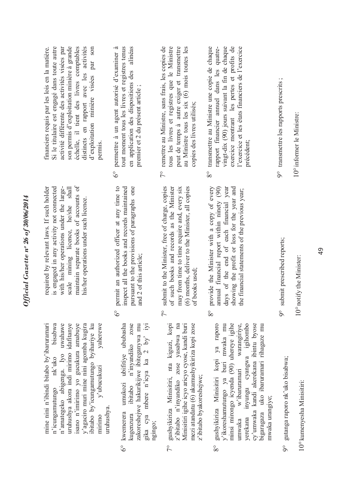|            | yaherewe<br>n'amategeko abigenga. Iyo uwahawe<br>uruhushya akora indi mirimo idafitanye<br>isano n'imirimo yo gucukura amabuye<br>mine nini n'ibindi bitabo by'ibaruramari<br>bisabwa<br>y'agaciro muri mine nini agomba kugira<br>ibitabo by'icungamutungo byihariye ku<br>nk'uko<br>y'ubucukuzi<br>n'icungamutungo<br>uruhushya.<br>mirimo | maintain separate books of accounts of<br>is engaged in any activity not connected<br>with his/her operations under the large-<br>required by relevant laws. If such holder<br>scale mining licence, he/she shall<br>his/her operations under such licence. | activité différente des activités visées par<br>son permis d'exploitation minière à grande<br>distincts en rapport avec les activités<br>Si le titulaire est engagé dans toute autre<br>échelle, il tient des livres comptables<br>son<br>financiers requis par les lois en la matière.<br>par<br>d'exploitation minière visées<br>permis. |
|------------|----------------------------------------------------------------------------------------------------------------------------------------------------------------------------------------------------------------------------------------------------------------------------------------------------------------------------------------------|-------------------------------------------------------------------------------------------------------------------------------------------------------------------------------------------------------------------------------------------------------------|--------------------------------------------------------------------------------------------------------------------------------------------------------------------------------------------------------------------------------------------------------------------------------------------------------------------------------------------|
| $6^\circ$  | zose<br>umukozi ubifitiye ububasha<br>gika cya mbere n'icya ka 2 by' iyi<br>zakoreshejwe hakurikijwe ibiteganywa mu<br>ibitabo n'inyandiko<br>kwemerera<br>kugenzura<br>ngingo;                                                                                                                                                              | permit an authorized officer at any time to<br>inspect all the books and records maintained<br>pursuant to the provisions of paragraphs one<br>and 2 of this article;<br>$\delta^{\circ}$                                                                   | en application des dispositions des alinéas<br>tout moment tous les livres et registres tenus<br>permettre à un agent autorisé d'examiner à<br>premier et 2 du présent article;<br>$6^\circ$                                                                                                                                               |
| $\sqrt{2}$ | mezi atandatu (6) akamushyikiriza kopi zose<br>gushyikiriza Minisitiri, nta kiguzi, kopi<br>z'ibitabo n'inyandiko zose yasabwa na<br>Minisitiri igihe icyo aricyo cyose, kandi buri<br>z'ibitabo byakoreshejwe;                                                                                                                              | submit to the Minister, free of charge, copies<br>of such books and records as the Minister<br>(6) months, deliver to the Minister, all copies<br>may from time to time require and, every six<br>of books used;<br>$\tilde{7}^{\circ}$                     | 7° remettre au Ministre, sans frais, les copies de<br>tous les livres et registres que le Ministre<br>peut de temps à autre exiger et transmettre<br>au Ministre tous les six (6) mois toutes les<br>copies des livres utilisés;                                                                                                           |
| 80         | gushyikiriza Minisitiri kopi ya raporo<br>minsi mirongo icyenda (90) uhereye igihe<br>warangiriye,<br>inyungu cyangwa igihombo<br>cy'umwaka kandi akerekana ibintu byose<br>y'ikoreshamutungo ya buri mwaka mu<br>bigaragaza uko ibaruramari rihagaze mu<br>w'ibaruramari<br>mwaka urangiye;<br>verekana<br>umwaka                           | provide the Minister with a copy of every<br>days of the end of each financial year<br>showing the profit or loss for the year and<br>annual financial report within ninety (90)<br>the financial statements of the previous year;<br>$8^{\circ}$           | vingt-dix (90) jours suivant la fin de chaque<br>exercice montrant les pertes et profits de<br>transmettre au Ministre une copie de chaque<br>rapport financier annuel dans les quatre-<br>l'exercice et les états financiers de l'exercice<br>précédent;<br>$8^{\circ}$                                                                   |
| ခိ         | gutanga raporo nk'uko bisabwa;                                                                                                                                                                                                                                                                                                               | submit prescribed reports;<br>$\overline{9}^{\circ}$                                                                                                                                                                                                        | 9° transmettre les rapports prescrits ;                                                                                                                                                                                                                                                                                                    |
|            | 10° kumenyesha Minisitiri:                                                                                                                                                                                                                                                                                                                   | $0^\circ$ notify the Minister:                                                                                                                                                                                                                              | 10° informer le Ministre:                                                                                                                                                                                                                                                                                                                  |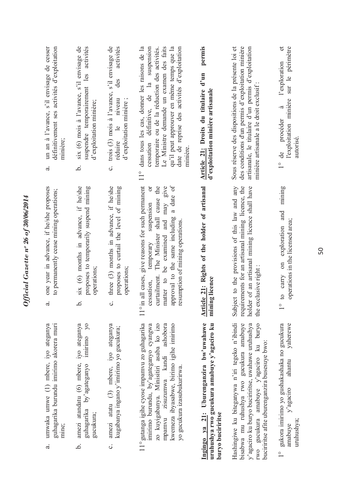| un an à l'avance, s'il envisage de cesser<br>définitivement ses activités d'exploitation<br>minière;<br>$\vec{a}$<br>one year in advance, if he/she proposes<br>to permanently cease mining operations; | six (6) mois à l'avance, s'il envisage de<br>les<br>suspendre temporairement<br>d'exploitation minière;<br>.<br>ف<br>six (6) months in advance, if he/she<br>proposes to temporarily suspend mining | trois (3) mois à l'avance, s'il envisage de<br>des<br>$\ddot{\phantom{0}}$<br>niveau<br>d'exploitation minière<br>réduire le<br>$\ddot{\circ}$<br>three (3) months in advance, if he/she<br>proposes to curtail the level of mining | Le Ministre demande un examen des faits<br>dans tous les cas, donner les raisons de la<br>cessation définitive, de la suspension<br>qu'il peut approuver en même temps que la<br>date de reprise des activités d'exploitation<br>temporaire ou de la réduction des activités.<br>munière<br>$\frac{1}{10}$<br>a date of<br>give reasons for such permanent<br>shall cause the<br>may give<br>ð<br>suspension<br>approval to the same including<br>and<br>resumption of mining operations<br>The Minister<br>be examined<br>temporary | Article 21: Droits du titulaire d'un<br>d'exploitation minière artisanale<br>Article 21: Rights of the holder of artisanal | des conditions d'un permis d'exploitation minière<br>artisanale, le titulaire d'un permis d'exploitation<br>Sous réserve des dispositions de la présente loi et<br>minière artisanale a le droit exclusif<br>requirements for an artisanal mining licence, the<br>Subject to the provisions of this law and any<br>holder of an artisanal mining licence shall have | sur le périmètre<br>l'exploration<br>l'exploitation minière<br>à<br>procéder<br>de<br>$\frac{1}{\sqrt{2}}$<br>mining<br>and<br>operations in the licensed area;<br>exploration<br>$\overline{\mathrm{m}}$ |
|---------------------------------------------------------------------------------------------------------------------------------------------------------------------------------------------------------|-----------------------------------------------------------------------------------------------------------------------------------------------------------------------------------------------------|-------------------------------------------------------------------------------------------------------------------------------------------------------------------------------------------------------------------------------------|--------------------------------------------------------------------------------------------------------------------------------------------------------------------------------------------------------------------------------------------------------------------------------------------------------------------------------------------------------------------------------------------------------------------------------------------------------------------------------------------------------------------------------------|----------------------------------------------------------------------------------------------------------------------------|---------------------------------------------------------------------------------------------------------------------------------------------------------------------------------------------------------------------------------------------------------------------------------------------------------------------------------------------------------------------|-----------------------------------------------------------------------------------------------------------------------------------------------------------------------------------------------------------|
| $\vec{a}$                                                                                                                                                                                               | operations;<br>.<br>ح                                                                                                                                                                               | operations;<br>$\ddot{\circ}$                                                                                                                                                                                                       | in all cases,<br>curtailment.<br>matter to<br>cessation,                                                                                                                                                                                                                                                                                                                                                                                                                                                                             | mining licence                                                                                                             | exclusive right:<br>the                                                                                                                                                                                                                                                                                                                                             | carry<br>$\circ$<br>O                                                                                                                                                                                     |
| guhagarika burundu imirimo akorera muri<br>umwaka umwe (1) mbere, iyo ateganya<br>mine;<br>$\vec{a}$                                                                                                    | $\lambda$<br>amezi atandatu (6) mbere, iyo ateganya<br>imirimo<br>guhagarika by'agateganyo<br>gucukura;<br>.<br>ف                                                                                   | amezi atatu (3) mbere, iyo ateganya<br>kugabanya ingano y'imirimo yo gucukura;<br>ပ                                                                                                                                                 | 11° gutanga igihe cyose impamvu zo guhagarika<br>kwemeza ibyasabwe, birimo igihe imirimo<br>imirimo burundu, by'agateganyo cyangwa<br>zo kuyigabanya. Minisitiri asaba ko izo<br>mpamvu zisuzumwa kandi ashobora<br>yo gucukura izasubukurirwa.                                                                                                                                                                                                                                                                                      | Ingingo ya 21: Uburenganzira bw'uwahawe<br>uruhushya rwo gucukura amabuye y'agaciro ku<br>buryo buciriritse                | Hashingiwe ku biteganywa n'iri tegeko n'ibindi<br>bisabwa mu ruhushya rwo gucukura amabuye<br>rwo gucukura amabuye y'agaciro ku buryo<br>y'agaciro ku buryo buciriritse, uwahawe uruhushya<br>buciriritse afite uburenganzira busesuye bwo:                                                                                                                         | gukora imirimo yo gushakashaka no gucukura<br>yaherewe<br>ahantu<br>y'agaciro<br>amabuye<br>$\frac{1}{1}$                                                                                                 |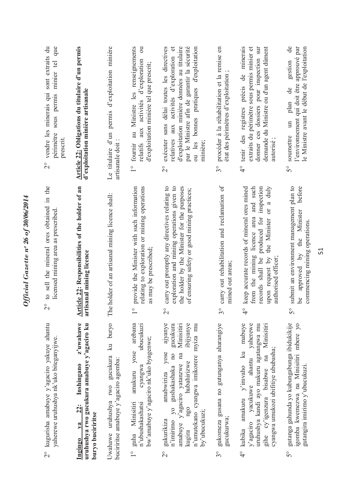| sont extraits du<br>que<br>sous permis minier tel<br>vendre les minerais qui<br>périmètre<br>prescrit.<br>$\frac{1}{2}$ | Article 22: Obligations du titulaire d'un permis<br>d'exploitation minière artisanale                                | Le titulaire d'un permis d'exploitation minière<br>artisanale doit                  | au Ministre les renseignements<br>$\overline{\mathrm{c}}$<br>aux activités d'exploration<br>d'exploitation minière tel que prescrit;<br>1 <sup>°</sup> fournir<br>relatifs | exécuter sans délai toutes les directives<br>$\sigma$<br>d'exploitation minière données au titulaire<br>par le Ministre afin de garantir la sécurité<br>ou les bonnes pratiques d'exploitation<br>aux activités d'exploration<br>relatives<br>minière;<br>$\overset{\circ}{\sim}$ | procéder à la réhabilitation et la remise en<br>état des périmètres d'exploitation<br>$\mathcal{S}^{\circ}$ | précis de minerais<br>extraits du périmètre sous permis minier et<br>donner ces dossiers pour inspection sur<br>demande du Ministre ou d'un agent dûment<br>tenir des registres<br>autorisé;<br>$\frac{1}{4}$                                 | de<br>le Ministre avant le début de l'exploitation<br>l'environnement qui doit être approuvé par<br>gestion<br>ප්<br>plan<br>$\mathbb{H}$<br>soumettre<br>S° |
|-------------------------------------------------------------------------------------------------------------------------|----------------------------------------------------------------------------------------------------------------------|-------------------------------------------------------------------------------------|----------------------------------------------------------------------------------------------------------------------------------------------------------------------------|-----------------------------------------------------------------------------------------------------------------------------------------------------------------------------------------------------------------------------------------------------------------------------------|-------------------------------------------------------------------------------------------------------------|-----------------------------------------------------------------------------------------------------------------------------------------------------------------------------------------------------------------------------------------------|--------------------------------------------------------------------------------------------------------------------------------------------------------------|
| to sell the mineral ores obtained in the<br>licensed mining area as prescribed<br>$\frac{0}{2}$<br>$\sim$               | Article 22: Responsibilities of the holder of an<br>artisanal mining licence                                         | The holder of an artisanal mining licence shall:                                    | relating to exploration or mining operations<br>provide the Minister with such information<br>as may be prescribed;<br>$\frac{0}{1}$                                       | carry out promptly any directives relating to<br>exploration and mining operations given to<br>the holder by the Minister for the purposes<br>of ensuring safety or good mining practices;<br>$\overset{\circ}{\sim}$                                                             | carry out rehabilitation and reclamation of<br>mined out areas;<br>$\tilde{\mathcal{S}}^{\circ}$            | keep accurate records of mineral ores mined<br>and such<br>inspection<br>a duly<br>$\overline{C}$<br>from the mining licence area<br>records shall be produced for<br>the Minister<br>upon request by<br>authorised officer:<br>$\frac{1}{4}$ | submit an environment management plan to<br>before<br>approved by the Minister<br>commencing mining operations<br>Le<br>$\mathcal{S}^{\circ}$                |
| 2° kugurisha amabuye y'agaciro yakuye ahantu<br>yaherewe uruhushya nk'uko biteganyijwe.                                 | z'uwahawe<br>uruhushya rwo gucukura amabuye y'agaciro ku<br>Inshingano<br>22:<br>buryo buciriritse<br>$1$<br>Ingingo | ku buryo<br>Uwahawe uruhushya rwo gucukura<br>buciriritse amabuye y'agaciro agomba: | amakuru yose arebana<br>ubucukuzi<br>bw'amabuye y'agaciro nk'uko byagenwe;<br>cyangwa<br>guha Minisitiri<br>n'ubushakashatsi<br>$\frac{1}{1}$                              | ajyanye<br>gucukura<br>Minisitiri<br>ibijyanye<br>n'umutekano cyangwa imikorere myiza mu<br>yose<br>na<br>yo gushakashaka no<br>hubahirizwe<br>amabuye y'agaciro yatanzwe<br>amabwiriza<br>ngo<br>by'ubucukuzi;<br>gukurikiza<br>n'imirimo<br>kugira<br>$\frac{1}{2}$             | gukomeza gusana no gutunganya aharangiye<br>gucukurwa;<br>$3^{\circ}$                                       | mabuye<br>yaherewe<br>Minisitiri<br>uruhushya kandi ayo makuru agatangwa mu<br>cyangwa umukozi ubifitiye ububasha;<br>amakuru $y'$ imvaho ku<br>na<br>y'agaciro yacukuwe ahantu<br>gihe cy'igenzura bisabwe<br>4° kubika                      | gutanga gahunda yo kubungabunga ibidukikije<br>igomba kwemezwa na Minisitiri mbere yo<br>gutangira imirimo y'ubucukuzi.<br>50                                |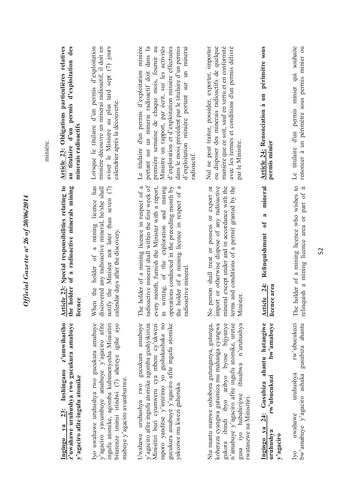| minière. | <b>Article 23: Obligations particulières relatives</b><br>au titulaire d'un permis d'exploitation des<br>minerais radioactifs | Lorsque le titulaire d'un permis d'exploitation<br>minière découvre un minerai radioactif, il doit en<br>aviser le Ministre au plus tard sept (7) jours<br>calendrier après la découverte.                                    | Le titulaire d'un permis d'exploitation minière<br>portant sur un minerai radioactif doit dans la<br>première semaine de chaque mois, fournir au<br>Ministre un rapport, par écrit, sur les activités<br>d'exploration et d'exploitation minière effectuées<br>dans le mois précédent par le titulaire d'un permis<br>d'exploitation minière portant sur un minerai<br>radioactif. | avec les termes et conditions d'un permis délivré<br>ou disposer des minerais radioactifs de quelque<br>manière que ce soit, sauf en vertu et en conformité<br>Nul ne peut traiter, posséder, exporter, importer<br>par le Ministre.                                      | périmètre sous<br>Article 24: Renonciation à un<br>permis minier                                    | souhaite<br>renoncer à un périmètre sous permis minier ou<br>Le titulaire d'un permis minier qui |
|----------|-------------------------------------------------------------------------------------------------------------------------------|-------------------------------------------------------------------------------------------------------------------------------------------------------------------------------------------------------------------------------|------------------------------------------------------------------------------------------------------------------------------------------------------------------------------------------------------------------------------------------------------------------------------------------------------------------------------------------------------------------------------------|---------------------------------------------------------------------------------------------------------------------------------------------------------------------------------------------------------------------------------------------------------------------------|-----------------------------------------------------------------------------------------------------|--------------------------------------------------------------------------------------------------|
|          | Article 23: Special responsibilities relating to<br>the holder of a radioactive minerals mining<br>licence                    | When the holder of a mining licence has<br>discovered any radioactive mineral, he/she shall<br>notify the Minister not later than seven (7)<br>calendar days after the discovery                                              | radioactive mineral shall within the first week of<br>e holder of a mining licence in respect of a<br>every month, furnish the Minister with a report,<br>writing, of the exploration and mining<br>operations conducted in the preceding month by<br>the holder of a mining licence in respect of a<br>radioactive mineral.<br>È<br>$\Xi$                                         | mineral except under and in accordance with the<br>person shall treat or possess or export or<br>import or otherwise dispose of any radioactive<br>terms and conditions of a permit granted by the<br>Minister<br>$\zeta$                                                 | mineral<br>$\approx$<br>$\mathbf{d}$<br>Relinquishment<br>Article 24:<br>licence area               | The holder of a mining licence who wishes to<br>relinquish a mining licence area or part of it   |
|          | Ingingo ya 23: Inshingano z'umwihariho<br>z'uwahawe uruhushya rwo gucukura amabuye<br>y'agaciro afite ingufu atomike          | y'agaciro yavumbuye amabuye y'agaciro afite<br>bitarenze iminsi irindwi (7) ahereye igihe ayo<br>Iyo uwahawe uruhushya rwo gucukura amabuye<br>ingufu atomike, agomba kubimenyesha Minisitiri<br>mabuye y'agaciro avumburiwe. | Uwahawe uruhushya rwo gucukura amabuye<br>gucukura amabuye y'agaciro afite ingufu atomike<br>raporo yanditse y'imirimo yo gushakashaka no<br>y'agaciro afite ingufu atomike agomba gushyikiriza<br>Minisitiri buri cyumweru cya mbere cy'ukwezi<br>yakozwe mu kwezi guheruka.                                                                                                      | Nta muntu numwe ushobora gutunganya, gutunga,<br>gukora ibindi ibyo aribyo byose bijyanye<br>n'amabuye y'agaciro afite ingufu atomike, uretse<br>kohereza cyangwa gutumiza mu mahanga cyangwa<br>ibisabwa n'uruhushya<br>gusa iyo hubahirijwe<br>rwatanzwe na Minisitiri. | 24: Gusubiza ahantu hatangiwe<br>bw'amabuye<br>rw'ubucukuzi<br>Ingingo ya<br>uruhushya<br>y'agaciro | rw'ubucukuzi<br>gusubiza ahantu<br>bw'amabuye y'agaciro ashaka<br>uruhushya<br>uwahawe<br>Ivo    |

Official Gazette nº 26 of  $30/06/2014$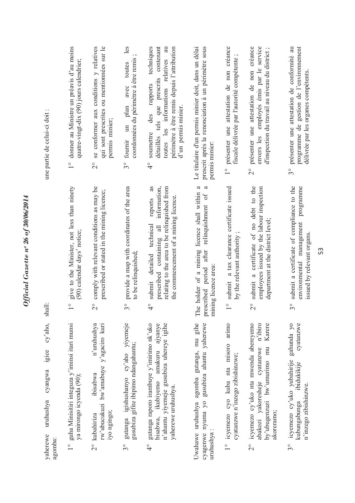| une partie de celui-ci doit :                                   | donner au Ministre un préavis d'au moins<br>quatre-vingt-dix (90) jours calendrier;<br>$\frac{1}{1}$ | se conformer aux conditions y relatives<br>qui sont prescrites ou mentiomées sur le<br>permis minier;<br>$\overline{2}^{\circ}$ | les<br>coordonnées du périmètre à être remis;<br>toutes<br>avec<br>plan<br>$\mathfrak{m}$<br>fournir<br>$3^{\circ}$ | techniques<br>contenant<br>toutes les informations relatives au<br>périmètre à être remis depuis l'attribution<br>détaillés tels que prescrits<br>des rapports<br>d'un permis minier.<br>soumettre<br>$\frac{1}{4}$ | Le titulaire d'un permis minier doit, dans un délai<br>prescrit après la renonciation à un périmètre sous<br>permis minier:       | présenter une attestation de non créance<br>fiscale délivrée par l'autorité compétente;<br>$\frac{1}{\sqrt{2}}$ | présenter une attestation de non créance<br>employés émis par le service<br>d'inspection du travail au niveau du district;<br>envers les<br>$\overset{\circ}{\sim}$ | programme de gestion de l'environnement<br>présenter une attestation de conformité au<br>délivrée par les organes compétents.<br>$\mathcal{S}^{\circ}$ |
|-----------------------------------------------------------------|------------------------------------------------------------------------------------------------------|---------------------------------------------------------------------------------------------------------------------------------|---------------------------------------------------------------------------------------------------------------------|---------------------------------------------------------------------------------------------------------------------------------------------------------------------------------------------------------------------|-----------------------------------------------------------------------------------------------------------------------------------|-----------------------------------------------------------------------------------------------------------------|---------------------------------------------------------------------------------------------------------------------------------------------------------------------|--------------------------------------------------------------------------------------------------------------------------------------------------------|
| shall:                                                          | give to the Minister, not less than ninety<br>(90) calendar days' notice;<br>$\frac{1}{\sqrt{2}}$    | comply with relevant conditions as may be<br>prescribed or stated in the mining licence;<br>$\overset{\circ}{\sim}$             | provide a map with coordinates of the area<br>to be relinquished;<br>$\int_{0}^{\infty}$                            | as<br>relating to the area to be relinquished from<br>information,<br>the commencement of a mining licence.<br>reports<br>submit detailed technical<br>prescribed containing all<br>$\frac{1}{4}$                   | a<br>a<br>ie holder of a mining licence shall within<br>after relinquishment of<br>mining licence area:<br>prescribed period<br>Ë | a tax clearance certificate issued<br>by the relevant authority<br>submit<br>$\overline{\phantom{a}}$           | submit a certificate of no debt to the<br>employees issued by the labour inspection<br>department at the district level;<br>$\overline{C}$                          | submit a certificate of compliance to the<br>programme<br>environmental management<br>issued by relevant organs.<br>$3^{\circ}$                        |
| cy'aho,<br>igice<br>cyangwa<br>uruhushya<br>yaherewe<br>agomba: | 1° guha Minisitiri integuza y'iminsi itari munsi<br>ya mirongo icyenda (90);                         | rw'ubucukuzi bw'amabuye y'agaciro kuri<br>n'uruhushya<br>ibisabwa<br>iyo ngingo;<br>2° kubahiriza                               | igishushanyo cy'aho yiyemeje<br>gusubiza gifite ibipimo ndangahantu;<br>gutanga<br>$\mathcal{S}^{\circ}$            | gutanga raporo irambuye y'imirimo nk'uko<br>n'ahantu yiyemeje gusubiza uhereye igihe<br>ajyanye<br>amakuru<br>bisabwa, ikubiyemo<br>yaherewe uruhushya.<br>$\frac{1}{4}$                                            | Uwahawe uruhushya agomba gutanga, mu gihe<br>gusubiza ahantu yaherewe<br>cyagenwe nyuma yo<br>uruhushya:                          | arimo<br>1° icyemezo cyo kuba nta misoro<br>cyatanzwe n'inzego zibishinzwe;                                     | abakozi yakoresheje cyatanzwe n'ibiro<br>icyemezo cy'uko nta mwenda aberevemo<br>Karere<br>by'ubugenzuzi bw'umurimo mu<br>akoreramo;<br>$\overline{C}$              | gahunda yo<br>cyatanzwe<br>icyemezo cy'uko yubahirije<br>ibidukikije<br>n'inzego zibishinzwe.<br>kubungabunga<br>$3^{\circ}$                           |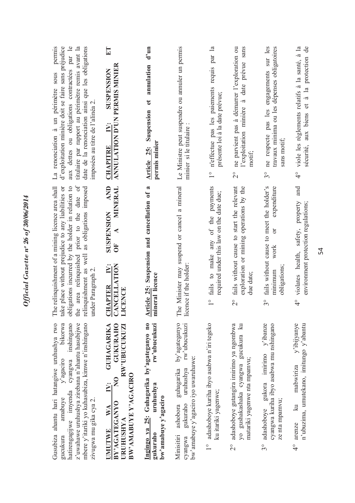| d'exploitation minière doit se faire sans préjudice<br>aux dettes ou obligations contractées par le<br>titulaire par rapport au périmètre remis avant la<br>date de la renonciation ainsi que les obligations<br>permis<br>La renonciation à un périmètre sous<br>imposées au titre de l'alinéa 2 | E<br>ANNULATION D'UN PERMIS MINIER<br><b>SUSPENSION</b><br>$\ddot{N}$ :<br><b>CHAPITRE</b>                                                                                                         | d'un<br>annulation<br>đ<br>Suspension<br>permis minier<br>Article 25:                                       | Le Ministre peut suspendre ou annuler un permis<br>minier si le titulaire                                                                        | n'effectue pas les paiements requis par la<br>présente loi à la date prévue;<br>$\frac{1}{1}$  | l'exploitation minière à date prévue sans<br>ne parvient pas à démarrer l'exploration ou<br>motit<br>$\overset{\circ}{\sim}$     | engagements sur les<br>travaux minima ou les dépenses obligatoires<br>ne respecte pas les<br>sans motif;<br>$\mathcal{S}^{\circ}$ | sécurité, aux biens et à la protection de<br>viole les règlements relatifs à la santé, à la<br>$\frac{1}{4}$       |
|---------------------------------------------------------------------------------------------------------------------------------------------------------------------------------------------------------------------------------------------------------------------------------------------------|----------------------------------------------------------------------------------------------------------------------------------------------------------------------------------------------------|-------------------------------------------------------------------------------------------------------------|--------------------------------------------------------------------------------------------------------------------------------------------------|------------------------------------------------------------------------------------------------|----------------------------------------------------------------------------------------------------------------------------------|-----------------------------------------------------------------------------------------------------------------------------------|--------------------------------------------------------------------------------------------------------------------|
| prior to the date of<br>obligations incurred by the holder in relation to<br>The relinquishment of a mining licence area shall<br>take place without prejudice to any liabilities or<br>as obligations imposed<br>relinquishment as well<br>area relinquished<br>under Paragraph 2.<br>the        | <b>AND</b><br>MINERAL<br>SUSPENSION<br>UF<br><b>CHAPTER IV:</b><br>CANCELLATION<br>LICENCE                                                                                                         | $\boldsymbol{\mathfrak{a}}$<br>Suspension and cancellation of<br>mineral licence<br>Article 25:             | The Minister may suspend or cancel a mineral<br>licence if the holder                                                                            | fails to make any of the payments<br>required under this law on the date due;<br>$\frac{1}{1}$ | fails without cause to start the relevant<br>exploration or mining operations by the<br>due date:<br>$\overset{\circ}{\sim}$     | fails without cause to meet the holder's<br>expenditure<br>ð<br>work<br>obligations;<br>minimum<br>$3^{\circ}$                    | and<br>property<br>environment protection regulations;<br>safety,<br>violates health,<br>$\frac{1}{4}$             |
| Gusubiza ahantu hari hatangiwe uruhushya rwo<br>inshingano<br>mbere y'itariki yo kuhasubiza, kimwe n'inshingano<br>bikorwa<br>z'uwahawe uruhushya zirebana n'ahantu hasubijwe<br>$y'$ agaciro<br>cyangwa<br>hatirengagijwe imyenda<br>amabuye<br>zivugwa mu gika cya 2.<br>gucukura               | <b>GUKURAHO</b><br><b>GUHAGARIKA</b><br>RW'UBUCUKUZI<br>BW'AMABUYE Y'AGACIRO<br>$\overline{R}$<br>$\ddot{\mathbf{N}}$ :<br>BY'AGATEGANYO<br>$\mathbf{W} \mathbf{A}$<br>URUHUSHYA<br><b>IMUTIWE</b> | Ingingo ya 25: Guhagarika by'agateganyo no<br>rw'ubucukuzi<br>uruhushya<br>bw'amabuye y'agaciro<br>gukuraho | by'agateganyo<br>rw'ubucukuzi<br>bw'amabuye y'agaciro iyo uwaruhawe:<br>uruhushya<br>guhagarika<br>gukuraho<br>ashobora<br>Minisitiri<br>cyangwa | adashoboye kuriha ibyo asabwa n'iri tegeko<br>ku itariki yagenwe;<br>$\frac{1}{1}$             | adashoboye gutangira imirimo ya ngombwa<br>yo gushakashaka cyangwa gucukura ku<br>matariki yagenwe nta mpamvu;<br>$\overline{2}$ | gukora imirimo y'ibanze<br>cyangwa kuriha ibyo asabwa mu nshingano<br>ze nta mpamvu;<br>adashoboye<br>$\mathfrak{S}^{\circ}$      | y'ibijyanye<br>n'ubuzima, umutekano, imitungo y'abantu<br>mabwiriza<br>$\overline{\mathbf{z}}$<br>arenze<br>०<br>प |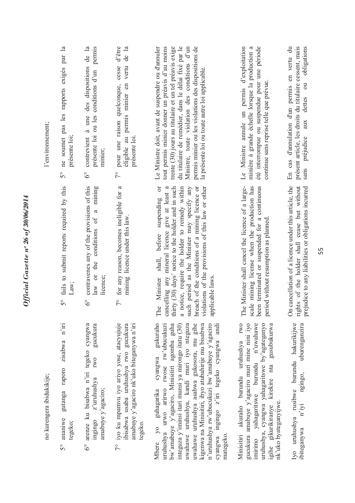| l'environnement;          | $\mathbb{R}$<br>ne soumet pas les rapports exigés par<br>présente loi:<br>$5^{\circ}$ | contrevient à une des dispositions de la<br>permis<br>présente loi ou les conditions d'un<br>minier;<br>$\delta^{\circ}$           | d'être<br>de la<br>éligible au permis minier en vertu<br>pour une raison quelconque, cesse<br>présente loi<br>$\tilde{7}^{\circ}$                        | du titulaire de remédier, dans le délai fixé par le<br>Ministre, toute violation des conditions d'un<br>permis minier ou les violations des dispositions de<br>Le Ministre doit, avant de suspendre ou d'annuler<br>tout permis minier donner un préavis d'au moins<br>trente (30) jours au titulaire et un tel préavis exige<br>la présente loi ou toute autre loi applicable.                                                                                               | été interrompue ou suspendue pour une période<br>Le Ministre annule un permis d'exploitation<br>minière à grande échelle lorsque la production a<br>continue sans reprise telle que prévue.                                                                                      | présent article, les droits du titulaire cessent, mais<br>En cas d'annulation d'un permis en vertu du<br>sans préjudice aux dettes ou obligations            |
|---------------------------|---------------------------------------------------------------------------------------|------------------------------------------------------------------------------------------------------------------------------------|----------------------------------------------------------------------------------------------------------------------------------------------------------|-------------------------------------------------------------------------------------------------------------------------------------------------------------------------------------------------------------------------------------------------------------------------------------------------------------------------------------------------------------------------------------------------------------------------------------------------------------------------------|----------------------------------------------------------------------------------------------------------------------------------------------------------------------------------------------------------------------------------------------------------------------------------|--------------------------------------------------------------------------------------------------------------------------------------------------------------|
|                           | 5° fails to submit reports required by this<br>Law;                                   | contravenes any of the provisions of this<br>mining<br>$\mathfrak{a}$<br>conditions of<br>the<br>law or<br>licence;<br>$6^{\circ}$ | 7° for any reason, becomes ineligible for a<br>licence under this law.<br>mining                                                                         | $\sigma$<br>thirty (30) days' notice to the holder and in such<br>notice, require the holder to remedy within<br>cancelling any mineral licence give at least a<br>such period as the Minister may specify any<br>violations of the provisions of this law or other<br>breach of the conditions of a mining licence or<br>suspending<br>shall, before<br>applicable laws.<br>Minister<br>$\mathbf{e}$<br>Ë<br>$\mathfrak{a}$                                                  | The Minister shall cancel the licence of a large-<br>scale mining license when the production has<br>been terminated or suspended for a continuous<br>period without resumption as planned                                                                                       | On cancellation of a licence under this article, the<br>rights of the holder shall cease but without<br>prejudice to any liabilities or obligations incurred |
| no kurengera ibidukikije; | n'iri<br>zisabwa<br>raporo<br>gutanga<br>ananiwe<br>tegeko;<br>50                     | arenze ku bisabwa n'iri tegeko cyangwa<br>gucukura<br><b>IWO</b><br>z'uruhushya<br>amabuye y'agaciro;<br>ingingo<br>$6^\circ$      | iyo ku mpamvu iyo ariyo yose, atacyujuje<br>amabuye y'agaciro nk'uko biteganywa n'iri<br>ibisabwa usaba uruhushya rwo gucukura<br>tegeko.<br>$7^{\circ}$ | gukuraho<br>uwahawe uruhushya asabwa gukosora, mu gihe<br>kigenwa na Minisitiri, ibyo atubahirije mu bisabwa<br>n'uruhushya rw'ubucukuzi bw'amabuye y'agaciro<br>bw'amabuye y'agaciro, Minisitiri agomba guha<br>uwahawe uruhushya, kandi muri iyo nteguza<br>andi<br>uruhushya urwo arirwo rwose rw'ubucukuzi<br>integuza y'iminsi itari munsi ya mirongo itatu (30)<br>cyangwa ingingo z'iri tegeko cyangwa<br>cyangwa<br>guhagarika<br>$\overline{y}$<br>mategeko<br>Mbere | <b>IWO</b><br>gucukura amabuye y'agaciro muri mine nini iyo<br>imirimo yahagaritswe burundu n'uwahawe<br>uruhushya, cyangwa yahagaritswe by'agateganyo<br>gusubukurwa<br>akuraho burundu uruhushya<br>kirekire nta<br>nk'uko byateganyıjwe.<br>igihe gikurikiranye<br>Minisitiri | Iyo uruhushya rusibwe burundu hakurikijwe<br>uburenganzira<br>ngingo,<br>n'iyi<br>ibiteganywa                                                                |

Official Gazette nº 26 of  $30/06/2014$ *Official Gazette nᵒ 26 of 30/06/2014*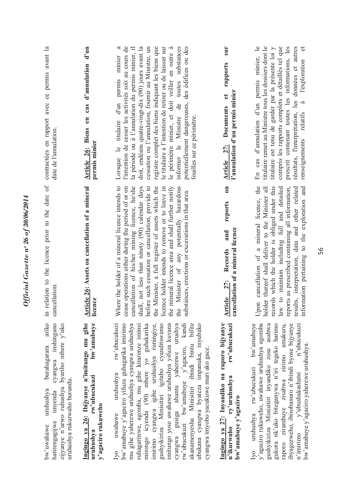| contractées en rapport avec ce permis avant la<br>date de l'annulation                                                                                                              | $d'$ un<br>d'annulation<br>cas<br>Article 26: Biens en<br>permis minier                                      | le titulaire a l'intention de retirer ou de laisser sur<br>$\boldsymbol{\mathfrak{a}}$<br>l'intention de cesser les activités soit au cours de<br>doit, endéans quatre-vingt-dix (90) jours avant la<br>registre complet des biens indiquant les biens que<br>le périmètre minier, et doit veiller en outre à<br>informer le Ministre de toutes substances<br>potentiellement dangereuses, des édifices ou des<br>la période ou à l'annulation du permis minier, il<br>cessation ou l'annulation, fournir au Ministre, un<br>Lorsque le titulaire d'un permis minier<br>fouilles sur ce périmètre.                                    | sur<br>rapports<br>l'annulation d'un permis minier<br>$\mathbf{c}$<br><b>Documents</b><br>Article 27:<br>$\overline{\phantom{0}}$<br>reports | En cas d'annulation d'un permis minier, le<br>titulaire remet au Ministre tous les dossiers dont le<br>$\sigma$<br>titulaire est tenu de garder par la présente loi y<br>compris les rapports complets et détaillés tel que<br>prescrit contenant toutes les informations, les<br>résultats, l'interprétation, les données et autres<br><b>l'exploration</b><br>à<br>relatifs<br>renseignements |
|-------------------------------------------------------------------------------------------------------------------------------------------------------------------------------------|--------------------------------------------------------------------------------------------------------------|---------------------------------------------------------------------------------------------------------------------------------------------------------------------------------------------------------------------------------------------------------------------------------------------------------------------------------------------------------------------------------------------------------------------------------------------------------------------------------------------------------------------------------------------------------------------------------------------------------------------------------------|----------------------------------------------------------------------------------------------------------------------------------------------|-------------------------------------------------------------------------------------------------------------------------------------------------------------------------------------------------------------------------------------------------------------------------------------------------------------------------------------------------------------------------------------------------|
| relation to the licence prior to the date of<br>cancellation.<br>$\overline{m}$                                                                                                     | Article 26: Assets on cancellation of a mineral<br>licence                                                   | the mineral licence area and shall further notify<br>Where the holder of a mineral licence intends to<br>cancellation of his/her mining licence, he/she<br>shall, not less than ninety (90) calendar days<br>before such cessation or cancellation, provide to<br>the Minister, a full register of assets which the<br>licence holder intends to remove or to leave in<br>Minister of any potentially hazardous<br>cease operations either during the period of or on<br>substances, erections or excavations in that area.<br>the                                                                                                    | cancellation of a mineral licence<br>and<br>Records<br><b>27:</b><br>Article                                                                 | Upon cancellation of a mineral licence, the<br>records which the holder is obliged under this<br>results, interpretation, data and other related<br>law to maintain including full and detailed<br>information pertaining to the exploration and<br>holder thereof shall deliver to the Minister all<br>reports as prescribed containing all information,                                       |
| ariko<br>cyangwa inshingano<br>zijyanye n'urwo ruhushya byariho mbere y'uko<br>burahagarara<br>uruhushya rukurwaho burundu.<br>uruhushya<br>imyenda<br>hatirengagijwe<br>bw'uwahawe | Ingingo ya 26: Ibijyanye n'imitungo mu gihe<br>bw'amabuye<br>rw'ubucukuzi<br>y'agaciro rukuweho<br>uruhushya | rw'ubucukuzi<br>mirongo icyenda (90) mbere yo guhakarika<br>imirimo cyangwa igihe uruhushya rurangiye,<br>gushyikiriza Minisitiri igitabo cyanditswemo<br>imitungo yose uwahawe uruhushya yifuza kuvana<br>bw'amabuye y'agaciro yifuza guhagarika imirimo<br>mu gihe yaherewe uruhushya cyangwa uruhushya<br>ruhagaritswe, agomba, mu gihe kitarenze iminsi<br>cyangwa gusiga ahantu yaherewe urushya<br>rw'ubucukuzi bw'amabuye y'agaciro, kandi<br>akanamenyesha Minisitiri ibindi bintu bifite<br>ubukana cyangwa byateza impanuka, inyubako<br>cyangwa imyobo yacukuwe muri ako gace.<br>uruhushya<br>uwahawe<br>I <sub>V</sub> O | Ingingo ya 27: Inyandiko na raporo bijyanye<br>rw'ubucukuzi<br>ry'uruhushya<br>bw'amabuye y'agaciro<br>n'ikurwaho                            | Iyo uruhushya rw'ubucukuzi bw'amabuye<br>gukora nk'uko biteganywa n'iri tegeko harimo<br>ibyagezweho, ibisobanuro n'ibindi byose bijyanye<br>y'agaciro rukuweho, uwahawe uruhushya agomba<br>gushyikiriza Minisitiri inyandiko zose asabwa<br>raporo zirambuye zisabwa zirimo amakuru,<br>n'ubucukuzi<br>bw'amabuye y'agaciro yaherewe uruhushya.<br>y'ubushakashatsi<br>$n'$ imirimo           |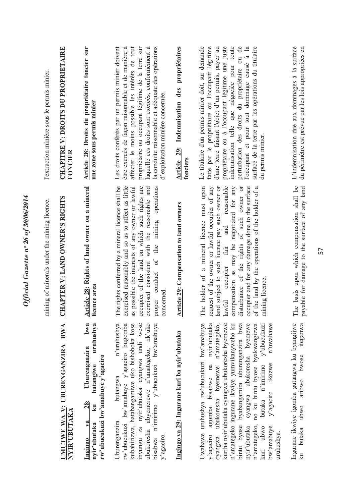| <b>CHAPITRE Y: DROITS DU PROPRIETAIRE</b><br>l'extraction minière sous le permis minier.<br>FONCIER | Article 28: Droits du propriétaire foncier sur<br>une zone sous permis minier                                                              | Les droits conférés par un permis minier doivent<br>affecter le moins possible les intérêts de tout<br>la conduite raisonnable et adéquate des opérations<br>propriétaire ou occupant légitime de la terre sur<br>être exercés de façon raisonnable et de manière à<br>laquelle ces droits sont exercés, conformément à<br>d'exploitation minière concernée. | propriétaires<br>Article 29: Indemnisation des<br>fonciers | Le titulaire d'un permis minier doit, sur demande<br>indemnisation telle que négociée pour toute<br>perturbation des droits du propriétaire ou de<br>propriétaire ou à l'occupant légitime une juste<br>surface de la terre par les opérations du titulaire<br>faite par le propriétaire ou l'occupant légitime<br>d'une terre faisant l'objet d'un permis, payer au<br>l'occupant et pour tout dommage causé à la<br>du permis minier.                                                                      | L'indemnisation due aux dommages à la surface<br>du périmètre est prévue par les lois appropriées en |
|-----------------------------------------------------------------------------------------------------|--------------------------------------------------------------------------------------------------------------------------------------------|--------------------------------------------------------------------------------------------------------------------------------------------------------------------------------------------------------------------------------------------------------------------------------------------------------------------------------------------------------------|------------------------------------------------------------|--------------------------------------------------------------------------------------------------------------------------------------------------------------------------------------------------------------------------------------------------------------------------------------------------------------------------------------------------------------------------------------------------------------------------------------------------------------------------------------------------------------|------------------------------------------------------------------------------------------------------|
| APTER V: LAND OWNER'S RIGHTS<br>mining of minerals under the mining licence.<br>$\overline{C}$      | Article 28: Rights of land owner on a mineral<br>licence area                                                                              | rights conferred by a mineral licence shall be<br>exercised reasonably and so as to affect as little<br>occupier of the land on which such rights are<br>operations<br>as possible the interests of any owner or lawful<br>exercised consistent with the reasonable and<br>the mining<br>proper conduct of<br>concerned<br>The                               | <b>Article 29:</b> Compensation to land owners             | holder of a mineral licence must upon<br>and reasonable<br>compensation as may be negotiated for any<br>occupier and for any damage done to the surface<br>land subject to such licence pay such owner or<br>disturbance of the rights of such owner or<br>of the land by the operations of the holder of a<br>request of the owner or lawful occupier of any<br>lawful occupier fair<br>mining licence.<br>The                                                                                              | basis upon which compensation shall be<br>payable for damage to the surface of any land<br>The       |
| UMUTWE WA V: UBURENGANZIRA BWA<br>NYIR'UBUTAKA                                                      | bwa<br>uruhushya<br>Uburenganzira<br>rw'ubucukuzi bw'amabuye y'agaciro<br>hatangiwe<br>28:<br>k <b>u</b><br>$1$<br>nyir'ubutaka<br>Ingingo | n'uruhushya<br>bisabwa n'imirimo y'ubucukuzi bw'amabuye<br>rw'ubucukuzi bw'amabuye y'agaciro bugomba<br>kubahirizwa, hatabangamiwe uko bishoboka kose<br>ubukoresha abyemerewe n'amategeko, nk'uko<br>inyungu za nyir'ubutaka cyangwa undi wese<br>butangwa<br>Uburenganzira<br>$y'$ agaciro.                                                                | Ingingo ya 29: Ingurane kuri ba nyir'ubutaka               | Uwahawe uruhushya rw'ubucukuzi bw'amabuye<br>cyangwa ubukoresha byemewe<br>nvir'ubutaka<br>kuriha nyir'ubutaka cyangwa ubukoresha byemewe<br>bintu byose byabangamira uburenganzira bwa<br>no ku bintu byose byakwangizwa<br>n'uwahawe<br>ubukoresha byemewe n'amategeko,<br>n'amategeko ingurane ikwiye yumvikanyweho ku<br>$y$ 'ubucukuzi<br>agomba bisabwe na<br>ikozwe<br>butaka n'imirimo<br>y'agaciro<br>n'amategeko,<br>nyir'ubutaka<br>kuri ubwo<br>bw'amabuye<br>uruhushya.<br>y'agaciro<br>cyangwa | Ingurane ikwiye igomba gutangwa ku byangijwe<br>iteganwa<br>butaka ubwo aribwo bwose<br>ku           |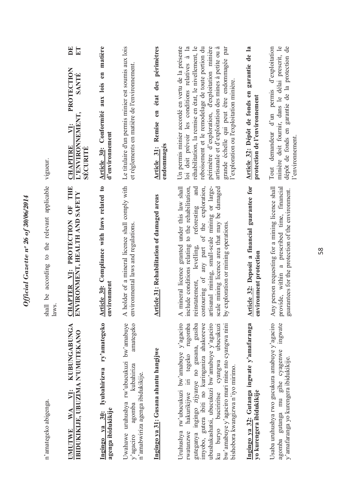| n'amategeko abigenga.                                                                                                                                                                                                                                                                                                                                                        | shall be according to the relevant applicable<br>laws.                                                                                                                                                                                                                                                                                                                    | vigueur.                                                                                                                                                                                                                                                                                                                                                                                                             |
|------------------------------------------------------------------------------------------------------------------------------------------------------------------------------------------------------------------------------------------------------------------------------------------------------------------------------------------------------------------------------|---------------------------------------------------------------------------------------------------------------------------------------------------------------------------------------------------------------------------------------------------------------------------------------------------------------------------------------------------------------------------|----------------------------------------------------------------------------------------------------------------------------------------------------------------------------------------------------------------------------------------------------------------------------------------------------------------------------------------------------------------------------------------------------------------------|
| <b>KUBUNGABUNGA</b><br>IBIDUKIKIJE, UBUZIMA N'UMUTEKANO<br>VI:<br><b>WA</b><br><b>JMUTWE</b>                                                                                                                                                                                                                                                                                 | OF THE<br><b>CHAPTER V1: PROTECTION OF THENVIRONMENT, HEALTH AND SAFETY</b>                                                                                                                                                                                                                                                                                               | $\mathbf{E}$<br>ET<br>PROTECTION<br>SANTE<br>L'ENVIRONNEMENT,<br>VI:<br><b>CHAPITRE</b><br>SECURITE                                                                                                                                                                                                                                                                                                                  |
| ry'amategeko<br>Iyubahirizwa<br>agenga ibidukikije<br>Ingingo ya 30:                                                                                                                                                                                                                                                                                                         | Article 30: Compliance with laws related to<br>environment                                                                                                                                                                                                                                                                                                                | aux lois en matière<br>Article 30: Conformité<br>d'environnement                                                                                                                                                                                                                                                                                                                                                     |
| Uwahawe uruhushya rw'ubucukuzi bw'amabuye<br>amategeko<br>kubahiriza<br>n'amabwiriza agenga ibidukikije.<br>agomba<br>y'agaciro                                                                                                                                                                                                                                              | holder of a mineral licence shall comply with<br>environmental laws and regulations.<br>$\blacktriangle$                                                                                                                                                                                                                                                                  | Le titulaire d'un permis minier est soumis aux lois<br>et règlements en matière de l'environnement.                                                                                                                                                                                                                                                                                                                  |
| Ingingo ya 31: Gusana ahantu hangijwe                                                                                                                                                                                                                                                                                                                                        | <b>Article 31: Rehabilitation of damaged areas</b>                                                                                                                                                                                                                                                                                                                        | périmètres<br>état des<br>en<br>Article 31: Remise<br>endommagés                                                                                                                                                                                                                                                                                                                                                     |
| Uruhushya rw'ubucukuzi bw'amabuye y'agaciro<br>rwatanzwe hakurikijwe iri tegeko rugomba<br>guteganya ingingo zijyanye no gusana, gusiba<br>imyobo, gutera ibiti no kuringaniza ahakorewe<br>ubushakashatsi, ubucukuzi bw'amabuye y'agaciro<br>bw'amabuye y'agaciro muri mine nto cyangwa nini<br>ku buryo buciriritse cyangwa ubucukuzi<br>bishobora kwangizwa n'iyo mirimo. | artisanal mining, small-scale mining or large-<br>mineral licence granted under this law shall<br>contouring of any part of the exploration,<br>and<br>scale mining licence area that may be damaged<br>include conditions relating to the rehabilitation,<br>reforesting<br>by exploration or mining operations.<br>levelling,<br>reinstatement,<br>$\blacktriangleleft$ | Un permis minier accordé en vertu de la présente<br>loi doit prévoir les conditions relatives à la<br>réhabilitation, la remise en état, le nivellement, le<br>reboisement et le remodelage de toute portion du<br>périmètre d'exploration, d'exploitation minière<br>artisanale et d'exploitation des mines à petite ou à<br>grande échelle qui peut être endommagée par<br>l'exploration ou l'exploitation minière |
| Ingingo ya 32: Gutanga ingwate y'amafaranga<br>yo kurengera ibidukikije                                                                                                                                                                                                                                                                                                      | Article 32: Deposit a financial guarantee for<br>vironment protection<br>$\epsilon$ n                                                                                                                                                                                                                                                                                     | garantie de la<br>Article 32: Dépôt de fonds en<br>protection de l'environnement                                                                                                                                                                                                                                                                                                                                     |
| Usaba uruhushya rwo gucukura amabuye y'agaciro<br>ingwate<br>agomba gutanga mu gihe cyagenwe<br>y'amafaranga yo kurengera ibidukikije.                                                                                                                                                                                                                                       | Any person requesting for a mining licence shall<br>provide, within a prescribed time, financial<br>guarantees for the protection of the environment.                                                                                                                                                                                                                     | dépôt de fonds en garantie de la protection de<br>minière doit fournir, dans le délai prescrit, le<br>Tout demandeur d'un permis d'exploitation<br>l'environnement                                                                                                                                                                                                                                                   |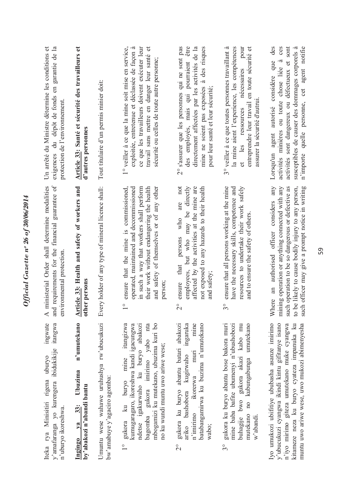| Un arrêté du Ministre détermine les conditions et<br>exigences du dépôt de fonds en garantie de la<br>protection de l'environnement. | Article 33: Santé et sécurité des travailleurs et<br>d'autres personnes     | Tout titulaire d'un permis minier doit:                                   | 1° veiller à ce que la mine soit mise en service,<br>exploitée, entretenue et déclassée de façon à<br>ce que les travailleurs doivent exécuter leur<br>travail sans mettre en danger leur santé et<br>sécurité ou celles de toute autre personne;           | 2° s'assurer que les personnes qui ne sont pas<br>des employés, mais qui pourraient être<br>directement affectées par les activités de la<br>mine ne soient pas exposées à des risques<br>pour leur santé et leur sécurité;<br>not<br>are<br>persons who | 3° veiller à ce que toutes personnes travaillant à<br>entreprendre leur travail en toute sécurité et<br>la mine aient l'experience, les compétences<br>pour<br>nécessaires<br>assurer la sécurité d'autrui<br>et les ressources | activités sont dangereux ou défectueux et sont<br>n'importe quelle personne, cet agent notifie<br>susceptibles de causer des dommages corporels à<br>considère que<br>activités minières ou toute chose liée à<br>Lorsqu'un agent autorisé<br>any       |
|--------------------------------------------------------------------------------------------------------------------------------------|-----------------------------------------------------------------------------|---------------------------------------------------------------------------|-------------------------------------------------------------------------------------------------------------------------------------------------------------------------------------------------------------------------------------------------------------|----------------------------------------------------------------------------------------------------------------------------------------------------------------------------------------------------------------------------------------------------------|---------------------------------------------------------------------------------------------------------------------------------------------------------------------------------------------------------------------------------|---------------------------------------------------------------------------------------------------------------------------------------------------------------------------------------------------------------------------------------------------------|
| and requirements for the financial guarantee of<br>A ministerial Order shall determine modalities<br>environmental protection        | Article 33: Health and safety of workers and<br>other persons               | Every holder of any type of mineral licence shall:                        | ensure that the mine is commissioned,<br>operated, maintained and decommissioned<br>in such a way that workers shall perform<br>their work without endangering the health<br>and safety of themselves or of any other<br>person;<br>$\circ$                 | employees, but who may be directly<br>affected by the activities at the mine are<br>not exposed to any hazards to their health<br>ensure that<br>and safety;<br>$\overset{\circ}{\sim}$                                                                  | ensure that all persons working at the mine<br>have the necessary skills, competence and<br>resources to undertake their work safely<br>and to ensure the safety of others<br>$\mathfrak{S}^{\circ}$                            | such officer may give a prompt notice in writing<br>mining operation or anything connected with any<br>such operation to be so dangerous or defective as<br>to be likely to cause bodily injury to any person,<br>Where an authorised officer considers |
| ingwate<br>itangwa<br>y'amafaranga yo kurengera ibidukikije<br>Iteka rya Minisitiri rigena uburyo<br>n'uburyo ikoreshwa.             | n'umutekano<br>Ubuzima<br>by'abakozi n'abandi bantu<br>$33$ :<br>Ingingo ya | Umuntu wese wahawe uruhushya rw'ubucukuzi<br>bw'amabuye y'agaciro agomba: | mbogamizi ku mutekano, ubuzima kuri bo<br>itangizwa<br>gukora imirimo yabo nta<br>kumugaragaro, ikoreshwa kandi igacungwa<br>ndetse igakurwaho ku buryo abakozi<br>no ku wundi muntu uwo ariwe wese;<br>buryo mine<br>gukora ku<br>bagomba<br>$\frac{1}{1}$ | mgaruka<br>mine<br>batabangamirwa ku buzima n'umutekano<br>gukora ku buryo abantu batari abakozi<br>muri<br>ariko bashobora kugirwaho<br>ikorerwa<br>$n'$ imirimo<br>wabo;<br>$\overline{C}$                                                             | gukora ku buryo abantu bose bakora muri<br>mine baba bafite ubumenyi n'ubushobozi<br>buhagije bwo gukora akazi kabo mu<br>mutekano no kubungabunga umutekano<br>w'abandi.<br>$3^{\circ}$                                        | Iyo umukozi ubifitiye ububasha asanze imirimo<br>y'ubucukuzi cyangwa ikindi kintu gifitanye isano<br>muntu uwo ariwe wese, uwo mukozi abimenyesha<br>n'iyo mirimo giteza umutekano muke cyangwa<br>kitameze neza ku buryo cyateza impanuka ku           |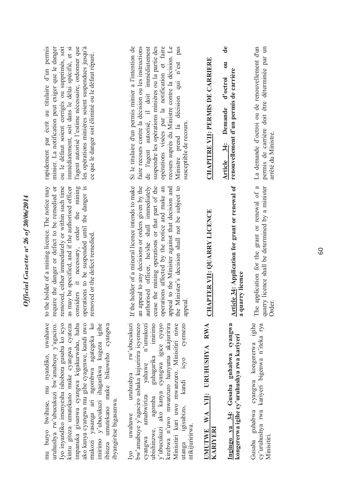| Official Gazette nº 26 of $30/06/2014$ | rapidement par écrit au titulaire d'un permis<br>ou le défaut soient corrigés ou supprimés, soit<br>immédiatement, soit dans le délai spécifié, et si<br>l'agent autorisé l'estime nécessaire, ordonner que<br>minier. La notification peut exiger que le danger<br>les opérations minières soient suspendues jusqu'à<br>ce que le danger soit éliminé ou le défaut réparé.<br>to the holder of a mining licence. The notice may<br>considers it necessary, order the mining<br>operations to be suspended until the danger is<br>removed, either immediately or within such time<br>as may be specified, and if the authorised officer<br>require the danger or defect to be remedied or | Si le titulaire d'un permis minier a l'intention de<br>opérations visées par la notification et faire<br>recours auprès du Ministre contre la décision. Le<br>Ministre prend la décision qui n'est pas<br>faire recours contre la décision ou les instructions<br>de l'agent autorisé, il doit immédiatement<br>suspendre les opérations minières ou la partie des<br>susceptible de recours.<br>If the holder of a mineral licence intends to make<br>an appeal to any decisions or orders given by the<br>authorised officer, he/she shall immediately<br>appeal to the Minister against that decision and<br>the Minister's decision shall not be subject to<br>cease the mining operations or that part of the<br>operations affected by the notice and make an | <b>CHAPITRE VII: PERMIS DE CARRIERE</b>     | $\ddot{\textbf{e}}$<br>$\overline{\mathbf{c}}$<br>renouvellement d'un permis de carrière<br>d'octroi<br>Article 34: Demande<br><b>Article 34: Application for grant or renewal of</b> |
|----------------------------------------|-------------------------------------------------------------------------------------------------------------------------------------------------------------------------------------------------------------------------------------------------------------------------------------------------------------------------------------------------------------------------------------------------------------------------------------------------------------------------------------------------------------------------------------------------------------------------------------------------------------------------------------------------------------------------------------------|---------------------------------------------------------------------------------------------------------------------------------------------------------------------------------------------------------------------------------------------------------------------------------------------------------------------------------------------------------------------------------------------------------------------------------------------------------------------------------------------------------------------------------------------------------------------------------------------------------------------------------------------------------------------------------------------------------------------------------------------------------------------|---------------------------------------------|---------------------------------------------------------------------------------------------------------------------------------------------------------------------------------------|
|                                        | removed or the defect remedied.                                                                                                                                                                                                                                                                                                                                                                                                                                                                                                                                                                                                                                                           | appeal.                                                                                                                                                                                                                                                                                                                                                                                                                                                                                                                                                                                                                                                                                                                                                             | <b>CHAPTER VII: QUARRY LICENCE</b>          | a quarry licence                                                                                                                                                                      |
|                                        | mu buryo bwihuse, mu nyandiko, uwahawe<br>ako kanya cyangwa mu gihe cyagenwe, kandi uwo<br>mukozi yasanga ari ngombwa agategeka ko<br>Iyo inyandiko imenyesha ishobora gusaba ko icyo<br>uruhushya rw'ubucukuzi bw'amabuye y'agaciro.<br>impanuka gisanwa cyangwa kigakurwaho, haba<br>kintu giteza umutekano muke cyangwa cyateza<br>imirimo y'ubucukuzi ihagarikwa kugeza igihe<br>ibiteza umutekano muke bikuweho cyangwa<br>ibyangiritse bigasanwa.                                                                                                                                                                                                                                   | rw'ubucukuzi<br>Minisitiri kuri uwo mwanzuro. Minisitiri niwe<br>utanga igisubizo, kandi icyo cyemezo<br>bw'amabuye y'agaciro ashaka kujuririra icyemezo<br>ubishinzwe, agomba guhagarika imirimo<br>y`ubucukuzi ako kanya cyangwa igice cyayo<br>kirebwa n'uwo mwanzuro hanyuma akajuririra<br>n'umukozi<br>yahawe<br>uruhushya<br>amabwiriza<br>uwahawe<br>ntikijuririrwa.<br>cyangwa<br>lyo                                                                                                                                                                                                                                                                                                                                                                      | URUHUSHYA RWA<br>UMUTWE WA VII:<br>KARIYERI | Ingingo ya 34: Gusaba guhabwa cyangwa<br>kongererwa igihe cy'uruhushya rwa kariyeri                                                                                                   |

**a quarry licence**

a quarry licence

The application for the grant or renewal of a quarry licence shall be determined by a minister

The application for the grant or renewal of a La demande d'octroi ou de renouvellement d'un quarry licence shall be determined by a minister permis de carrière doit être déterminée par un Order.

arrêté du Ministre.

La demande d'octroi ou de renouvellement d'un permis de carrière doit être déterminée par un

Gusaba guhabwa cyangwa kongererwa igihe cy'uruhushya rwa kariyeri bigenwa n'iteka rya cy'uruhushya rwa kariyeri bigenwa n'iteka rya<br>Minisitiri.

Gusaba guhabwa cyangwa kongererwa igihe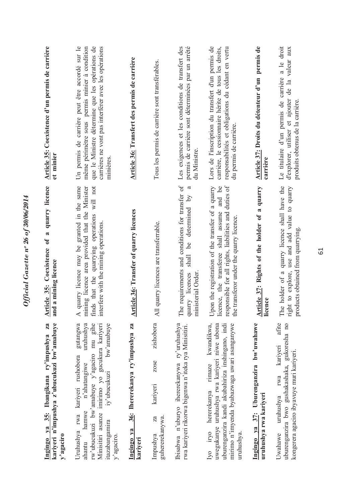| Za<br>kariyeri n'impushya z'ubucukuzi bw'amabuye<br>Ingingo ya 35: Ibangikana ry'impushya<br>y'agaciro                                                                                                                                                   | quarry licence<br>Article 35: Coexistence of a<br>and a mining licence                                                                                                                                         | Article 35: Coexistence d'un permis de carrière<br>et minier                                                                                                                                                            |
|----------------------------------------------------------------------------------------------------------------------------------------------------------------------------------------------------------------------------------------------------------|----------------------------------------------------------------------------------------------------------------------------------------------------------------------------------------------------------------|-------------------------------------------------------------------------------------------------------------------------------------------------------------------------------------------------------------------------|
| gutangwa<br>rw'ubucukuzi bw'amabuye y'agaciro mu gihe<br>uruhushya<br>Minisitiri asanze imirimo yo gucukura kariyeri<br>bw'amabuye<br>Uruhushya rwa kariyeri rushobora<br>n'ahatangiwe<br>iy'ubucukuzi<br>hamwe<br>itazabangamıra<br>y'agaciro<br>ahantu | quarry licence may be granted in the same<br>will not<br>mining licence area provided that the Minister<br>finds that the quarrying operations<br>interfere with the mining operations<br>$\blacktriangleleft$ | Un permis de carrière peut être accordé sur le<br>que le Ministre détermine que les opérations de<br>même périmètre sous permis minier à condition<br>carrières ne vont pas interférer avec les opérations<br>minières. |
| 36: Ihererekanya ry'impushya za<br>Ingingo ya<br>kariyeri                                                                                                                                                                                                | <b>Article 36: Transfer of quarry licences</b>                                                                                                                                                                 | Article 36: Transfert des permis de carrière                                                                                                                                                                            |
| zishobora<br>zose<br>kariyeri<br>guhererekanywa.<br>Za<br>Impushya                                                                                                                                                                                       | All quarry licences are transferrable.                                                                                                                                                                         | Tous les permis de carrière sont transférables.                                                                                                                                                                         |
| Ibisabwa n'uburyo ihererekanywa ry'uruhushya<br>rwa kariyeri rikorwa bigenwa n'iteka rya Minisitiri.                                                                                                                                                     | The requirements and conditions for transfer of<br>ß<br>shall be determined by<br>ministerial Order<br>quarry licences                                                                                         | Les exigences et les conditions de transfert des<br>permis de carrière sont déterminées par un arrêté<br>du Ministre.                                                                                                   |
| kwandikwa,<br>uwegukanye uruhushya rwa kariyeri niwe ubona<br>mirimo n'imyenda byabazwaga uwari asanganywe<br>uburenganzira kandi akubahiriza inshingano, indi<br>hererekanya rimaze<br>Iyo iryo<br>uruhushya.                                           | responsible for all rights, liabilities and duties of<br>licence, the transferee shall assume and be<br>Upon the registration of the transfer of a quarry<br>e transferor under the quarry licence.<br>문       | Lors de l'inscription du transfert d'un permis de<br>carrière, le cessionnaire hérite de tous les droits,<br>responsabilités et obligations du cédant en vertu<br>du permis de carrière.                                |
| Ingingo ya 37: Uburenganzira bw'uwahawe<br>uruhushya rwa kariyeri                                                                                                                                                                                        | Article 37: Rights of the holder of a quarry<br>licence                                                                                                                                                        | Article 37: Droits du détenteur d'un permis de<br>carrière                                                                                                                                                              |
| afite<br>uburenganzira bwo gushakashaka, gukoresha no<br>kariyeri<br>kongerera agaciro ibyavuye muri kariyeri.<br>rwa<br>uruhushya<br>Uwahawe                                                                                                            | The holder of a quarry licence shall have the<br>right to explore, use and add value to quarry<br>products obtained from quarrying                                                                             | Le titulaire d'un permis de carrière a le droit<br>d'explorer, utiliser et ajouter de la valeur aux<br>produits obtenus de la carrière.                                                                                 |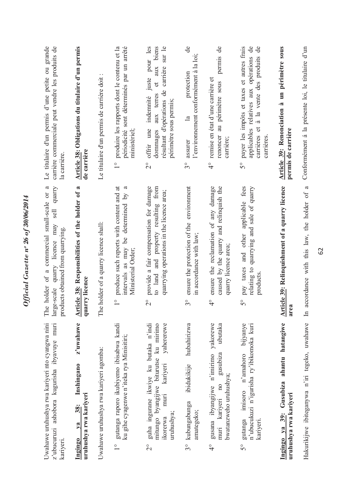Official Gazette nº 26 of 30/06/2014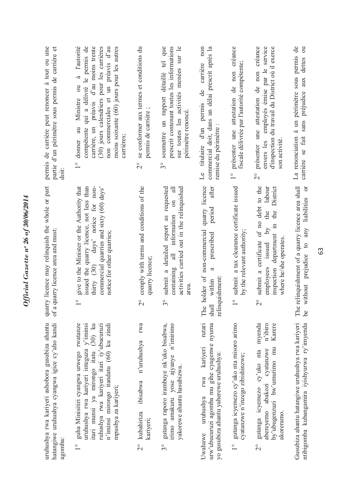| permis de carrière peut renoncer à tout ou une<br>partie d'un périmètre sous permis de carrière et<br>doit:  | à l'autorité<br>qui a délivré le permis de<br>préavis d'au moins trente<br>non commerciales et un préavis d'au<br>(30) jours calendriers pour les carrières<br>moins soixante (60) jours pour les autres<br>$\overline{\mathbf{c}}$<br>Ministre<br>carrière, un<br>compétente<br>donner au<br>carrières;<br>$\frac{1}{\sqrt{2}}$ | se conformer aux termes et conditions du<br>permis de carrière;<br>$\overset{\circ}{\sim}$ | soumettre un rapport détaillé tel que<br>prescrit contenant toutes les informations<br>sur toutes les activités menées sur le<br>périmètre renoncé<br>$\mathcal{S}^{\circ}$ | commercial doit, dans un délai prescrit après la<br>non<br>carrière<br>$\ddot{\theta}$<br>titulaire d'un permis<br>remise du périmètre<br>Le | présenter une attestation de non créance<br>fiscale délivrée par l'autorité compétente;<br>$\frac{1}{1}$ | une attestation de non créance<br>employés émise par le service<br>d'inspection du travail du District où il exerce<br>envers les<br>son activité<br>présenter<br>$\overset{\circ}{\Omega}$ | La renonciation à un périmètre sous permis de<br>$\overline{\mathrm{c}}$<br>dettes<br>aux<br>préjudice<br>carrière se fait sans |
|--------------------------------------------------------------------------------------------------------------|----------------------------------------------------------------------------------------------------------------------------------------------------------------------------------------------------------------------------------------------------------------------------------------------------------------------------------|--------------------------------------------------------------------------------------------|-----------------------------------------------------------------------------------------------------------------------------------------------------------------------------|----------------------------------------------------------------------------------------------------------------------------------------------|----------------------------------------------------------------------------------------------------------|---------------------------------------------------------------------------------------------------------------------------------------------------------------------------------------------|---------------------------------------------------------------------------------------------------------------------------------|
| quarry licence may relinquish the whole or part<br>of a quarry licence area and must:                        | give to the Minister or the Authority that<br>issued the quarry licence, not less than<br>days' notice for non-<br>commercial quarries and sixty (60) days'<br>notice for other quarries;<br>thirty (30)<br>$\frac{1}{\sqrt{2}}$                                                                                                 | comply with terms and conditions of the<br>quarry licence;<br>$\overset{\circ}{\sim}$      | requested<br>activities carried out in the relinquished<br>$\sin$<br>submit a detailed report as<br>information<br>containing all<br>area.<br>$3^{\circ}$                   | quarry licence<br>after<br>period<br>The holder of non-commercial<br>prescribed<br>ß<br>relinquishment:<br>shall within                      | submit a tax clearance certificate issued<br>by the relevant authority;<br>$\frac{1}{\sqrt{2}}$          | submit a certificate of no debt to the<br>District<br>labour<br>the<br>the<br>inspection department in<br>$\lambda$ q<br>where he/she operates<br>issued<br>employees<br>$\overline{2}$     | e relinquishment of a quarry licence area shall<br>without prejudice to any liabilities or<br>$\mathbb{H}$<br>be                |
| uruhushya rwa kariyeri ashobora gusubiza ahantu<br>hatangiwe uruhushya cyangwa igice cy'aho kandi<br>agomba: | guha Minisitiri cyangwa urwego rwatanze<br>uruhushya rwa kariyeri integuza y'iminsi<br>itari munsi ya mirongo itatu (30) ku<br>n'iminsi mirongo itandatu (60) ku zindi<br>ruhushya rwa kariyeri itari iy'ubucuruzi<br>mpushya za kariyeri;<br>$\frac{1}{\sqrt{2}}$                                                               | rwa<br>n'uruhushya<br>ibisabwa<br>kubahiriza<br>kariyeri;<br>$\frac{1}{2}$                 | gutanga raporo irambuye nk'uko bisabwa,<br>irimo amakuru yose ajyanye n'imirimo<br>yakorewe ahantu hasubizwa.<br>$\mathfrak{S}^{\circ}$                                     | rutari<br>urw'ubucuruzi agomba mu gihe cyagenwe nyuma<br>kariyeri<br>yo gusubiza ahantu yaherewe uruhushya:<br>rwa<br>uruhushya<br>Uwahawe   | gutanga icyemezo cy'uko nta misoro arimo<br>cyatanzwe n'inzego zibishinzwe;<br>$\frac{1}{1}$             | n'ibiro<br>myenda<br>Karere<br>by'ubugenzuzi bw'umurimo mu<br>cyatanzwe<br>gutanga icyemezo cy'uko nta<br>abereyemo abakozi<br>akoreramo.<br>$\overline{\mathcal{C}}$                       | Gusubiza ahantu hatangiwe uruhushya rwa kariyeri<br>ntibigomba kubangamira iyishyurwa ry'imyenda                                |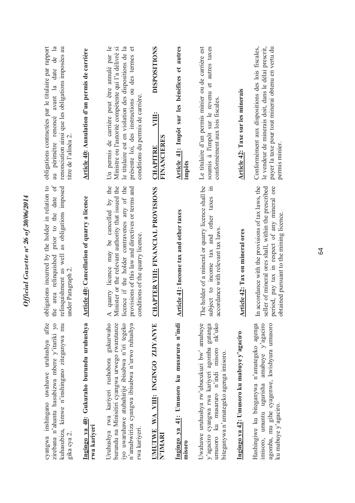| cyangwa inshingano uwahawe uruhushya afite<br>Ingingo ya 40: Gukuraho burundu uruhushya<br>zirebana n'ahantu hasubizwa mbere y'itariki yo<br>kuhasubiza, kimwe n'inshingano ziteganywa mu<br>gika cya 2.                              | prior to the date of<br>obligations incurred by the holder in relation to<br>as obligations imposed<br><b>Article 40: Cancellation of quarry a licence</b><br>relinquishment as well<br>the area relinquished<br>under Paragraph 2.                                 | obligations contractées par le titulaire par rapport<br>$\mathbf{a}$<br>renonciation ainsi que les obligations imposées au<br>Article 40: Annulation d'un permis de carrière<br>avant la date de<br>au périmètre renoncé<br>titre de l'alinéa 2      |
|---------------------------------------------------------------------------------------------------------------------------------------------------------------------------------------------------------------------------------------|---------------------------------------------------------------------------------------------------------------------------------------------------------------------------------------------------------------------------------------------------------------------|------------------------------------------------------------------------------------------------------------------------------------------------------------------------------------------------------------------------------------------------------|
| gukurwaho<br>burundu na Minisitiri cyangwa urwego rwarutanze<br>iyo uwaruhawe atubahirije ibisabwa n'iri tegeko<br>n'amabwiriza cyangwa ibisabwa n'urwo ruhushya<br>Uruhushya rwa kariyeri rushobora<br>rwa kariyeri<br>rwa kariyeri. | quarry licence may be cancelled by the<br>linister or the relevant authority that issued the<br>licence if the holder contravenes any of the<br>provisions of this law and directives or terms and<br>conditions of the quarry licence<br>$\blacktriangleleft$<br>Σ | Un permis de carrière peut être annulé par le<br>le titulaire est en violation des dispositions de la<br>présente loi, des instructions ou des termes et<br>Ministre ou l'autorité compétente qui l'a délivré si<br>conditions du permis de carrière |
| UMUTWE WA VIII: INGINGO ZIJYANYE<br>N'IMARI                                                                                                                                                                                           | CHAPTER VIII: FINANCIAL PROVISIONS                                                                                                                                                                                                                                  | <b>DISPOSITIONS</b><br>VIII:<br><b>FINANCIERES</b><br>CHAPITRE                                                                                                                                                                                       |
| Ingingo ya 41: Umusoro ku musaruro n'indi<br>misoro                                                                                                                                                                                   | Article 41: Income tax and other taxes                                                                                                                                                                                                                              | Article 41: Impôt sur les bénéfices et autres<br>impôts                                                                                                                                                                                              |
| Uwahawe uruhushya rw'ubucukuzi bw' amabuye<br>umusoro ku musaruro n'indi misoro nk'uko<br>y'agaciro cyangwa rwa kariyeri agomba gutanga<br>biteganywa n'amategeko agenga imisoro.                                                     | The holder of a mineral or quarry licence shall be<br>$\Xi$<br>subject to income tax and other taxes<br>accordance with relevant tax laws                                                                                                                           | soumis à l'impôt sur le revenu et autres taxes<br>Le titulaire d'un permis minier ou de carrière est<br>conformément aux lois fiscales.                                                                                                              |
| Ingingo ya 42: Umusoro ku mabuye y'agaciro                                                                                                                                                                                            | rticle 42: Tax on mineral ores<br>ৰ                                                                                                                                                                                                                                 | Article 42: Taxe sur les minerais                                                                                                                                                                                                                    |
| amabuye y'agaciro<br>agomba, mu gihe cyagenwe, kwishyura umusoro<br>Hashingiwe ku biteganywa n'amategeko agenga<br>imisoro, umuntu ugurisha<br>ku mabuye y'agaciro.                                                                   | accordance with the provisions of tax laws, the<br>seller of mineral ores shall, within the prescribed<br>period, pay tax in respect of any mineral ore<br>obtained pursuant to the mining licence.<br>$\mathbb{H}$                                                 | Conformément aux dispositions des lois fiscales,<br>le vendeur de minerais doit, dans le délai prescrit,<br>payer la taxe pour tout minerai obtenu en vertu du<br>permis minier.                                                                     |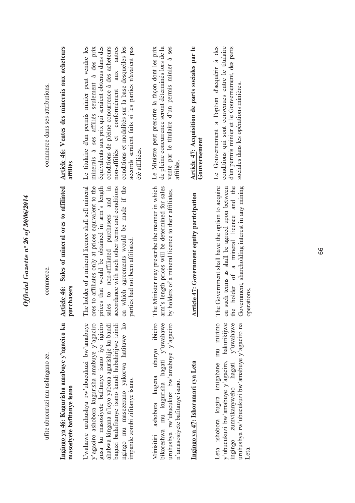| commerce dans ses attributions.  | Article 46: Ventes des minerais aux acheteurs<br>affiliés                   | équivalents aux prix qui seraient obtenus dans des<br>Le titulaire d'un permis minier peut vendre les<br>conditions de pleine concurrence à des acheteurs<br>autres<br>conditions et modalités sur la base desquelles les<br>accords seraient faits si les parties n'avaient pas<br>minerais à ses affiliés seulement à des prix<br>aux<br>non-affiliés et conformément<br>été affiliées. | vente par le titulaire d'un permis minier à ses<br>de pleine concurrence seront déterminés lors de la<br>Le Ministre peut prescrire la façon dont les prix<br>affiliés.   | Article 47: Acquisition de parts sociales par le<br>Gouvernement | conditions qui sont convenues entre le titulaire<br>Le Gouvernement a l'option d'acquérir à des<br>d'un permis minier et le Gouvernement, des parts<br>sociales dans les opérations minières.                                |
|----------------------------------|-----------------------------------------------------------------------------|-------------------------------------------------------------------------------------------------------------------------------------------------------------------------------------------------------------------------------------------------------------------------------------------------------------------------------------------------------------------------------------------|---------------------------------------------------------------------------------------------------------------------------------------------------------------------------|------------------------------------------------------------------|------------------------------------------------------------------------------------------------------------------------------------------------------------------------------------------------------------------------------|
| commerce.                        | Sales of mineral ores to affiliated<br>Article 46:<br>rrchasers<br>$\Xi$    | The holder of a mineral licence shall sell mineral<br>which agreements would be made if the<br>ores to affiliates only at prices equivalent to the<br>prices that would be obtained in arm's length<br>accordance with such other terms and conditions<br>sales to non-affiliated purchasers and in<br>parties had not been affiliated.<br>$\mathfrak{g}$                                 | The Minister may prescribe the manner in which<br>arm's length prices will be determined for sales<br>by holders of a mineral licence to their affiliates.                | <b>Article 47: Government equity participation</b>               | The Government shall have the option to acquire<br>the holder of a mineral licence and the<br>Government, shareholding interest in any mining<br>such terms as shall be agreed upon between<br>operations.<br>$\mathfrak{g}$ |
| ufite ubucuruzi mu nshingano ze. | Ingingo ya 46: Kugurisha amabuye y'agaciro ku<br>masosiyete bafitanye isano | ngingo mu masezerano yakorwa hatitawe ko<br>Uwahawe uruhushya rw'ubucukuzi bw'amabuye<br>gusa ku masosiyete bafitanye isano iyo igiciro<br>y'agaciro ashobora kugurisha amabuye y'agaciro<br>baguzi badafitanye isano kandi hubahirijwe izindi<br>ahabwa kingana n'icyo yabona agurishije ku bandi<br>impande zombi ziftanye isano.                                                       | ashobora kugena uburyo ibiciro<br>uruhushya rw'ubucukuzi bw'amabuye y'agaciro<br>bikoreshwa mu kugurisha hagati y'uwahawe<br>n'amasosiyete bafitanye isano.<br>Minisitiri | Ingingo ya 47: Ishoramari rya Leta                               | Leta ishobora kugira imigabane mu mirimo<br>y'ubucukuzi bw'amabuye y'agaciro, hakurikijwe<br>ingingo zumvikanyweho hagati y'uwahawe<br>uruhushya rw'ubucukuzi bw'amabuye y'agaciro na<br>Leta.                               |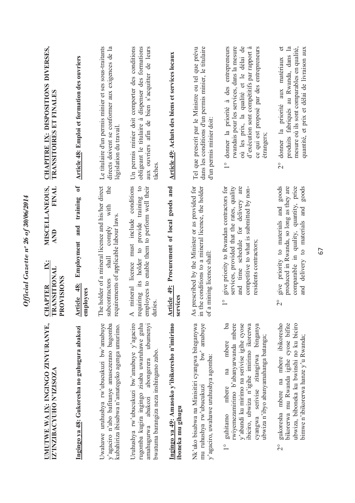| UMUTWE WA IX: INGINGO ZINYURANYE,<br>IZ'INZIBACYUHO N'IZISOZA                                                                                                                                                                                                                          | MISCELLANEOUS,<br>FINAL<br><b>AND</b><br>$\mathbf{K}$<br><u>CHAPTER I</u><br>TRANSITIONAL                                                                                                                                  | <b>CHAPITRE IX: DISPOSITIONS DIVERSES,</b><br><b>TRANSITOIRES ET FINALES</b>                                                                                                                                                                            |
|----------------------------------------------------------------------------------------------------------------------------------------------------------------------------------------------------------------------------------------------------------------------------------------|----------------------------------------------------------------------------------------------------------------------------------------------------------------------------------------------------------------------------|---------------------------------------------------------------------------------------------------------------------------------------------------------------------------------------------------------------------------------------------------------|
| Ingingo ya 48: Gukoresha no guhugura abakozi                                                                                                                                                                                                                                           | $\mathbf{f}$<br>training<br>and<br>Employment<br>PROVISIONS<br>Article 48:<br>employees                                                                                                                                    | <b>Article 48: Emploi et formation des ouvriers</b>                                                                                                                                                                                                     |
| Uwahawe uruhushya rw'ubucukuzi bw'amabuye<br>y'agaciro n'abo bafitanye amasezerano bagomba<br>kubahiriza ibisabwa n'amategeko agenga umurimo.                                                                                                                                          | The holder of a mineral licence and his/her direct<br>the<br>with<br>requirements of applicable labour laws<br>comply<br>shall<br>subcontractors                                                                           | Le titulaire d'un permis minier et ses sous-traitants<br>directs doivent se conformer aux exigences de la<br>législation du travail                                                                                                                     |
| Uruhushya rw'ubucukuzi bw'amabuye y'agaciro<br>rugomba kugira ingingo zisaba uwaruhawe guha<br>ubumenyi<br>bwatuma barangiza neza inshingano zabo.<br>abongerera<br>amahugurwa abakozi                                                                                                 | mineral licence must include conditions<br>requiring its holder to provide training to<br>employees to enable them to perform well their<br>duties.<br>$\blacktriangleleft$                                                | Un permis minier doit comporter des conditions<br>aux ouvriers afin de bien s'acquitter de leurs<br>obligeant le titulaire à dispenser des formations<br>tâches                                                                                         |
| Ingingo ya 49: Amasoko y'ibikoresho n'imirimo<br>iboneka mu gihugu                                                                                                                                                                                                                     | Article 49: Procurement of local goods and<br>services                                                                                                                                                                     | Article 49: Achats des biens et services locaux                                                                                                                                                                                                         |
| amabuye<br>Nk'uko bisabwa na Minisitiri cyangwa biteganywa<br>$bw^2$<br>y'agaciro, uwahawe uruhushya agomba:<br>mu ruhushya rw'ubucukuzi                                                                                                                                               | prescribed by the Minister or as provided for<br>in the conditions to a mineral licence, the holder<br>of a mining licence shall:<br>As                                                                                    | Tel que prescrit par le Ministre ou tel que prévu<br>dans les conditions d'un permis minier, le titulaire<br>d'un permis minier doit:                                                                                                                   |
| Ьã<br>rwiyemezamirimo b'abanyarwanda mbere<br>y'abandi ku mirimo na serivise igihe cyose<br>ibiciro, ubwiza n'igihe imirimo ikorerwa<br>binganya<br>ubwiza n'ibyo abanyamahanga batanga;<br>mbere<br>serivise zitangirwa<br>na<br>mbere<br>cyangwa<br>guhitamo<br>$\frac{1}{\sqrt{2}}$ | services, provided that the rates, quality<br>give priority to Rwandan contractors for<br>and time schedule for delivery are<br>competitive to what is submitted by non-<br>residents contractors;<br>$\frac{1}{\sqrt{2}}$ | où les prix, la qualité et le délai de<br>donner la priorité à des entrepreneurs<br>rwandais pour les services, dans la mesure<br>d'exécution sont compétitifs par rapport à<br>ce qui est proposé par des entrepreneurs<br>etrangers;<br>$\frac{1}{1}$ |
| gukoresha mbere na mbere ibikoresho<br>bikorerwa mu Rwanda igihe cyose bifite<br>ubwiza, biboneka ku bwinshi no ku biciro<br>bimwe n'ibikorerwa hanze y'u Rwanda;<br>$\overline{\mathcal{C}}$                                                                                          | goods<br>produced in Rwanda, so long as they are<br>comparable in quality, quantity, price<br>goods<br>give priority to materials and<br>and delivery to materials and<br>$\overline{\mathcal{C}}$                         | produits fabriqués au Rwanda, dans la<br>mesure où ils sont comparables en qualité,<br>$\sigma$<br>quantité, et prix et délai de livraison aux<br>donner la priorité aux matériaux<br>$\overset{\circ}{\Omega}$                                         |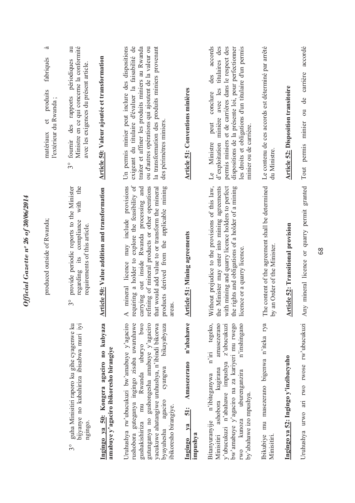| fabriqués<br>produits<br>l'extérieur du Rwanda;<br>$\sigma$<br>matériaux<br>produced outside of Rwanda; | Ministre en ce qui concerne la conformité<br>des rapports périodiques<br>avec les exigences du présent article<br>fournir<br>$3^{\circ}$<br>the<br>provide periodic reports to the Minister<br>with<br>compliance<br>requirements of this article.<br>its | Article 50: Valeur ajoutée et transformation<br><b>Article 50: Value addition and transformation</b> | Un permis minier peut inclure des dispositions<br>exigeant du titulaire d'évaluer la faisabilité de<br>traiter et affiner les produits miniers au Rwanda<br>la transformation des produits miniers provenant<br>ou d'autres opérations qui ajoutent de la valeur ou<br>des périmètres miniers<br>requiring a holder to explore the feasibility of<br>mineral licence may include provisions<br>carrying out inside Rwanda processing and<br>refining of mineral products or other operations<br>products derived from the applicable mining<br>that would add value to or transform the mineral | <b>Article 51: Conventions minières</b>                             | accords<br>dispositions de la présente loi, pour perfectionner<br>les droits et obligations d'un titulaire d'un permis<br>d'exploitation minière avec les titulaires des<br>permis miniers et de carrières dans le respect des<br>des<br>conclure<br>peut<br>minier ou de carrière.<br>Ministre<br>$\overline{\mathbb{L}}$<br>the Minister may enter into mining agreements<br>with mining and quarry licence holders to perfect<br>Without prejudice to the provisions of this law,<br>the rights and obligations of a holder of a mining | Le contenu de ces accords est déterminé par arrêté<br>du Ministre<br>The content of the agreement shall be determined | <b>Article 52: Disposition transitoire</b><br><b>Article 52: Transitional provision</b> |
|---------------------------------------------------------------------------------------------------------|-----------------------------------------------------------------------------------------------------------------------------------------------------------------------------------------------------------------------------------------------------------|------------------------------------------------------------------------------------------------------|-------------------------------------------------------------------------------------------------------------------------------------------------------------------------------------------------------------------------------------------------------------------------------------------------------------------------------------------------------------------------------------------------------------------------------------------------------------------------------------------------------------------------------------------------------------------------------------------------|---------------------------------------------------------------------|--------------------------------------------------------------------------------------------------------------------------------------------------------------------------------------------------------------------------------------------------------------------------------------------------------------------------------------------------------------------------------------------------------------------------------------------------------------------------------------------------------------------------------------------|-----------------------------------------------------------------------------------------------------------------------|-----------------------------------------------------------------------------------------|
|                                                                                                         | regarding<br>$3^{\circ}$                                                                                                                                                                                                                                  |                                                                                                      | areas.<br>$\blacktriangleleft$                                                                                                                                                                                                                                                                                                                                                                                                                                                                                                                                                                  | <b>Article 51: Mining agreements</b>                                | licence or a quarry licence                                                                                                                                                                                                                                                                                                                                                                                                                                                                                                                | an Order of the Minister.<br>$\Omega$                                                                                 |                                                                                         |
|                                                                                                         | bijyanye no kubahiriza ibisabwa muri iyi<br>guha Minisitiri raporo ku gihe cyagenwe ku<br>ngingo.<br>$3^{\circ}$                                                                                                                                          | Ingingo ya 50: Kongera agaciro no kubyaza<br>amabuye y'agaciro ibikoresho birangiye                  | Uruhushya rw'ubucukuzi bw'amabuye y'agaciro<br>rushobora guteganya ingingo zisaba uwaruhawe<br>gutunganya no gushongesha amabuye y'agaciro<br>mu Rwanda uburyo bwo<br>yacukuwe ahatangiwe uruhushya, n'ibindi bikorwa<br>bikayabyaza<br>cyangwa<br>аgaсито<br>ibikoresho birangiye.<br>gushakishiriza<br>byayahesha                                                                                                                                                                                                                                                                             | n'abahawe<br>Amasezerano<br><b>51:</b><br>ya<br>impushya<br>Ingingo | tegeko,<br>amasezerano<br>bw'amabuye y'agaciro na za kariyeri mu rwego<br>n'inshingano<br>y'ubucukuzi n'abahawe impushya z'ubucukuzi<br>$n'$ iri<br>ashobora kugirana<br>uburenganzira<br>n'ibiteganywa<br>by'abahawe izo mpushya.<br>kunoza<br>Bitanyuranyije<br>Minisitiri<br>rwo                                                                                                                                                                                                                                                        | mu masezerano bigenwa n'iteka rya<br><b>Ibikubiye</b><br>Minisitiri.                                                  | Ingingo ya 52: Ingingo y'inzibacyuho                                                    |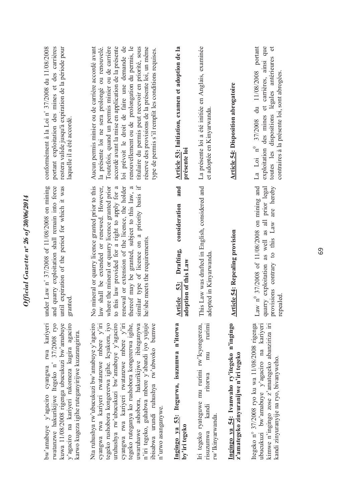| bw'amabuye y'agaciro cyangwa rwa kariyeri<br>rwatanzwe hakurikijwe Itegeko n° 37/2008 ryo<br>kuwa 11/08/2008 rigenga ubucukuzi bw'amabuye<br>y'agaciro na kariyeri rukomeza kugira agaciro<br>karwo kugeza igihe ruteganyirijwe kuzarangirira.                                                                                                                                                                                                                       | under Law n° 37/2008 of 11/08/2008 on mining<br>and quarry exploitation shall remain into force<br>until expiration of the period for which it was<br>granted                                                                                                                                                                                                                                                    | conformément à la Loi n° 37/2008 du 11/08/2008<br>portant exploitation des mines et des carrières<br>restera valide jusqu'à expiration de la période pour<br>laquelle il a été accordé.                                                                                                                                                                                                                                                                                               |
|----------------------------------------------------------------------------------------------------------------------------------------------------------------------------------------------------------------------------------------------------------------------------------------------------------------------------------------------------------------------------------------------------------------------------------------------------------------------|------------------------------------------------------------------------------------------------------------------------------------------------------------------------------------------------------------------------------------------------------------------------------------------------------------------------------------------------------------------------------------------------------------------|---------------------------------------------------------------------------------------------------------------------------------------------------------------------------------------------------------------------------------------------------------------------------------------------------------------------------------------------------------------------------------------------------------------------------------------------------------------------------------------|
| Nta ruhushya rw'ubucukuzi bw'amabuye y'agaciro<br>tegeko rushobora kongererwa igihe. Icyakora, iyo<br>uruhushya rw'ubucukuzi bw'amabuye y'agaciro<br>n'iri tegeko, guhabwa mbere y'abandi iyo yujuje<br>cyangwa rwa kariyeri rwatanzwe mbere y'iri<br>cyangwa rwa kariyeri rwatanzwe mbere y'iri<br>uwaruhawe ashobora, hakurikijwe ibiteganywa<br>ibisabwa urundi ruhushya rw'ubwoko bumwe<br>tegeko ruteganya ko rushobora kongererwa igihe,<br>n'urwo asanganywe. | similar type of licence on a priority basis if<br>No mineral or quarry licence granted prior to this<br>law shall be extended or renewed. However,<br>where the mineral or quarry licence granted prior<br>renewal or extension of the licence, the holder<br>$\mathfrak{a}$<br>to this law provided for a right to apply for a<br>thereof may be granted, subject to this law,<br>he/she meets the requirements | accordé avant la mise en application de la présente<br>loi prévoit le droit de faire une demande de<br>Aucun permis minier ou de carrière accordé avant<br>Toutefois, quand un permis minier ou de carrière<br>renouvellement ou de prolongation du permis, le<br>titulaire du permis peut recevoir en priorité, sous<br>réserve des provisions de la présente loi, un même<br>la présente loi ne sera prolongé ou renouvelé.<br>type de permis s'il remplit les conditions requises. |
| Ingingo ya 53: Itegurwa, isuzumwa n'itorwa<br>by'iri tegeko                                                                                                                                                                                                                                                                                                                                                                                                          | and<br>consideration<br>Drafting,<br>adoption of this Law<br>Article 53:                                                                                                                                                                                                                                                                                                                                         | Article 53: Initiation, examen et adoption de la<br>présente loi                                                                                                                                                                                                                                                                                                                                                                                                                      |
| Iri tegeko ryateguwe mu rurimi rw'Icyongereza,<br>rurum<br>mu<br>ntorwa<br>kandı<br>rw'lkinyarwanda.<br>risuzumwa                                                                                                                                                                                                                                                                                                                                                    | This Law was drafted in English, considered and<br>adopted in Kinyarwanda                                                                                                                                                                                                                                                                                                                                        | La présente loi a été initiée en Anglais, examinée<br>et adoptée en Kinyarwanda.                                                                                                                                                                                                                                                                                                                                                                                                      |
| Ingingo ya 54: Ivanwaho ry'itegeko n'ingingo<br>z'amategeko zinyuranijwe n'iri tegeko                                                                                                                                                                                                                                                                                                                                                                                | <b>Article 54: Repealing provision</b>                                                                                                                                                                                                                                                                                                                                                                           | <b>Article 54: Disposition abrogatoire</b>                                                                                                                                                                                                                                                                                                                                                                                                                                            |
| Itegeko n° 37/2008 ryo ku wa 11/08/2008 rigenga<br>kimwe n'ingingo zose z'amategeko abanziriza iri<br>ubucukuzi bw'amabuye y'agaciro na kariyeri<br>kandi zinyuranyije na ryo, bivanyweho.                                                                                                                                                                                                                                                                           | Law $n^0$ 37/2008 of 11/08/2008 on mining and<br>contrary to this Law are hereby<br>quarry exploitation as well as all prior legal<br>provisions<br>repealed                                                                                                                                                                                                                                                     | Loi nº 37/2008 du 11/08/2008 portant<br>exploitation des mines et carrières, ainsi que<br>$\bullet$<br>toutes les dispositions légales antérieures<br>contraires à la présente loi, sont abrogées.<br>$\mathbb{L}^a$                                                                                                                                                                                                                                                                  |